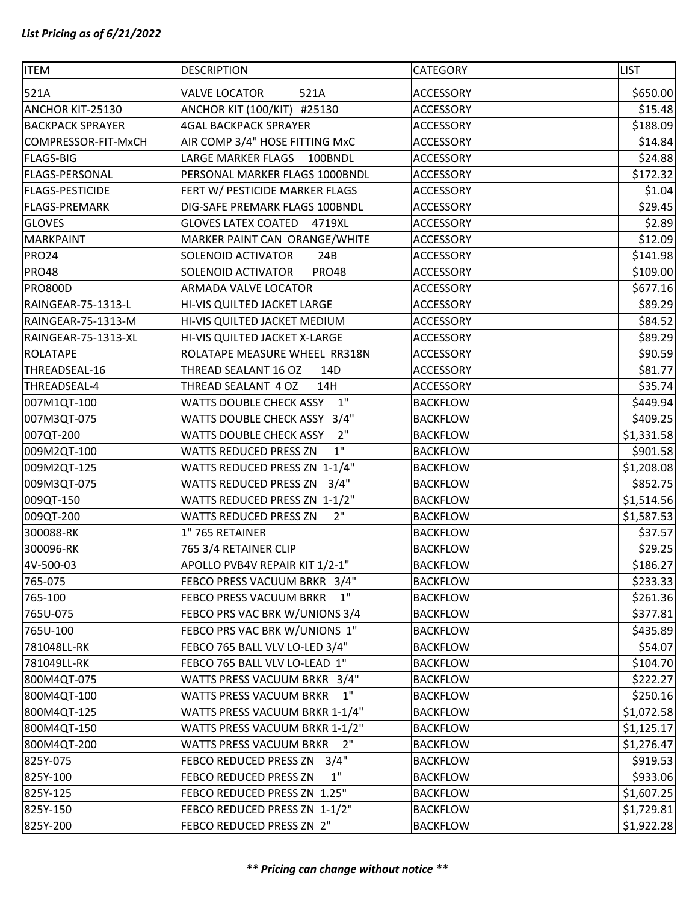| <b>ITEM</b>             | <b>DESCRIPTION</b>                      | CATEGORY         | <b>LIST</b> |
|-------------------------|-----------------------------------------|------------------|-------------|
| 521A                    | <b>VALVE LOCATOR</b><br>521A            | <b>ACCESSORY</b> | \$650.00    |
| ANCHOR KIT-25130        | ANCHOR KIT (100/KIT) #25130             | <b>ACCESSORY</b> | \$15.48     |
| <b>BACKPACK SPRAYER</b> | <b>4GAL BACKPACK SPRAYER</b>            | <b>ACCESSORY</b> | \$188.09    |
| COMPRESSOR-FIT-MxCH     | AIR COMP 3/4" HOSE FITTING MxC          | <b>ACCESSORY</b> | \$14.84     |
| <b>FLAGS-BIG</b>        | LARGE MARKER FLAGS<br>100BNDL           | <b>ACCESSORY</b> | \$24.88     |
| <b>FLAGS-PERSONAL</b>   | PERSONAL MARKER FLAGS 1000BNDL          | <b>ACCESSORY</b> | \$172.32    |
| <b>FLAGS-PESTICIDE</b>  | FERT W/ PESTICIDE MARKER FLAGS          | <b>ACCESSORY</b> | \$1.04      |
| <b>FLAGS-PREMARK</b>    | DIG-SAFE PREMARK FLAGS 100BNDL          | <b>ACCESSORY</b> | \$29.45     |
| <b>GLOVES</b>           | GLOVES LATEX COATED 4719XL              | ACCESSORY        | \$2.89      |
| <b>MARKPAINT</b>        | MARKER PAINT CAN ORANGE/WHITE           | <b>ACCESSORY</b> | \$12.09     |
| <b>PRO24</b>            | SOLENOID ACTIVATOR<br>24B               | <b>ACCESSORY</b> | \$141.98    |
| <b>PRO48</b>            | SOLENOID ACTIVATOR<br><b>PRO48</b>      | <b>ACCESSORY</b> | \$109.00    |
| <b>PRO800D</b>          | ARMADA VALVE LOCATOR                    | <b>ACCESSORY</b> | \$677.16    |
| RAINGEAR-75-1313-L      | HI-VIS QUILTED JACKET LARGE             | <b>ACCESSORY</b> | \$89.29     |
| RAINGEAR-75-1313-M      | HI-VIS QUILTED JACKET MEDIUM            | <b>ACCESSORY</b> | \$84.52     |
| RAINGEAR-75-1313-XL     | HI-VIS QUILTED JACKET X-LARGE           | <b>ACCESSORY</b> | \$89.29     |
| <b>ROLATAPE</b>         | ROLATAPE MEASURE WHEEL RR318N           | <b>ACCESSORY</b> | \$90.59     |
| THREADSEAL-16           | THREAD SEALANT 16 OZ<br>14 <sub>D</sub> | <b>ACCESSORY</b> | \$81.77     |
| THREADSEAL-4            | THREAD SEALANT 4 OZ<br>14H              | <b>ACCESSORY</b> | \$35.74     |
| 007M1QT-100             | 1"<br>WATTS DOUBLE CHECK ASSY           | <b>BACKFLOW</b>  | \$449.94    |
| 007M3QT-075             | WATTS DOUBLE CHECK ASSY 3/4"            | <b>BACKFLOW</b>  | \$409.25    |
| 007QT-200               | 2"<br><b>WATTS DOUBLE CHECK ASSY</b>    | <b>BACKFLOW</b>  | \$1,331.58  |
| 009M2QT-100             | 1"<br>WATTS REDUCED PRESS ZN            | <b>BACKFLOW</b>  | \$901.58    |
| 009M2QT-125             | WATTS REDUCED PRESS ZN 1-1/4"           | <b>BACKFLOW</b>  | \$1,208.08  |
| 009M3QT-075             | WATTS REDUCED PRESS ZN<br>3/4"          | <b>BACKFLOW</b>  | \$852.75    |
| 009QT-150               | WATTS REDUCED PRESS ZN 1-1/2"           | <b>BACKFLOW</b>  | \$1,514.56  |
| 009QT-200               | 2"<br>WATTS REDUCED PRESS ZN            | <b>BACKFLOW</b>  | \$1,587.53  |
| 300088-RK               | 1"765 RETAINER                          | <b>BACKFLOW</b>  | \$37.57     |
| 300096-RK               | 765 3/4 RETAINER CLIP                   | <b>BACKFLOW</b>  | \$29.25     |
| 4V-500-03               | APOLLO PVB4V REPAIR KIT 1/2-1"          | <b>BACKFLOW</b>  | \$186.27    |
| 765-075                 | FEBCO PRESS VACUUM BRKR 3/4"            | <b>BACKFLOW</b>  | \$233.33    |
| 765-100                 | FEBCO PRESS VACUUM BRKR 1"              | <b>BACKFLOW</b>  | \$261.36    |
| 765U-075                | FEBCO PRS VAC BRK W/UNIONS 3/4          | <b>BACKFLOW</b>  | \$377.81    |
| 765U-100                | FEBCO PRS VAC BRK W/UNIONS 1"           | <b>BACKFLOW</b>  | \$435.89    |
| 781048LL-RK             | FEBCO 765 BALL VLV LO-LED 3/4"          | <b>BACKFLOW</b>  | \$54.07     |
| 781049LL-RK             | FEBCO 765 BALL VLV LO-LEAD 1"           | <b>BACKFLOW</b>  | \$104.70    |
| 800M4QT-075             | WATTS PRESS VACUUM BRKR 3/4"            | <b>BACKFLOW</b>  | \$222.27    |
| 800M4QT-100             | WATTS PRESS VACUUM BRKR<br>1"           | <b>BACKFLOW</b>  | \$250.16    |
| 800M4QT-125             | WATTS PRESS VACUUM BRKR 1-1/4"          | <b>BACKFLOW</b>  | \$1,072.58  |
| 800M4QT-150             | WATTS PRESS VACUUM BRKR 1-1/2"          | <b>BACKFLOW</b>  | \$1,125.17  |
| 800M4QT-200             | 2"<br>WATTS PRESS VACUUM BRKR           | <b>BACKFLOW</b>  | \$1,276.47  |
| 825Y-075                | FEBCO REDUCED PRESS ZN 3/4"             | <b>BACKFLOW</b>  | \$919.53    |
| 825Y-100                | 1"<br>FEBCO REDUCED PRESS ZN            | <b>BACKFLOW</b>  | \$933.06    |
| 825Y-125                | FEBCO REDUCED PRESS ZN 1.25"            | <b>BACKFLOW</b>  | \$1,607.25  |
| 825Y-150                | FEBCO REDUCED PRESS ZN 1-1/2"           | <b>BACKFLOW</b>  | \$1,729.81  |
| 825Y-200                | FEBCO REDUCED PRESS ZN 2"               | <b>BACKFLOW</b>  | \$1,922.28  |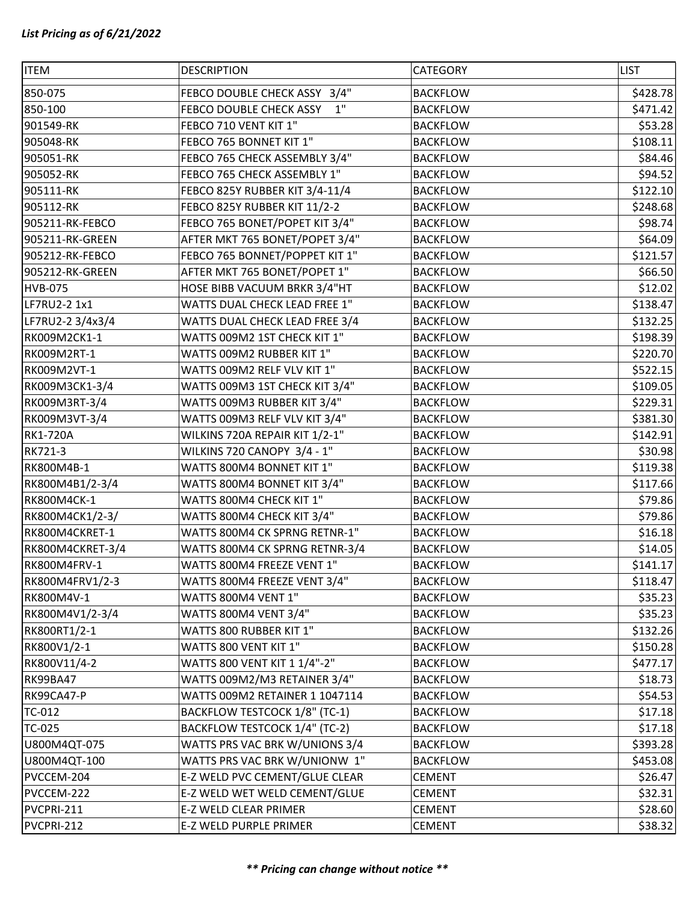| <b>ITEM</b>      | <b>DESCRIPTION</b>             | <b>CATEGORY</b> | <b>LIST</b> |
|------------------|--------------------------------|-----------------|-------------|
| 850-075          | FEBCO DOUBLE CHECK ASSY 3/4"   | <b>BACKFLOW</b> | \$428.78    |
| 850-100          | FEBCO DOUBLE CHECK ASSY 1"     | <b>BACKFLOW</b> | \$471.42    |
| 901549-RK        | FEBCO 710 VENT KIT 1"          | <b>BACKFLOW</b> | \$53.28     |
| 905048-RK        | FEBCO 765 BONNET KIT 1"        | <b>BACKFLOW</b> | \$108.11    |
| 905051-RK        | FEBCO 765 CHECK ASSEMBLY 3/4"  | <b>BACKFLOW</b> | \$84.46     |
| 905052-RK        | FEBCO 765 CHECK ASSEMBLY 1"    | <b>BACKFLOW</b> | \$94.52     |
| 905111-RK        | FEBCO 825Y RUBBER KIT 3/4-11/4 | <b>BACKFLOW</b> | \$122.10    |
| 905112-RK        | FEBCO 825Y RUBBER KIT 11/2-2   | <b>BACKFLOW</b> | \$248.68    |
| 905211-RK-FEBCO  | FEBCO 765 BONET/POPET KIT 3/4" | <b>BACKFLOW</b> | \$98.74     |
| 905211-RK-GREEN  | AFTER MKT 765 BONET/POPET 3/4" | <b>BACKFLOW</b> | \$64.09     |
| 905212-RK-FEBCO  | FEBCO 765 BONNET/POPPET KIT 1" | <b>BACKFLOW</b> | \$121.57    |
| 905212-RK-GREEN  | AFTER MKT 765 BONET/POPET 1"   | <b>BACKFLOW</b> | \$66.50     |
| <b>HVB-075</b>   | HOSE BIBB VACUUM BRKR 3/4"HT   | <b>BACKFLOW</b> | \$12.02     |
| LF7RU2-2 1x1     | WATTS DUAL CHECK LEAD FREE 1"  | <b>BACKFLOW</b> | \$138.47    |
| LF7RU2-2 3/4x3/4 | WATTS DUAL CHECK LEAD FREE 3/4 | <b>BACKFLOW</b> | \$132.25    |
| RK009M2CK1-1     | WATTS 009M2 1ST CHECK KIT 1"   | <b>BACKFLOW</b> | \$198.39    |
| RK009M2RT-1      | WATTS 009M2 RUBBER KIT 1"      | <b>BACKFLOW</b> | \$220.70    |
| RK009M2VT-1      | WATTS 009M2 RELF VLV KIT 1"    | <b>BACKFLOW</b> | \$522.15    |
| RK009M3CK1-3/4   | WATTS 009M3 1ST CHECK KIT 3/4" | <b>BACKFLOW</b> | \$109.05    |
| RK009M3RT-3/4    | WATTS 009M3 RUBBER KIT 3/4"    | <b>BACKFLOW</b> | \$229.31    |
| RK009M3VT-3/4    | WATTS 009M3 RELF VLV KIT 3/4"  | <b>BACKFLOW</b> | \$381.30    |
| <b>RK1-720A</b>  | WILKINS 720A REPAIR KIT 1/2-1" | <b>BACKFLOW</b> | \$142.91    |
| RK721-3          | WILKINS 720 CANOPY 3/4 - 1"    | <b>BACKFLOW</b> | \$30.98     |
| RK800M4B-1       | WATTS 800M4 BONNET KIT 1"      | <b>BACKFLOW</b> | \$119.38    |
| RK800M4B1/2-3/4  | WATTS 800M4 BONNET KIT 3/4"    | <b>BACKFLOW</b> | \$117.66    |
| RK800M4CK-1      | WATTS 800M4 CHECK KIT 1"       | <b>BACKFLOW</b> | \$79.86     |
| RK800M4CK1/2-3/  | WATTS 800M4 CHECK KIT 3/4"     | <b>BACKFLOW</b> | \$79.86     |
| RK800M4CKRET-1   | WATTS 800M4 CK SPRNG RETNR-1"  | <b>BACKFLOW</b> | \$16.18     |
| RK800M4CKRET-3/4 | WATTS 800M4 CK SPRNG RETNR-3/4 | <b>BACKFLOW</b> | \$14.05     |
| RK800M4FRV-1     | WATTS 800M4 FREEZE VENT 1"     | <b>BACKFLOW</b> | \$141.17    |
| RK800M4FRV1/2-3  | WATTS 800M4 FREEZE VENT 3/4"   | <b>BACKFLOW</b> | \$118.47    |
| RK800M4V-1       | WATTS 800M4 VENT 1"            | <b>BACKFLOW</b> | \$35.23     |
| RK800M4V1/2-3/4  | WATTS 800M4 VENT 3/4"          | <b>BACKFLOW</b> | \$35.23     |
| RK800RT1/2-1     | WATTS 800 RUBBER KIT 1"        | <b>BACKFLOW</b> | \$132.26    |
| RK800V1/2-1      | WATTS 800 VENT KIT 1"          | <b>BACKFLOW</b> | \$150.28    |
| RK800V11/4-2     | WATTS 800 VENT KIT 1 1/4"-2"   | <b>BACKFLOW</b> | \$477.17    |
| <b>RK99BA47</b>  | WATTS 009M2/M3 RETAINER 3/4"   | <b>BACKFLOW</b> | \$18.73     |
| RK99CA47-P       | WATTS 009M2 RETAINER 1 1047114 | <b>BACKFLOW</b> | \$54.53     |
| TC-012           | BACKFLOW TESTCOCK 1/8" (TC-1)  | <b>BACKFLOW</b> | \$17.18     |
| TC-025           | BACKFLOW TESTCOCK 1/4" (TC-2)  | <b>BACKFLOW</b> | \$17.18     |
| U800M4QT-075     | WATTS PRS VAC BRK W/UNIONS 3/4 | <b>BACKFLOW</b> | \$393.28    |
| U800M4QT-100     | WATTS PRS VAC BRK W/UNIONW 1"  | <b>BACKFLOW</b> | \$453.08    |
| PVCCEM-204       | E-Z WELD PVC CEMENT/GLUE CLEAR | <b>CEMENT</b>   | \$26.47     |
| PVCCEM-222       | E-Z WELD WET WELD CEMENT/GLUE  | <b>CEMENT</b>   | \$32.31     |
| PVCPRI-211       | E-Z WELD CLEAR PRIMER          | <b>CEMENT</b>   | \$28.60     |
| PVCPRI-212       | E-Z WELD PURPLE PRIMER         | <b>CEMENT</b>   | \$38.32     |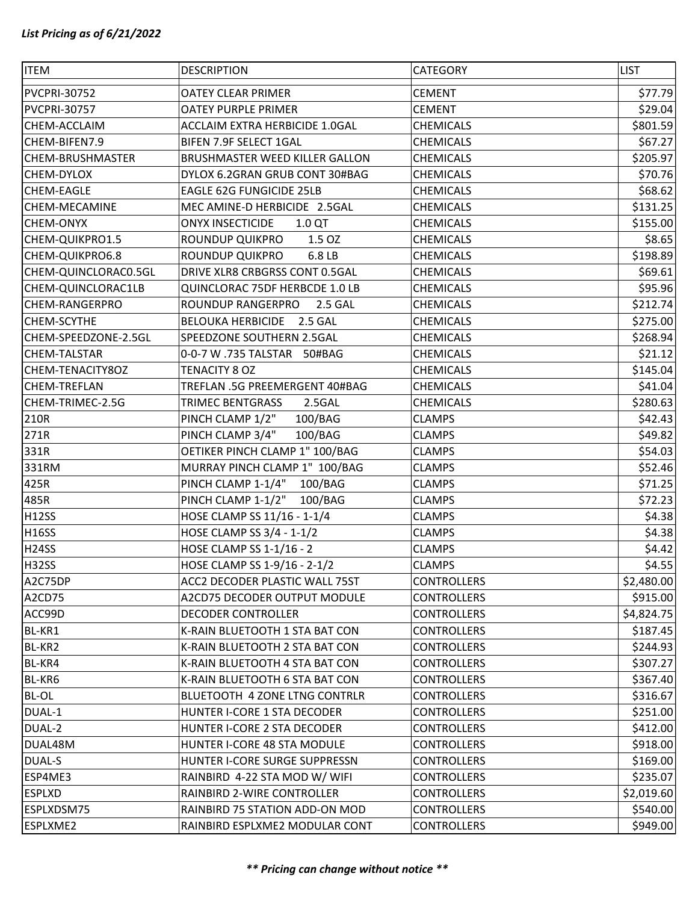| <b>ITEM</b>             | <b>DESCRIPTION</b>                    | CATEGORY           | <b>LIST</b> |
|-------------------------|---------------------------------------|--------------------|-------------|
| PVCPRI-30752            | <b>OATEY CLEAR PRIMER</b>             | <b>CEMENT</b>      | \$77.79     |
| PVCPRI-30757            | <b>OATEY PURPLE PRIMER</b>            | <b>CEMENT</b>      | \$29.04     |
| CHEM-ACCLAIM            | <b>ACCLAIM EXTRA HERBICIDE 1.0GAL</b> | <b>CHEMICALS</b>   | \$801.59    |
| CHEM-BIFEN7.9           | BIFEN 7.9F SELECT 1GAL                | <b>CHEMICALS</b>   | \$67.27     |
| <b>CHEM-BRUSHMASTER</b> | BRUSHMASTER WEED KILLER GALLON        | <b>CHEMICALS</b>   | \$205.97    |
| <b>CHEM-DYLOX</b>       | DYLOX 6.2GRAN GRUB CONT 30#BAG        | <b>CHEMICALS</b>   | \$70.76     |
| <b>CHEM-EAGLE</b>       | <b>EAGLE 62G FUNGICIDE 25LB</b>       | <b>CHEMICALS</b>   | \$68.62     |
| <b>CHEM-MECAMINE</b>    | MEC AMINE-D HERBICIDE 2.5GAL          | <b>CHEMICALS</b>   | \$131.25    |
| <b>CHEM-ONYX</b>        | <b>ONYX INSECTICIDE</b><br>1.0 QT     | <b>CHEMICALS</b>   | \$155.00    |
| CHEM-QUIKPRO1.5         | ROUNDUP QUIKPRO<br>1.5 OZ             | <b>CHEMICALS</b>   | \$8.65      |
| CHEM-QUIKPRO6.8         | ROUNDUP QUIKPRO<br>6.8 LB             | <b>CHEMICALS</b>   | \$198.89    |
| CHEM-QUINCLORAC0.5GL    | DRIVE XLR8 CRBGRSS CONT 0.5GAL        | <b>CHEMICALS</b>   | \$69.61     |
| CHEM-QUINCLORAC1LB      | QUINCLORAC 75DF HERBCDE 1.0 LB        | <b>CHEMICALS</b>   | \$95.96     |
| <b>CHEM-RANGERPRO</b>   | ROUNDUP RANGERPRO<br>2.5 GAL          | <b>CHEMICALS</b>   | \$212.74    |
| <b>CHEM-SCYTHE</b>      | BELOUKA HERBICIDE 2.5 GAL             | <b>CHEMICALS</b>   | \$275.00    |
| CHEM-SPEEDZONE-2.5GL    | SPEEDZONE SOUTHERN 2.5GAL             | <b>CHEMICALS</b>   | \$268.94    |
| <b>CHEM-TALSTAR</b>     | 0-0-7 W.735 TALSTAR 50#BAG            | <b>CHEMICALS</b>   | \$21.12     |
| CHEM-TENACITY8OZ        | TENACITY 8 OZ                         | <b>CHEMICALS</b>   | \$145.04    |
| <b>CHEM-TREFLAN</b>     | TREFLAN .5G PREEMERGENT 40#BAG        | <b>CHEMICALS</b>   | \$41.04     |
| CHEM-TRIMEC-2.5G        | TRIMEC BENTGRASS<br>2.5GAL            | <b>CHEMICALS</b>   | \$280.63    |
| 210R                    | PINCH CLAMP 1/2"<br>100/BAG           | <b>CLAMPS</b>      | \$42.43     |
| 271R                    | PINCH CLAMP 3/4"<br>100/BAG           | <b>CLAMPS</b>      | \$49.82     |
| 331R                    | OETIKER PINCH CLAMP 1" 100/BAG        | <b>CLAMPS</b>      | \$54.03     |
| 331RM                   | MURRAY PINCH CLAMP 1" 100/BAG         | <b>CLAMPS</b>      | \$52.46     |
| 425R                    | PINCH CLAMP 1-1/4" 100/BAG            | <b>CLAMPS</b>      | \$71.25     |
| 485R                    | PINCH CLAMP 1-1/2"<br>100/BAG         | <b>CLAMPS</b>      | \$72.23     |
| <b>H12SS</b>            | HOSE CLAMP SS 11/16 - 1-1/4           | <b>CLAMPS</b>      | \$4.38      |
| <b>H16SS</b>            | HOSE CLAMP SS 3/4 - 1-1/2             | <b>CLAMPS</b>      | \$4.38      |
| <b>H24SS</b>            | HOSE CLAMP SS 1-1/16 - 2              | <b>CLAMPS</b>      | \$4.42      |
| <b>H32SS</b>            | HOSE CLAMP SS 1-9/16 - 2-1/2          | <b>CLAMPS</b>      | \$4.55      |
| A2C75DP                 | ACC2 DECODER PLASTIC WALL 75ST        | <b>CONTROLLERS</b> | \$2,480.00  |
| A2CD75                  | A2CD75 DECODER OUTPUT MODULE          | <b>CONTROLLERS</b> | \$915.00    |
| ACC99D                  | DECODER CONTROLLER                    | <b>CONTROLLERS</b> | \$4,824.75  |
| BL-KR1                  | K-RAIN BLUETOOTH 1 STA BAT CON        | <b>CONTROLLERS</b> | \$187.45    |
| BL-KR2                  | K-RAIN BLUETOOTH 2 STA BAT CON        | <b>CONTROLLERS</b> | \$244.93    |
| BL-KR4                  | K-RAIN BLUETOOTH 4 STA BAT CON        | <b>CONTROLLERS</b> | \$307.27    |
| BL-KR6                  | K-RAIN BLUETOOTH 6 STA BAT CON        | <b>CONTROLLERS</b> | \$367.40    |
| <b>BL-OL</b>            | BLUETOOTH 4 ZONE LTNG CONTRLR         | <b>CONTROLLERS</b> | \$316.67    |
| DUAL-1                  | HUNTER I-CORE 1 STA DECODER           | <b>CONTROLLERS</b> | \$251.00    |
| DUAL-2                  | HUNTER I-CORE 2 STA DECODER           | <b>CONTROLLERS</b> | \$412.00    |
| DUAL48M                 | HUNTER I-CORE 48 STA MODULE           | <b>CONTROLLERS</b> | \$918.00    |
| <b>DUAL-S</b>           | HUNTER I-CORE SURGE SUPPRESSN         | <b>CONTROLLERS</b> | \$169.00    |
| ESP4ME3                 | RAINBIRD 4-22 STA MOD W/ WIFI         | <b>CONTROLLERS</b> | \$235.07    |
| <b>ESPLXD</b>           | RAINBIRD 2-WIRE CONTROLLER            | <b>CONTROLLERS</b> | \$2,019.60  |
| ESPLXDSM75              | RAINBIRD 75 STATION ADD-ON MOD        | <b>CONTROLLERS</b> | \$540.00    |
| ESPLXME2                | RAINBIRD ESPLXME2 MODULAR CONT        | <b>CONTROLLERS</b> | \$949.00    |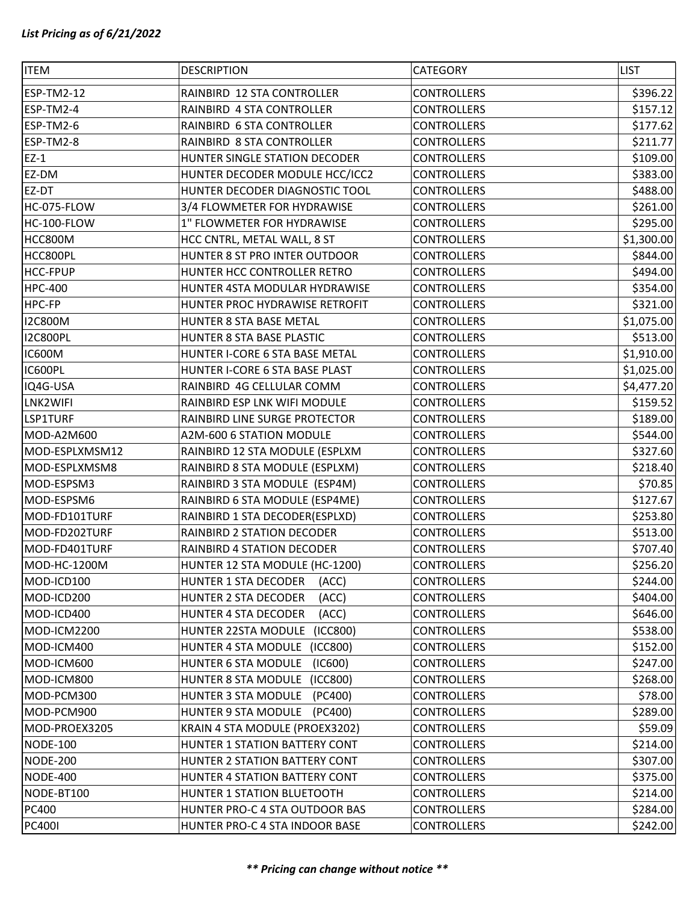| <b>ITEM</b>     | <b>DESCRIPTION</b>                   | CATEGORY           | <b>LIST</b> |
|-----------------|--------------------------------------|--------------------|-------------|
| ESP-TM2-12      | RAINBIRD 12 STA CONTROLLER           | <b>CONTROLLERS</b> | \$396.22    |
| ESP-TM2-4       | RAINBIRD 4 STA CONTROLLER            | <b>CONTROLLERS</b> | \$157.12    |
| ESP-TM2-6       | RAINBIRD 6 STA CONTROLLER            | <b>CONTROLLERS</b> | \$177.62    |
| ESP-TM2-8       | RAINBIRD 8 STA CONTROLLER            | CONTROLLERS        | \$211.77    |
| $EZ-1$          | HUNTER SINGLE STATION DECODER        | <b>CONTROLLERS</b> | \$109.00    |
| EZ-DM           | HUNTER DECODER MODULE HCC/ICC2       | <b>CONTROLLERS</b> | \$383.00    |
| EZ-DT           | HUNTER DECODER DIAGNOSTIC TOOL       | <b>CONTROLLERS</b> | \$488.00    |
| HC-075-FLOW     | 3/4 FLOWMETER FOR HYDRAWISE          | <b>CONTROLLERS</b> | \$261.00    |
| HC-100-FLOW     | 1" FLOWMETER FOR HYDRAWISE           | <b>CONTROLLERS</b> | \$295.00    |
| HCC800M         | HCC CNTRL, METAL WALL, 8 ST          | <b>CONTROLLERS</b> | \$1,300.00  |
| HCC800PL        | HUNTER 8 ST PRO INTER OUTDOOR        | <b>CONTROLLERS</b> | \$844.00    |
| <b>HCC-FPUP</b> | HUNTER HCC CONTROLLER RETRO          | <b>CONTROLLERS</b> | \$494.00    |
| <b>HPC-400</b>  | HUNTER 4STA MODULAR HYDRAWISE        | <b>CONTROLLERS</b> | \$354.00    |
| HPC-FP          | HUNTER PROC HYDRAWISE RETROFIT       | <b>CONTROLLERS</b> | \$321.00    |
| <b>I2C800M</b>  | HUNTER 8 STA BASE METAL              | <b>CONTROLLERS</b> | \$1,075.00  |
| <b>I2C800PL</b> | HUNTER 8 STA BASE PLASTIC            | <b>CONTROLLERS</b> | \$513.00    |
| <b>IC600M</b>   | HUNTER I-CORE 6 STA BASE METAL       | CONTROLLERS        | \$1,910.00  |
| IC600PL         | HUNTER I-CORE 6 STA BASE PLAST       | <b>CONTROLLERS</b> | \$1,025.00  |
| IQ4G-USA        | RAINBIRD 4G CELLULAR COMM            | <b>CONTROLLERS</b> | \$4,477.20  |
| LNK2WIFI        | RAINBIRD ESP LNK WIFI MODULE         | CONTROLLERS        | \$159.52    |
| LSP1TURF        | RAINBIRD LINE SURGE PROTECTOR        | CONTROLLERS        | \$189.00    |
| MOD-A2M600      | A2M-600 6 STATION MODULE             | <b>CONTROLLERS</b> | \$544.00    |
| MOD-ESPLXMSM12  | RAINBIRD 12 STA MODULE (ESPLXM       | <b>CONTROLLERS</b> | \$327.60    |
| MOD-ESPLXMSM8   | RAINBIRD 8 STA MODULE (ESPLXM)       | <b>CONTROLLERS</b> | \$218.40    |
| MOD-ESPSM3      | RAINBIRD 3 STA MODULE (ESP4M)        | <b>CONTROLLERS</b> | \$70.85     |
| MOD-ESPSM6      | RAINBIRD 6 STA MODULE (ESP4ME)       | <b>CONTROLLERS</b> | \$127.67    |
| MOD-FD101TURF   | RAINBIRD 1 STA DECODER(ESPLXD)       | <b>CONTROLLERS</b> | \$253.80    |
| MOD-FD202TURF   | RAINBIRD 2 STATION DECODER           | <b>CONTROLLERS</b> | \$513.00    |
| MOD-FD401TURF   | RAINBIRD 4 STATION DECODER           | <b>CONTROLLERS</b> | \$707.40    |
| MOD-HC-1200M    | HUNTER 12 STA MODULE (HC-1200)       | <b>CONTROLLERS</b> | \$256.20    |
| MOD-ICD100      | <b>HUNTER 1 STA DECODER</b><br>(ACC) | <b>CONTROLLERS</b> | \$244.00    |
| MOD-ICD200      | HUNTER 2 STA DECODER<br>(ACC)        | <b>CONTROLLERS</b> | \$404.00    |
| MOD-ICD400      | HUNTER 4 STA DECODER<br>(ACC)        | <b>CONTROLLERS</b> | \$646.00    |
| MOD-ICM2200     | HUNTER 22STA MODULE<br>(ICC800)      | <b>CONTROLLERS</b> | \$538.00    |
| MOD-ICM400      | HUNTER 4 STA MODULE (ICC800)         | <b>CONTROLLERS</b> | \$152.00    |
| MOD-ICM600      | HUNTER 6 STA MODULE<br>(IC600)       | <b>CONTROLLERS</b> | \$247.00    |
| MOD-ICM800      | HUNTER 8 STA MODULE (ICC800)         | <b>CONTROLLERS</b> | \$268.00    |
| MOD-PCM300      | HUNTER 3 STA MODULE (PC400)          | <b>CONTROLLERS</b> | \$78.00     |
| MOD-PCM900      | HUNTER 9 STA MODULE<br>(PC400)       | <b>CONTROLLERS</b> | \$289.00    |
| MOD-PROEX3205   | KRAIN 4 STA MODULE (PROEX3202)       | <b>CONTROLLERS</b> | \$59.09     |
| <b>NODE-100</b> | HUNTER 1 STATION BATTERY CONT        | <b>CONTROLLERS</b> | \$214.00    |
| <b>NODE-200</b> | HUNTER 2 STATION BATTERY CONT        | <b>CONTROLLERS</b> | \$307.00    |
| <b>NODE-400</b> | HUNTER 4 STATION BATTERY CONT        | <b>CONTROLLERS</b> | \$375.00    |
| NODE-BT100      | HUNTER 1 STATION BLUETOOTH           | <b>CONTROLLERS</b> | \$214.00    |
| <b>PC400</b>    | HUNTER PRO-C 4 STA OUTDOOR BAS       | <b>CONTROLLERS</b> | \$284.00    |
| <b>PC400I</b>   | HUNTER PRO-C 4 STA INDOOR BASE       | <b>CONTROLLERS</b> | \$242.00    |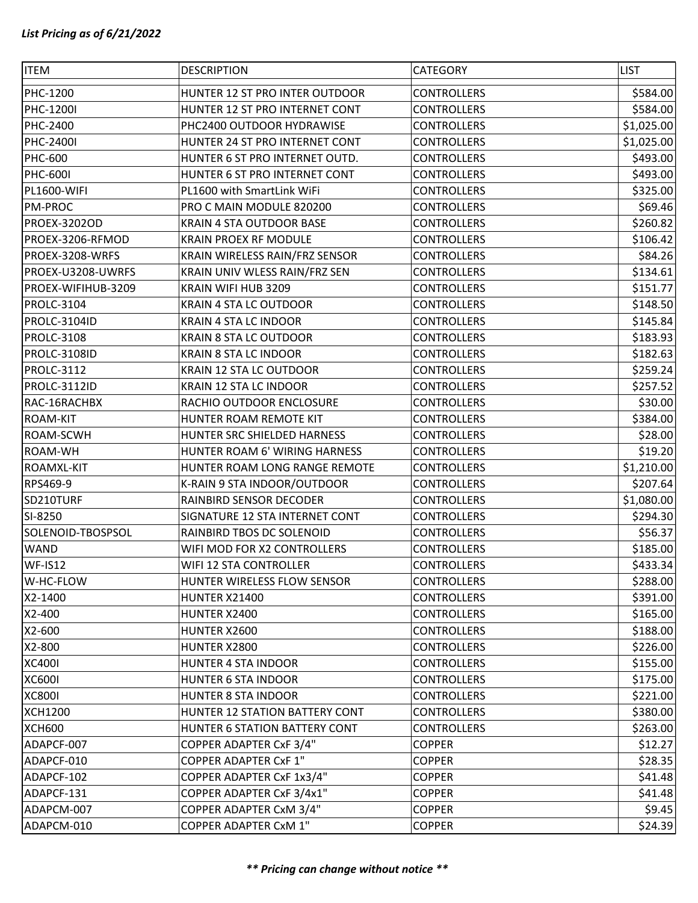| <b>ITEM</b>         | <b>DESCRIPTION</b>             | CATEGORY           | <b>LIST</b> |
|---------------------|--------------------------------|--------------------|-------------|
| PHC-1200            | HUNTER 12 ST PRO INTER OUTDOOR | <b>CONTROLLERS</b> | \$584.00    |
| PHC-1200I           | HUNTER 12 ST PRO INTERNET CONT | <b>CONTROLLERS</b> | \$584.00    |
| <b>PHC-2400</b>     | PHC2400 OUTDOOR HYDRAWISE      | <b>CONTROLLERS</b> | \$1,025.00  |
| <b>PHC-2400I</b>    | HUNTER 24 ST PRO INTERNET CONT | <b>CONTROLLERS</b> | \$1,025.00  |
| <b>PHC-600</b>      | HUNTER 6 ST PRO INTERNET OUTD. | <b>CONTROLLERS</b> | \$493.00    |
| <b>PHC-600I</b>     | HUNTER 6 ST PRO INTERNET CONT  | <b>CONTROLLERS</b> | \$493.00    |
| <b>PL1600-WIFI</b>  | PL1600 with SmartLink WiFi     | <b>CONTROLLERS</b> | \$325.00    |
| <b>PM-PROC</b>      | PRO C MAIN MODULE 820200       | <b>CONTROLLERS</b> | \$69.46     |
| PROEX-3202OD        | KRAIN 4 STA OUTDOOR BASE       | <b>CONTROLLERS</b> | \$260.82    |
| PROEX-3206-RFMOD    | <b>KRAIN PROEX RF MODULE</b>   | <b>CONTROLLERS</b> | \$106.42    |
| PROEX-3208-WRFS     | KRAIN WIRELESS RAIN/FRZ SENSOR | <b>CONTROLLERS</b> | \$84.26     |
| PROEX-U3208-UWRFS   | KRAIN UNIV WLESS RAIN/FRZ SEN  | <b>CONTROLLERS</b> | \$134.61    |
| PROEX-WIFIHUB-3209  | KRAIN WIFI HUB 3209            | <b>CONTROLLERS</b> | \$151.77    |
| PROLC-3104          | <b>KRAIN 4 STA LC OUTDOOR</b>  | <b>CONTROLLERS</b> | \$148.50    |
| <b>PROLC-3104ID</b> | <b>KRAIN 4 STA LC INDOOR</b>   | <b>CONTROLLERS</b> | \$145.84    |
| PROLC-3108          | <b>KRAIN 8 STA LC OUTDOOR</b>  | <b>CONTROLLERS</b> | \$183.93    |
| <b>PROLC-3108ID</b> | <b>KRAIN 8 STA LC INDOOR</b>   | <b>CONTROLLERS</b> | \$182.63    |
| PROLC-3112          | <b>KRAIN 12 STA LC OUTDOOR</b> | <b>CONTROLLERS</b> | \$259.24    |
| PROLC-3112ID        | KRAIN 12 STA LC INDOOR         | <b>CONTROLLERS</b> | \$257.52    |
| RAC-16RACHBX        | RACHIO OUTDOOR ENCLOSURE       | <b>CONTROLLERS</b> | \$30.00     |
| <b>ROAM-KIT</b>     | HUNTER ROAM REMOTE KIT         | <b>CONTROLLERS</b> | \$384.00    |
| ROAM-SCWH           | HUNTER SRC SHIELDED HARNESS    | <b>CONTROLLERS</b> | \$28.00     |
| ROAM-WH             | HUNTER ROAM 6' WIRING HARNESS  | <b>CONTROLLERS</b> | \$19.20     |
| ROAMXL-KIT          | HUNTER ROAM LONG RANGE REMOTE  | <b>CONTROLLERS</b> | \$1,210.00  |
| RPS469-9            | K-RAIN 9 STA INDOOR/OUTDOOR    | <b>CONTROLLERS</b> | \$207.64    |
| SD210TURF           | RAINBIRD SENSOR DECODER        | <b>CONTROLLERS</b> | \$1,080.00  |
| SI-8250             | SIGNATURE 12 STA INTERNET CONT | <b>CONTROLLERS</b> | \$294.30    |
| SOLENOID-TBOSPSOL   | RAINBIRD TBOS DC SOLENOID      | <b>CONTROLLERS</b> | \$56.37     |
| <b>WAND</b>         | WIFI MOD FOR X2 CONTROLLERS    | <b>CONTROLLERS</b> | \$185.00    |
| <b>WF-IS12</b>      | WIFI 12 STA CONTROLLER         | <b>CONTROLLERS</b> | \$433.34    |
| W-HC-FLOW           | HUNTER WIRELESS FLOW SENSOR    | <b>CONTROLLERS</b> | \$288.00    |
| X2-1400             | <b>HUNTER X21400</b>           | <b>CONTROLLERS</b> | \$391.00    |
| X2-400              | HUNTER X2400                   | <b>CONTROLLERS</b> | \$165.00    |
| X2-600              | HUNTER X2600                   | <b>CONTROLLERS</b> | \$188.00    |
| X2-800              | HUNTER X2800                   | <b>CONTROLLERS</b> | \$226.00    |
| <b>XC400I</b>       | HUNTER 4 STA INDOOR            | <b>CONTROLLERS</b> | \$155.00    |
| <b>XC600I</b>       | <b>HUNTER 6 STA INDOOR</b>     | <b>CONTROLLERS</b> | \$175.00    |
| <b>XC800I</b>       | HUNTER 8 STA INDOOR            | <b>CONTROLLERS</b> | \$221.00    |
| <b>XCH1200</b>      | HUNTER 12 STATION BATTERY CONT | <b>CONTROLLERS</b> | \$380.00    |
| <b>XCH600</b>       | HUNTER 6 STATION BATTERY CONT  | <b>CONTROLLERS</b> | \$263.00    |
| ADAPCF-007          | COPPER ADAPTER CxF 3/4"        | <b>COPPER</b>      | \$12.27     |
| ADAPCF-010          | <b>COPPER ADAPTER CxF 1"</b>   | <b>COPPER</b>      | \$28.35     |
| ADAPCF-102          | COPPER ADAPTER CxF 1x3/4"      | <b>COPPER</b>      | \$41.48     |
| ADAPCF-131          | COPPER ADAPTER CxF 3/4x1"      | <b>COPPER</b>      | \$41.48     |
| ADAPCM-007          | COPPER ADAPTER CxM 3/4"        | <b>COPPER</b>      | \$9.45      |
| ADAPCM-010          | <b>COPPER ADAPTER CxM 1"</b>   | <b>COPPER</b>      | \$24.39     |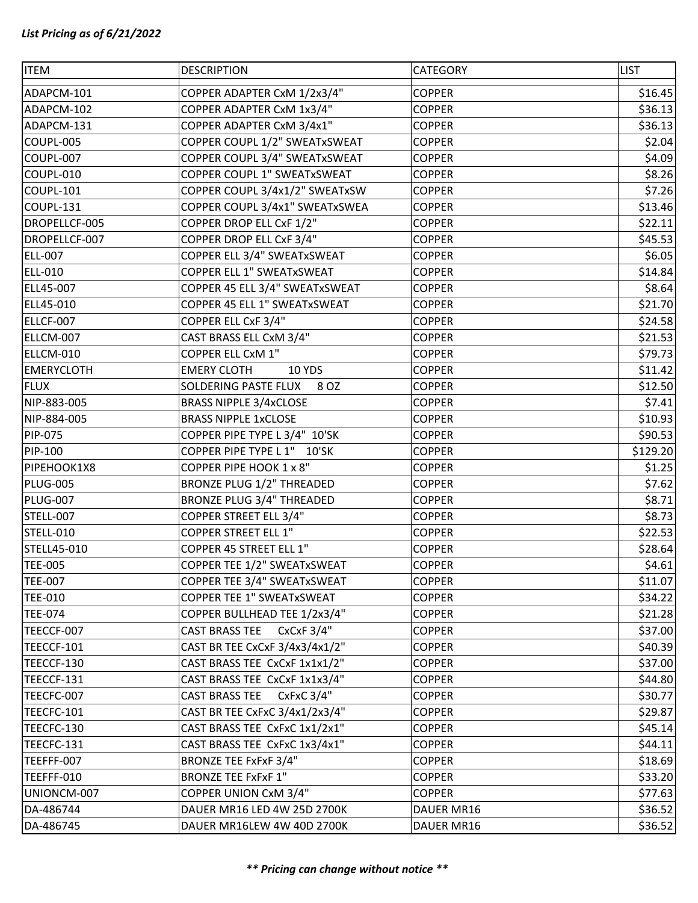| <b>ITEM</b>       | <b>DESCRIPTION</b>                    | <b>CATEGORY</b> | <b>LIST</b> |
|-------------------|---------------------------------------|-----------------|-------------|
| ADAPCM-101        | COPPER ADAPTER CxM 1/2x3/4"           | <b>COPPER</b>   | \$16.45     |
| ADAPCM-102        | COPPER ADAPTER CxM 1x3/4"             | <b>COPPER</b>   | \$36.13     |
| ADAPCM-131        | COPPER ADAPTER CxM 3/4x1"             | <b>COPPER</b>   | \$36.13     |
| COUPL-005         | COPPER COUPL 1/2" SWEATxSWEAT         | <b>COPPER</b>   | \$2.04      |
| COUPL-007         | COPPER COUPL 3/4" SWEATxSWEAT         | <b>COPPER</b>   | \$4.09      |
| COUPL-010         | COPPER COUPL 1" SWEATxSWEAT           | <b>COPPER</b>   | \$8.26      |
| COUPL-101         | COPPER COUPL 3/4x1/2" SWEATxSW        | <b>COPPER</b>   | \$7.26      |
| COUPL-131         | COPPER COUPL 3/4x1" SWEATxSWEA        | <b>COPPER</b>   | \$13.46     |
| DROPELLCF-005     | COPPER DROP ELL CxF 1/2"              | <b>COPPER</b>   | \$22.11     |
| DROPELLCF-007     | COPPER DROP ELL CxF 3/4"              | <b>COPPER</b>   | \$45.53     |
| <b>ELL-007</b>    | COPPER ELL 3/4" SWEATxSWEAT           | <b>COPPER</b>   | \$6.05      |
| <b>ELL-010</b>    | COPPER ELL 1" SWEATxSWEAT             | <b>COPPER</b>   | \$14.84     |
| ELL45-007         | COPPER 45 ELL 3/4" SWEATxSWEAT        | <b>COPPER</b>   | \$8.64      |
| ELL45-010         | COPPER 45 ELL 1" SWEATxSWEAT          | <b>COPPER</b>   | \$21.70     |
| ELLCF-007         | COPPER ELL CxF 3/4"                   | <b>COPPER</b>   | \$24.58     |
| ELLCM-007         | CAST BRASS ELL CxM 3/4"               | <b>COPPER</b>   | \$21.53     |
| ELLCM-010         | <b>COPPER ELL CxM 1"</b>              | <b>COPPER</b>   | \$79.73     |
| <b>EMERYCLOTH</b> | <b>EMERY CLOTH</b><br><b>10 YDS</b>   | <b>COPPER</b>   | \$11.42     |
| <b>FLUX</b>       | SOLDERING PASTE FLUX<br>8 OZ          | <b>COPPER</b>   | \$12.50     |
| NIP-883-005       | <b>BRASS NIPPLE 3/4xCLOSE</b>         | <b>COPPER</b>   | \$7.41      |
| NIP-884-005       | <b>BRASS NIPPLE 1xCLOSE</b>           | <b>COPPER</b>   | \$10.93     |
| PIP-075           | COPPER PIPE TYPE L 3/4" 10'SK         | <b>COPPER</b>   | \$90.53     |
| PIP-100           | COPPER PIPE TYPE L 1" 10'SK           | <b>COPPER</b>   | \$129.20    |
| PIPEHOOK1X8       | COPPER PIPE HOOK 1 x 8"               | <b>COPPER</b>   | \$1.25      |
| <b>PLUG-005</b>   | <b>BRONZE PLUG 1/2" THREADED</b>      | <b>COPPER</b>   | \$7.62      |
| PLUG-007          | <b>BRONZE PLUG 3/4" THREADED</b>      | <b>COPPER</b>   | \$8.71      |
| STELL-007         | COPPER STREET ELL 3/4"                | <b>COPPER</b>   | \$8.73      |
| STELL-010         | <b>COPPER STREET ELL 1"</b>           | <b>COPPER</b>   | \$22.53     |
| STELL45-010       | COPPER 45 STREET ELL 1"               | <b>COPPER</b>   | \$28.64     |
| <b>TEE-005</b>    | COPPER TEE 1/2" SWEATxSWEAT           | <b>COPPER</b>   | \$4.61      |
| <b>TEE-007</b>    | COPPER TEE 3/4" SWEATxSWEAT           | <b>COPPER</b>   | \$11.07     |
| <b>TEE-010</b>    | COPPER TEE 1" SWEATxSWEAT             | <b>COPPER</b>   | \$34.22     |
| <b>TEE-074</b>    | COPPER BULLHEAD TEE 1/2x3/4"          | <b>COPPER</b>   | \$21.28     |
| TEECCF-007        | <b>CAST BRASS TEE</b><br>CxCxF $3/4"$ | <b>COPPER</b>   | \$37.00     |
| TEECCF-101        | CAST BR TEE CxCxF 3/4x3/4x1/2"        | <b>COPPER</b>   | \$40.39     |
| TEECCF-130        | CAST BRASS TEE CxCxF 1x1x1/2"         | <b>COPPER</b>   | \$37.00     |
| TEECCF-131        | CAST BRASS TEE CxCxF 1x1x3/4"         | <b>COPPER</b>   | \$44.80     |
| TEECFC-007        | <b>CAST BRASS TEE</b><br>CxFxC 3/4"   | <b>COPPER</b>   | \$30.77     |
| TEECFC-101        | CAST BR TEE CxFxC 3/4x1/2x3/4"        | <b>COPPER</b>   | \$29.87     |
| TEECFC-130        | CAST BRASS TEE CxFxC 1x1/2x1"         | <b>COPPER</b>   | \$45.14     |
| TEECFC-131        | CAST BRASS TEE CxFxC 1x3/4x1"         | <b>COPPER</b>   | \$44.11     |
| TEEFFF-007        | <b>BRONZE TEE FxFxF 3/4"</b>          | <b>COPPER</b>   | \$18.69     |
| TEEFFF-010        | <b>BRONZE TEE FxFxF 1"</b>            | <b>COPPER</b>   | \$33.20     |
| UNIONCM-007       | COPPER UNION CxM 3/4"                 | <b>COPPER</b>   | \$77.63     |
| DA-486744         | DAUER MR16 LED 4W 25D 2700K           | DAUER MR16      | \$36.52     |
| DA-486745         | DAUER MR16LEW 4W 40D 2700K            | DAUER MR16      | \$36.52     |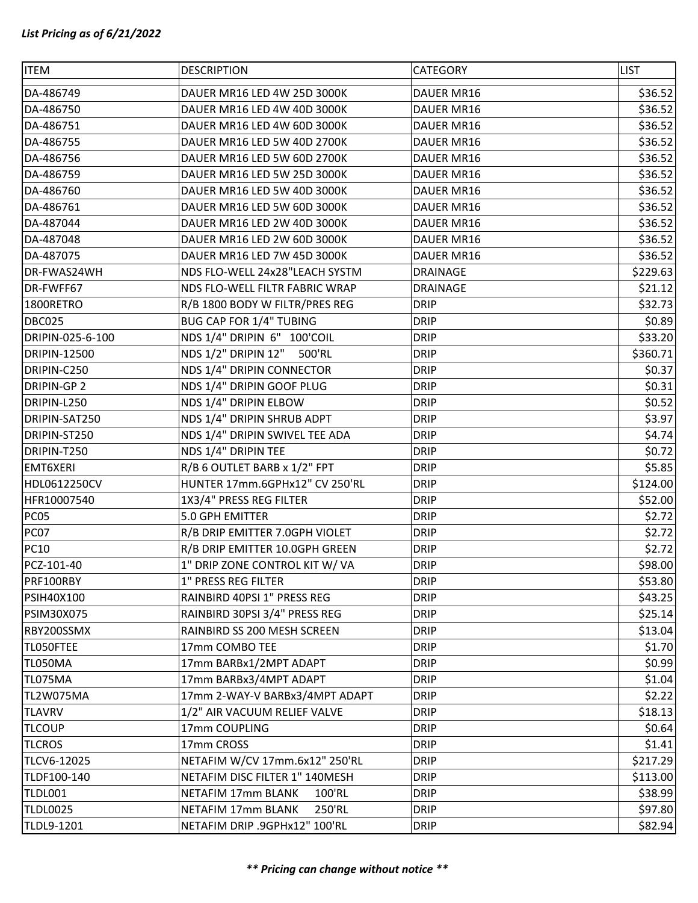| <b>ITEM</b>         | <b>DESCRIPTION</b>                  | CATEGORY          | <b>LIST</b> |
|---------------------|-------------------------------------|-------------------|-------------|
| DA-486749           | DAUER MR16 LED 4W 25D 3000K         | DAUER MR16        | \$36.52     |
| DA-486750           | DAUER MR16 LED 4W 40D 3000K         | DAUER MR16        | \$36.52     |
| DA-486751           | DAUER MR16 LED 4W 60D 3000K         | <b>DAUER MR16</b> | \$36.52     |
| DA-486755           | DAUER MR16 LED 5W 40D 2700K         | DAUER MR16        | \$36.52     |
| DA-486756           | DAUER MR16 LED 5W 60D 2700K         | DAUER MR16        | \$36.52     |
| DA-486759           | DAUER MR16 LED 5W 25D 3000K         | DAUER MR16        | \$36.52     |
| DA-486760           | DAUER MR16 LED 5W 40D 3000K         | DAUER MR16        | \$36.52     |
| DA-486761           | DAUER MR16 LED 5W 60D 3000K         | DAUER MR16        | \$36.52     |
| DA-487044           | DAUER MR16 LED 2W 40D 3000K         | DAUER MR16        | \$36.52     |
| DA-487048           | DAUER MR16 LED 2W 60D 3000K         | DAUER MR16        | \$36.52     |
| DA-487075           | DAUER MR16 LED 7W 45D 3000K         | DAUER MR16        | \$36.52     |
| DR-FWAS24WH         | NDS FLO-WELL 24x28"LEACH SYSTM      | DRAINAGE          | \$229.63    |
| DR-FWFF67           | NDS FLO-WELL FILTR FABRIC WRAP      | <b>DRAINAGE</b>   | \$21.12     |
| 1800RETRO           | R/B 1800 BODY W FILTR/PRES REG      | <b>DRIP</b>       | \$32.73     |
| <b>DBC025</b>       | BUG CAP FOR 1/4" TUBING             | <b>DRIP</b>       | \$0.89      |
| DRIPIN-025-6-100    | NDS 1/4" DRIPIN 6" 100'COIL         | <b>DRIP</b>       | \$33.20     |
| <b>DRIPIN-12500</b> | NDS 1/2" DRIPIN 12" 500'RL          | <b>DRIP</b>       | \$360.71    |
| DRIPIN-C250         | NDS 1/4" DRIPIN CONNECTOR           | <b>DRIP</b>       | \$0.37      |
| DRIPIN-GP 2         | NDS 1/4" DRIPIN GOOF PLUG           | <b>DRIP</b>       | \$0.31      |
| DRIPIN-L250         | NDS 1/4" DRIPIN ELBOW               | <b>DRIP</b>       | \$0.52      |
| DRIPIN-SAT250       | NDS 1/4" DRIPIN SHRUB ADPT          | <b>DRIP</b>       | \$3.97      |
| DRIPIN-ST250        | NDS 1/4" DRIPIN SWIVEL TEE ADA      | <b>DRIP</b>       | \$4.74      |
| DRIPIN-T250         | NDS 1/4" DRIPIN TEE                 | <b>DRIP</b>       | \$0.72      |
| <b>EMT6XERI</b>     | R/B 6 OUTLET BARB x 1/2" FPT        | <b>DRIP</b>       | \$5.85      |
| HDL0612250CV        | HUNTER 17mm.6GPHx12" CV 250'RL      | <b>DRIP</b>       | \$124.00    |
| HFR10007540         | 1X3/4" PRESS REG FILTER             | <b>DRIP</b>       | \$52.00     |
| PC05                | 5.0 GPH EMITTER                     | <b>DRIP</b>       | \$2.72      |
| PC07                | R/B DRIP EMITTER 7.0GPH VIOLET      | <b>DRIP</b>       | \$2.72      |
| <b>PC10</b>         | R/B DRIP EMITTER 10.0GPH GREEN      | <b>DRIP</b>       | \$2.72      |
| PCZ-101-40          | 1" DRIP ZONE CONTROL KIT W/ VA      | <b>DRIP</b>       | \$98.00     |
| PRF100RBY           | 1" PRESS REG FILTER                 | <b>DRIP</b>       | \$53.80     |
| <b>PSIH40X100</b>   | RAINBIRD 40PSI 1" PRESS REG         | <b>DRIP</b>       | \$43.25     |
| <b>PSIM30X075</b>   | RAINBIRD 30PSI 3/4" PRESS REG       | <b>DRIP</b>       | \$25.14     |
| RBY200SSMX          | RAINBIRD SS 200 MESH SCREEN         | <b>DRIP</b>       | \$13.04     |
| TLO50FTEE           | 17mm COMBO TEE                      | <b>DRIP</b>       | \$1.70      |
| TL050MA             | 17mm BARBx1/2MPT ADAPT              | <b>DRIP</b>       | \$0.99      |
| TL075MA             | 17mm BARBx3/4MPT ADAPT              | <b>DRIP</b>       | \$1.04      |
| TL2W075MA           | 17mm 2-WAY-V BARBx3/4MPT ADAPT      | <b>DRIP</b>       | \$2.22      |
| <b>TLAVRV</b>       | 1/2" AIR VACUUM RELIEF VALVE        | <b>DRIP</b>       | \$18.13     |
| <b>TLCOUP</b>       | 17mm COUPLING                       | <b>DRIP</b>       | \$0.64      |
| <b>TLCROS</b>       | 17mm CROSS                          | <b>DRIP</b>       | \$1.41      |
| TLCV6-12025         | NETAFIM W/CV 17mm.6x12" 250'RL      | <b>DRIP</b>       | \$217.29    |
| TLDF100-140         | NETAFIM DISC FILTER 1" 140MESH      | <b>DRIP</b>       | \$113.00    |
| TLDL001             | <b>NETAFIM 17mm BLANK</b><br>100'RL | <b>DRIP</b>       | \$38.99     |
| TLDL0025            | NETAFIM 17mm BLANK<br>250'RL        | <b>DRIP</b>       | \$97.80     |
| TLDL9-1201          | NETAFIM DRIP .9GPHx12" 100'RL       | <b>DRIP</b>       | \$82.94     |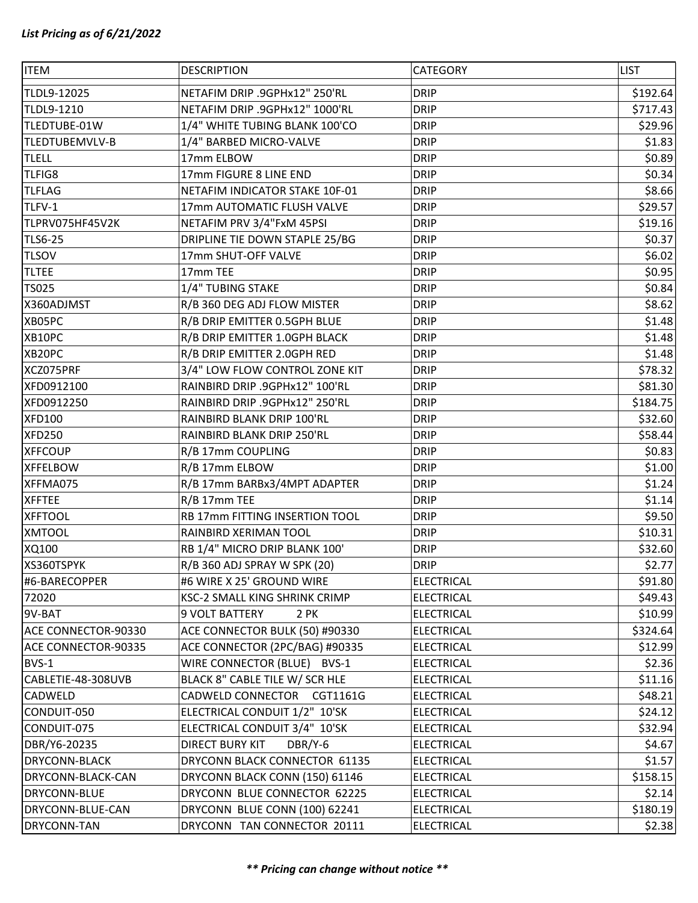| <b>ITEM</b>         | <b>DESCRIPTION</b>                | CATEGORY          | <b>LIST</b> |
|---------------------|-----------------------------------|-------------------|-------------|
| TLDL9-12025         | NETAFIM DRIP .9GPHx12" 250'RL     | <b>DRIP</b>       | \$192.64    |
| TLDL9-1210          | NETAFIM DRIP .9GPHx12" 1000'RL    | <b>DRIP</b>       | \$717.43    |
| TLEDTUBE-01W        | 1/4" WHITE TUBING BLANK 100'CO    | <b>DRIP</b>       | \$29.96     |
| TLEDTUBEMVLV-B      | 1/4" BARBED MICRO-VALVE           | <b>DRIP</b>       | \$1.83      |
| <b>TLELL</b>        | 17mm ELBOW                        | <b>DRIP</b>       | \$0.89      |
| TLFIG8              | 17mm FIGURE 8 LINE END            | <b>DRIP</b>       | \$0.34      |
| <b>TLFLAG</b>       | NETAFIM INDICATOR STAKE 10F-01    | <b>DRIP</b>       | \$8.66      |
| TLFV-1              | 17mm AUTOMATIC FLUSH VALVE        | <b>DRIP</b>       | \$29.57     |
| TLPRV075HF45V2K     | NETAFIM PRV 3/4"FxM 45PSI         | <b>DRIP</b>       | \$19.16     |
| <b>TLS6-25</b>      | DRIPLINE TIE DOWN STAPLE 25/BG    | <b>DRIP</b>       | \$0.37      |
| <b>TLSOV</b>        | 17mm SHUT-OFF VALVE               | <b>DRIP</b>       | \$6.02      |
| <b>TLTEE</b>        | 17mm TEE                          | <b>DRIP</b>       | \$0.95      |
| <b>TS025</b>        | 1/4" TUBING STAKE                 | <b>DRIP</b>       | \$0.84      |
| X360ADJMST          | R/B 360 DEG ADJ FLOW MISTER       | <b>DRIP</b>       | \$8.62      |
| XB05PC              | R/B DRIP EMITTER 0.5GPH BLUE      | <b>DRIP</b>       | \$1.48      |
| XB10PC              | R/B DRIP EMITTER 1.0GPH BLACK     | <b>DRIP</b>       | \$1.48      |
| XB20PC              | R/B DRIP EMITTER 2.0GPH RED       | <b>DRIP</b>       | \$1.48      |
| XCZ075PRF           | 3/4" LOW FLOW CONTROL ZONE KIT    | <b>DRIP</b>       | \$78.32     |
| XFD0912100          | RAINBIRD DRIP .9GPHx12" 100'RL    | <b>DRIP</b>       | \$81.30     |
| XFD0912250          | RAINBIRD DRIP .9GPHx12" 250'RL    | <b>DRIP</b>       | \$184.75    |
| <b>XFD100</b>       | RAINBIRD BLANK DRIP 100'RL        | <b>DRIP</b>       | \$32.60     |
| <b>XFD250</b>       | RAINBIRD BLANK DRIP 250'RL        | <b>DRIP</b>       | \$58.44     |
| <b>XFFCOUP</b>      | R/B 17mm COUPLING                 | <b>DRIP</b>       | \$0.83      |
| <b>XFFELBOW</b>     | R/B 17mm ELBOW                    | <b>DRIP</b>       | \$1.00      |
| XFFMA075            | R/B 17mm BARBx3/4MPT ADAPTER      | <b>DRIP</b>       | \$1.24      |
| <b>XFFTEE</b>       | R/B 17mm TEE                      | <b>DRIP</b>       | \$1.14      |
| <b>XFFTOOL</b>      | RB 17mm FITTING INSERTION TOOL    | <b>DRIP</b>       | \$9.50      |
| <b>XMTOOL</b>       | RAINBIRD XERIMAN TOOL             | <b>DRIP</b>       | \$10.31     |
| XQ100               | RB 1/4" MICRO DRIP BLANK 100'     | <b>DRIP</b>       | \$32.60     |
| XS360TSPYK          | R/B 360 ADJ SPRAY W SPK (20)      | <b>DRIP</b>       | \$2.77      |
| #6-BARECOPPER       | #6 WIRE X 25' GROUND WIRE         | <b>ELECTRICAL</b> | \$91.80     |
| 72020               | KSC-2 SMALL KING SHRINK CRIMP     | <b>ELECTRICAL</b> | \$49.43     |
| 9V-BAT              | 9 VOLT BATTERY<br>2 PK            | <b>ELECTRICAL</b> | \$10.99     |
| ACE CONNECTOR-90330 | ACE CONNECTOR BULK (50) #90330    | <b>ELECTRICAL</b> | \$324.64    |
| ACE CONNECTOR-90335 | ACE CONNECTOR (2PC/BAG) #90335    | <b>ELECTRICAL</b> | \$12.99     |
| BVS-1               | WIRE CONNECTOR (BLUE) BVS-1       | <b>ELECTRICAL</b> | \$2.36      |
| CABLETIE-48-308UVB  | BLACK 8" CABLE TILE W/ SCR HLE    | <b>ELECTRICAL</b> | \$11.16     |
| CADWELD             | CADWELD CONNECTOR CGT1161G        | <b>ELECTRICAL</b> | \$48.21     |
| CONDUIT-050         | ELECTRICAL CONDUIT 1/2" 10'SK     | <b>ELECTRICAL</b> | \$24.12     |
| CONDUIT-075         | ELECTRICAL CONDUIT 3/4" 10'SK     | <b>ELECTRICAL</b> | \$32.94     |
| DBR/Y6-20235        | <b>DIRECT BURY KIT</b><br>DBR/Y-6 | <b>ELECTRICAL</b> | \$4.67      |
| DRYCONN-BLACK       | DRYCONN BLACK CONNECTOR 61135     | <b>ELECTRICAL</b> | \$1.57      |
| DRYCONN-BLACK-CAN   | DRYCONN BLACK CONN (150) 61146    | <b>ELECTRICAL</b> | \$158.15    |
| <b>DRYCONN-BLUE</b> | DRYCONN BLUE CONNECTOR 62225      | <b>ELECTRICAL</b> | \$2.14      |
| DRYCONN-BLUE-CAN    | DRYCONN BLUE CONN (100) 62241     | <b>ELECTRICAL</b> | \$180.19    |
| DRYCONN-TAN         | DRYCONN TAN CONNECTOR 20111       | <b>ELECTRICAL</b> | \$2.38      |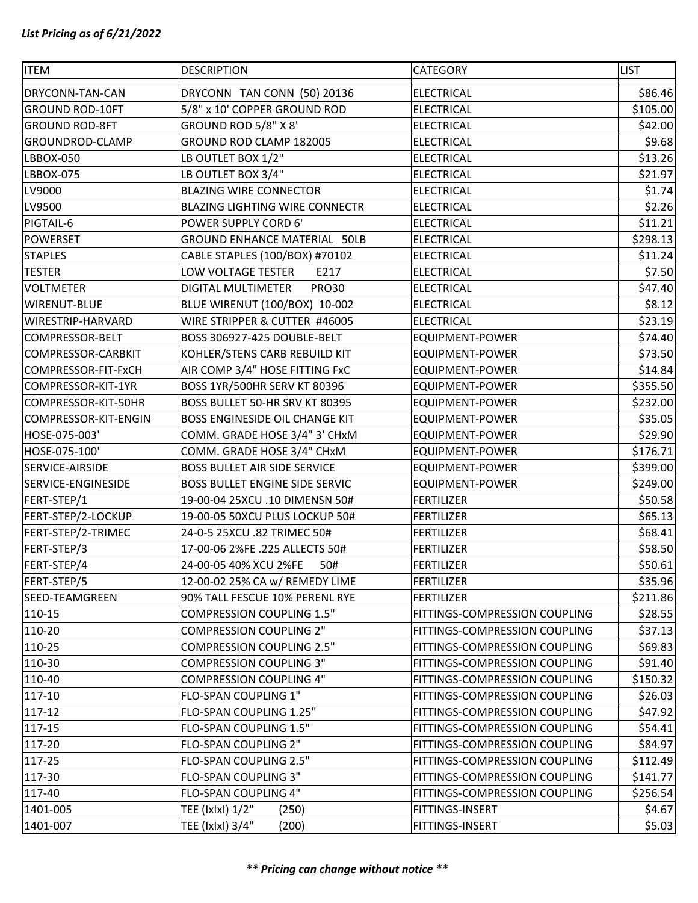| <b>ITEM</b>            | <b>DESCRIPTION</b>                    | CATEGORY                      | <b>LIST</b> |
|------------------------|---------------------------------------|-------------------------------|-------------|
| DRYCONN-TAN-CAN        | DRYCONN TAN CONN (50) 20136           | <b>ELECTRICAL</b>             | \$86.46     |
| <b>GROUND ROD-10FT</b> | 5/8" x 10' COPPER GROUND ROD          | <b>ELECTRICAL</b>             | \$105.00    |
| <b>GROUND ROD-8FT</b>  | GROUND ROD 5/8" X 8'                  | <b>ELECTRICAL</b>             | \$42.00     |
| GROUNDROD-CLAMP        | GROUND ROD CLAMP 182005               | <b>ELECTRICAL</b>             | \$9.68      |
| LBBOX-050              | LB OUTLET BOX 1/2"                    | <b>ELECTRICAL</b>             | \$13.26     |
| LBBOX-075              | LB OUTLET BOX 3/4"                    | <b>ELECTRICAL</b>             | \$21.97     |
| LV9000                 | <b>BLAZING WIRE CONNECTOR</b>         | <b>ELECTRICAL</b>             | \$1.74      |
| LV9500                 | <b>BLAZING LIGHTING WIRE CONNECTR</b> | <b>ELECTRICAL</b>             | \$2.26      |
| PIGTAIL-6              | POWER SUPPLY CORD 6'                  | <b>ELECTRICAL</b>             | \$11.21     |
| <b>POWERSET</b>        | <b>GROUND ENHANCE MATERIAL 50LB</b>   | <b>ELECTRICAL</b>             | \$298.13    |
| <b>STAPLES</b>         | CABLE STAPLES (100/BOX) #70102        | <b>ELECTRICAL</b>             | \$11.24     |
| <b>TESTER</b>          | LOW VOLTAGE TESTER<br>E217            | <b>ELECTRICAL</b>             | \$7.50      |
| <b>VOLTMETER</b>       | DIGITAL MULTIMETER<br><b>PRO30</b>    | <b>ELECTRICAL</b>             | \$47.40     |
| <b>WIRENUT-BLUE</b>    | BLUE WIRENUT (100/BOX) 10-002         | <b>ELECTRICAL</b>             | \$8.12      |
| WIRESTRIP-HARVARD      | WIRE STRIPPER & CUTTER #46005         | <b>ELECTRICAL</b>             | \$23.19     |
| COMPRESSOR-BELT        | BOSS 306927-425 DOUBLE-BELT           | EQUIPMENT-POWER               | \$74.40     |
| COMPRESSOR-CARBKIT     | KOHLER/STENS CARB REBUILD KIT         | <b>EQUIPMENT-POWER</b>        | \$73.50     |
| COMPRESSOR-FIT-FxCH    | AIR COMP 3/4" HOSE FITTING FxC        | EQUIPMENT-POWER               | \$14.84     |
| COMPRESSOR-KIT-1YR     | BOSS 1YR/500HR SERV KT 80396          | <b>EQUIPMENT-POWER</b>        | \$355.50    |
| COMPRESSOR-KIT-50HR    | BOSS BULLET 50-HR SRV KT 80395        | EQUIPMENT-POWER               | \$232.00    |
| COMPRESSOR-KIT-ENGIN   | BOSS ENGINESIDE OIL CHANGE KIT        | <b>EQUIPMENT-POWER</b>        | \$35.05     |
| HOSE-075-003'          | COMM. GRADE HOSE 3/4" 3' CHxM         | EQUIPMENT-POWER               | \$29.90     |
| HOSE-075-100'          | COMM. GRADE HOSE 3/4" CHxM            | <b>EQUIPMENT-POWER</b>        | \$176.71    |
| SERVICE-AIRSIDE        | <b>BOSS BULLET AIR SIDE SERVICE</b>   | <b>EQUIPMENT-POWER</b>        | \$399.00    |
| SERVICE-ENGINESIDE     | BOSS BULLET ENGINE SIDE SERVIC        | <b>EQUIPMENT-POWER</b>        | \$249.00    |
| FERT-STEP/1            | 19-00-04 25XCU .10 DIMENSN 50#        | <b>FERTILIZER</b>             | \$50.58     |
| FERT-STEP/2-LOCKUP     | 19-00-05 50XCU PLUS LOCKUP 50#        | <b>FERTILIZER</b>             | \$65.13     |
| FERT-STEP/2-TRIMEC     | 24-0-5 25XCU .82 TRIMEC 50#           | <b>FERTILIZER</b>             | \$68.41     |
| FERT-STEP/3            | 17-00-06 2%FE .225 ALLECTS 50#        | <b>FERTILIZER</b>             | \$58.50     |
| FERT-STEP/4            | 24-00-05 40% XCU 2%FE<br>50#          | <b>FERTILIZER</b>             | \$50.61     |
| FERT-STEP/5            | 12-00-02 25% CA w/ REMEDY LIME        | <b>FERTILIZER</b>             | \$35.96     |
| SEED-TEAMGREEN         | 90% TALL FESCUE 10% PERENL RYE        | <b>FERTILIZER</b>             | \$211.86    |
| 110-15                 | <b>COMPRESSION COUPLING 1.5"</b>      | FITTINGS-COMPRESSION COUPLING | \$28.55     |
| 110-20                 | <b>COMPRESSION COUPLING 2"</b>        | FITTINGS-COMPRESSION COUPLING | \$37.13     |
| 110-25                 | <b>COMPRESSION COUPLING 2.5"</b>      | FITTINGS-COMPRESSION COUPLING | \$69.83     |
| 110-30                 | <b>COMPRESSION COUPLING 3"</b>        | FITTINGS-COMPRESSION COUPLING | \$91.40     |
| 110-40                 | <b>COMPRESSION COUPLING 4"</b>        | FITTINGS-COMPRESSION COUPLING | \$150.32    |
| 117-10                 | FLO-SPAN COUPLING 1"                  | FITTINGS-COMPRESSION COUPLING | \$26.03     |
| 117-12                 | FLO-SPAN COUPLING 1.25"               | FITTINGS-COMPRESSION COUPLING | \$47.92     |
| 117-15                 | FLO-SPAN COUPLING 1.5"                | FITTINGS-COMPRESSION COUPLING | \$54.41     |
| 117-20                 | FLO-SPAN COUPLING 2"                  | FITTINGS-COMPRESSION COUPLING | \$84.97     |
| 117-25                 | FLO-SPAN COUPLING 2.5"                | FITTINGS-COMPRESSION COUPLING | \$112.49    |
| 117-30                 | FLO-SPAN COUPLING 3"                  | FITTINGS-COMPRESSION COUPLING | \$141.77    |
| 117-40                 | FLO-SPAN COUPLING 4"                  | FITTINGS-COMPRESSION COUPLING | \$256.54    |
| 1401-005               | TEE (Ixlxl) 1/2"<br>(250)             | FITTINGS-INSERT               | \$4.67      |
| 1401-007               | TEE (IxIxI) 3/4"<br>(200)             | FITTINGS-INSERT               | \$5.03      |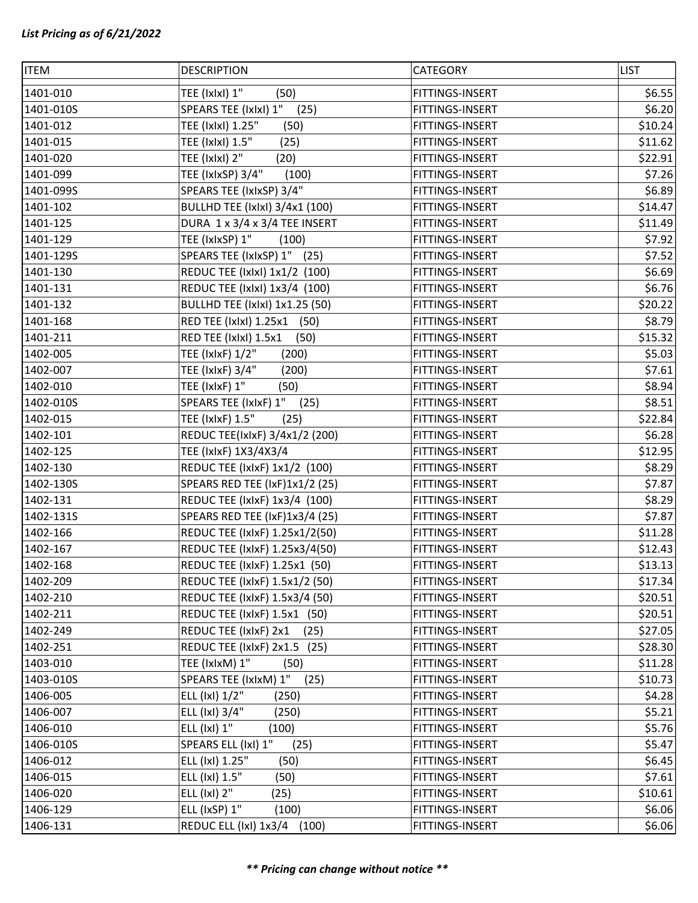| <b>ITEM</b> | <b>DESCRIPTION</b>                    | CATEGORY        | <b>LIST</b> |
|-------------|---------------------------------------|-----------------|-------------|
| 1401-010    | TEE (IxIxI) 1"<br>(50)                | FITTINGS-INSERT | \$6.55      |
| 1401-010S   | SPEARS TEE (IxIxI) 1"<br>(25)         | FITTINGS-INSERT | \$6.20      |
| 1401-012    | TEE (IxIxI) 1.25"<br>(50)             | FITTINGS-INSERT | \$10.24     |
| 1401-015    | TEE (IxIxI) 1.5"<br>(25)              | FITTINGS-INSERT | \$11.62     |
| 1401-020    | TEE (IxIxI) 2"<br>(20)                | FITTINGS-INSERT | \$22.91     |
| 1401-099    | TEE (IxIxSP) 3/4"<br>(100)            | FITTINGS-INSERT | \$7.26      |
| 1401-099S   | SPEARS TEE (IxIxSP) 3/4"              | FITTINGS-INSERT | \$6.89      |
| 1401-102    | <b>BULLHD TEE (IxIxI) 3/4x1 (100)</b> | FITTINGS-INSERT | \$14.47     |
| 1401-125    | DURA 1 x 3/4 x 3/4 TEE INSERT         | FITTINGS-INSERT | \$11.49     |
| 1401-129    | TEE (IxIxSP) 1"<br>(100)              | FITTINGS-INSERT | \$7.92      |
| 1401-129S   | SPEARS TEE (IxIxSP) 1" (25)           | FITTINGS-INSERT | \$7.52      |
| 1401-130    | REDUC TEE (IxIxI) 1x1/2 (100)         | FITTINGS-INSERT | \$6.69      |
| 1401-131    | REDUC TEE (IxIxI) 1x3/4 (100)         | FITTINGS-INSERT | \$6.76      |
| 1401-132    | <b>BULLHD TEE (IxIxI) 1x1.25 (50)</b> | FITTINGS-INSERT | \$20.22     |
| 1401-168    | RED TEE (Ixlxl) 1.25x1 (50)           | FITTINGS-INSERT | \$8.79      |
| 1401-211    | RED TEE (IxIxI) 1.5x1<br>(50)         | FITTINGS-INSERT | \$15.32     |
| 1402-005    | TEE (IxIxF) 1/2"<br>(200)             | FITTINGS-INSERT | \$5.03      |
| 1402-007    | TEE (IxIxF) 3/4"<br>(200)             | FITTINGS-INSERT | \$7.61      |
| 1402-010    | TEE (IxIxF) 1"<br>(50)                | FITTINGS-INSERT | \$8.94      |
| 1402-010S   | SPEARS TEE (IxIxF) 1"<br>(25)         | FITTINGS-INSERT | \$8.51      |
| 1402-015    | TEE (IxIxF) 1.5"<br>(25)              | FITTINGS-INSERT | \$22.84     |
| 1402-101    | REDUC TEE(IxIxF) 3/4x1/2 (200)        | FITTINGS-INSERT | \$6.28      |
| 1402-125    | TEE (IxIxF) 1X3/4X3/4                 | FITTINGS-INSERT | \$12.95     |
| 1402-130    | REDUC TEE (IxIxF) 1x1/2 (100)         | FITTINGS-INSERT | \$8.29      |
| 1402-130S   | SPEARS RED TEE (IxF)1x1/2 (25)        | FITTINGS-INSERT | \$7.87      |
| 1402-131    | REDUC TEE (IxIxF) 1x3/4 (100)         | FITTINGS-INSERT | \$8.29      |
| 1402-131S   | SPEARS RED TEE (IxF)1x3/4 (25)        | FITTINGS-INSERT | \$7.87      |
| 1402-166    | REDUC TEE (IxIxF) 1.25x1/2(50)        | FITTINGS-INSERT | \$11.28     |
| 1402-167    | REDUC TEE (IxIxF) 1.25x3/4(50)        | FITTINGS-INSERT | \$12.43     |
| 1402-168    | REDUC TEE (IxIxF) 1.25x1 (50)         | FITTINGS-INSERT | \$13.13     |
| 1402-209    | REDUC TEE (IxIxF) 1.5x1/2 (50)        | FITTINGS-INSERT | \$17.34     |
| 1402-210    | REDUC TEE (IxIxF) 1.5x3/4 (50)        | FITTINGS-INSERT | \$20.51     |
| 1402-211    | REDUC TEE (IxIxF) 1.5x1 (50)          | FITTINGS-INSERT | \$20.51     |
| 1402-249    | REDUC TEE (IxIxF) 2x1<br>(25)         | FITTINGS-INSERT | \$27.05     |
| 1402-251    | REDUC TEE (IxIxF) 2x1.5 (25)          | FITTINGS-INSERT | \$28.30     |
| 1403-010    | TEE (IxIxM) 1"<br>(50)                | FITTINGS-INSERT | \$11.28     |
| 1403-010S   | SPEARS TEE (IxIxM) 1"<br>(25)         | FITTINGS-INSERT | \$10.73     |
| 1406-005    | ELL (IxI) 1/2"<br>(250)               | FITTINGS-INSERT | \$4.28      |
| 1406-007    | ELL (IxI) 3/4"<br>(250)               | FITTINGS-INSERT | \$5.21      |
| 1406-010    | ELL (IxI) 1"<br>(100)                 | FITTINGS-INSERT | \$5.76      |
| 1406-010S   | SPEARS ELL (IxI) 1"<br>(25)           | FITTINGS-INSERT | \$5.47      |
| 1406-012    | ELL (IxI) 1.25"<br>(50)               | FITTINGS-INSERT | \$6.45      |
| 1406-015    | ELL (IxI) 1.5"<br>(50)                | FITTINGS-INSERT | \$7.61      |
| 1406-020    | ELL (IxI) 2"<br>(25)                  | FITTINGS-INSERT | \$10.61     |
| 1406-129    | ELL (IxSP) 1"<br>(100)                | FITTINGS-INSERT | \$6.06      |
| 1406-131    | REDUC ELL (IxI) 1x3/4 (100)           | FITTINGS-INSERT | \$6.06      |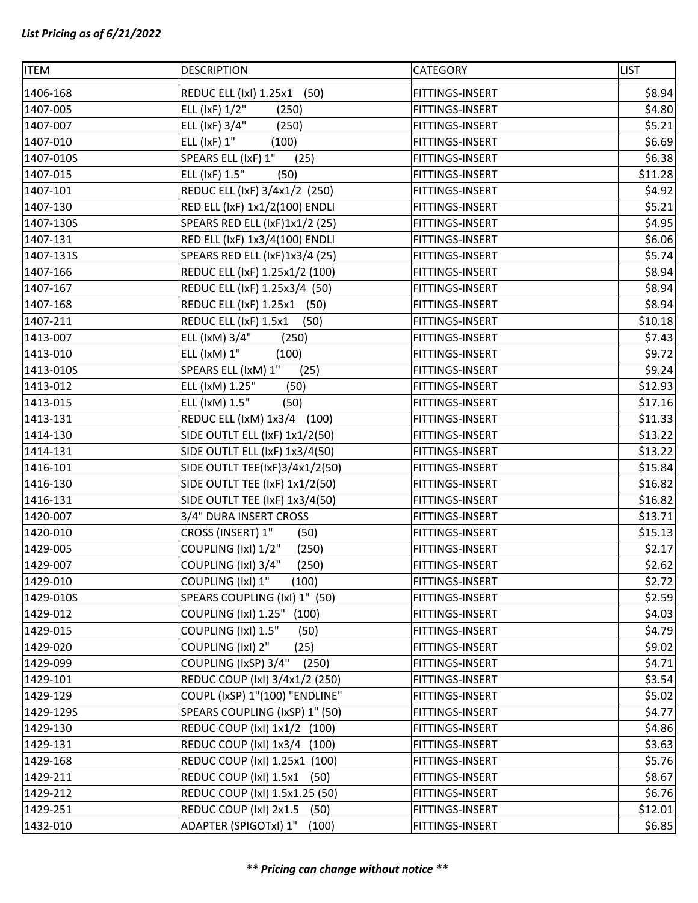| <b>ITEM</b> | <b>DESCRIPTION</b>             | <b>CATEGORY</b> | <b>LIST</b> |
|-------------|--------------------------------|-----------------|-------------|
| 1406-168    | REDUC ELL (IxI) 1.25x1<br>(50) | FITTINGS-INSERT | \$8.94      |
| 1407-005    | ELL (IxF) 1/2"<br>(250)        | FITTINGS-INSERT | \$4.80      |
| 1407-007    | ELL (IxF) 3/4"<br>(250)        | FITTINGS-INSERT | \$5.21      |
| 1407-010    | $ELL$ ( $lxF$ ) $1"$<br>(100)  | FITTINGS-INSERT | \$6.69      |
| 1407-010S   | SPEARS ELL (IxF) 1"<br>(25)    | FITTINGS-INSERT | \$6.38      |
| 1407-015    | ELL (IxF) 1.5"<br>(50)         | FITTINGS-INSERT | \$11.28     |
| 1407-101    | REDUC ELL (IxF) 3/4x1/2 (250)  | FITTINGS-INSERT | \$4.92      |
| 1407-130    | RED ELL (IxF) 1x1/2(100) ENDLI | FITTINGS-INSERT | \$5.21      |
| 1407-130S   | SPEARS RED ELL (IxF)1x1/2 (25) | FITTINGS-INSERT | \$4.95      |
| 1407-131    | RED ELL (IxF) 1x3/4(100) ENDLI | FITTINGS-INSERT | \$6.06      |
| 1407-131S   | SPEARS RED ELL (IxF)1x3/4 (25) | FITTINGS-INSERT | \$5.74      |
| 1407-166    | REDUC ELL (IxF) 1.25x1/2 (100) | FITTINGS-INSERT | \$8.94      |
| 1407-167    | REDUC ELL (IxF) 1.25x3/4 (50)  | FITTINGS-INSERT | \$8.94      |
| 1407-168    | REDUC ELL (IxF) 1.25x1 (50)    | FITTINGS-INSERT | \$8.94      |
| 1407-211    | REDUC ELL (IxF) 1.5x1<br>(50)  | FITTINGS-INSERT | \$10.18     |
| 1413-007    | ELL (IxM) 3/4"<br>(250)        | FITTINGS-INSERT | \$7.43      |
| 1413-010    | ELL (IxM) 1"<br>(100)          | FITTINGS-INSERT | \$9.72      |
| 1413-010S   | SPEARS ELL (IxM) 1"<br>(25)    | FITTINGS-INSERT | \$9.24      |
| 1413-012    | ELL (IxM) 1.25"<br>(50)        | FITTINGS-INSERT | \$12.93     |
| 1413-015    | ELL (IxM) 1.5"<br>(50)         | FITTINGS-INSERT | \$17.16     |
| 1413-131    | REDUC ELL (IxM) 1x3/4 (100)    | FITTINGS-INSERT | \$11.33     |
| 1414-130    | SIDE OUTLT ELL (IxF) 1x1/2(50) | FITTINGS-INSERT | \$13.22     |
| 1414-131    | SIDE OUTLT ELL (IxF) 1x3/4(50) | FITTINGS-INSERT | \$13.22     |
| 1416-101    | SIDE OUTLT TEE(IxF)3/4x1/2(50) | FITTINGS-INSERT | \$15.84     |
| 1416-130    | SIDE OUTLT TEE (IxF) 1x1/2(50) | FITTINGS-INSERT | \$16.82     |
| 1416-131    | SIDE OUTLT TEE (IxF) 1x3/4(50) | FITTINGS-INSERT | \$16.82     |
| 1420-007    | 3/4" DURA INSERT CROSS         | FITTINGS-INSERT | \$13.71     |
| 1420-010    | CROSS (INSERT) 1"<br>(50)      | FITTINGS-INSERT | \$15.13     |
| 1429-005    | COUPLING (IxI) 1/2"<br>(250)   | FITTINGS-INSERT | \$2.17      |
| 1429-007    | COUPLING (IxI) 3/4"<br>(250)   | FITTINGS-INSERT | \$2.62      |
| 1429-010    | COUPLING (IxI) 1"<br>(100)     | FITTINGS-INSERT | \$2.72      |
| 1429-010S   | SPEARS COUPLING (IxI) 1" (50)  | FITTINGS-INSERT | \$2.59      |
| 1429-012    | COUPLING (IxI) 1.25" (100)     | FITTINGS-INSERT | \$4.03      |
| 1429-015    | COUPLING (IxI) 1.5"<br>(50)    | FITTINGS-INSERT | \$4.79      |
| 1429-020    | COUPLING (IxI) 2"<br>(25)      | FITTINGS-INSERT | \$9.02      |
| 1429-099    | COUPLING (IxSP) 3/4"<br>(250)  | FITTINGS-INSERT | \$4.71      |
| 1429-101    | REDUC COUP (IxI) 3/4x1/2 (250) | FITTINGS-INSERT | \$3.54      |
| 1429-129    | COUPL (IxSP) 1"(100) "ENDLINE" | FITTINGS-INSERT | \$5.02      |
| 1429-129S   | SPEARS COUPLING (IxSP) 1" (50) | FITTINGS-INSERT | \$4.77      |
| 1429-130    | REDUC COUP (IxI) 1x1/2 (100)   | FITTINGS-INSERT | \$4.86      |
| 1429-131    | REDUC COUP (IxI) 1x3/4 (100)   | FITTINGS-INSERT | \$3.63      |
| 1429-168    | REDUC COUP (IxI) 1.25x1 (100)  | FITTINGS-INSERT | \$5.76      |
| 1429-211    | REDUC COUP (IxI) 1.5x1 (50)    | FITTINGS-INSERT | \$8.67      |
| 1429-212    | REDUC COUP (IxI) 1.5x1.25 (50) | FITTINGS-INSERT | \$6.76      |
| 1429-251    | REDUC COUP (IxI) 2x1.5<br>(50) | FITTINGS-INSERT | \$12.01     |
| 1432-010    | ADAPTER (SPIGOTxI) 1"<br>(100) | FITTINGS-INSERT | \$6.85      |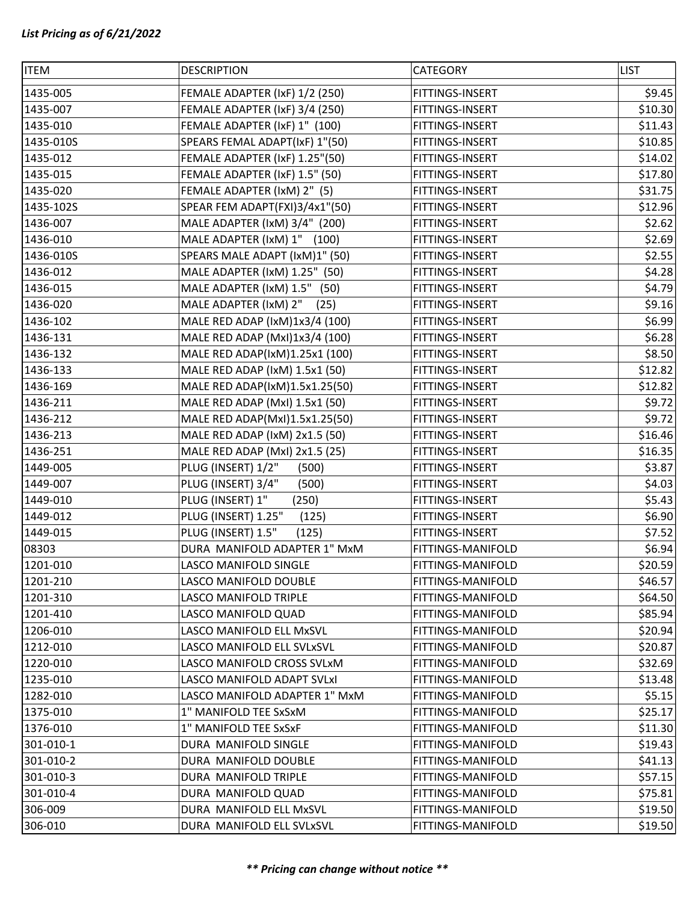| <b>ITEM</b> | <b>DESCRIPTION</b>             | <b>CATEGORY</b>   | <b>LIST</b> |
|-------------|--------------------------------|-------------------|-------------|
| 1435-005    | FEMALE ADAPTER (IxF) 1/2 (250) | FITTINGS-INSERT   | \$9.45      |
| 1435-007    | FEMALE ADAPTER (IxF) 3/4 (250) | FITTINGS-INSERT   | \$10.30     |
| 1435-010    | FEMALE ADAPTER (IxF) 1" (100)  | FITTINGS-INSERT   | \$11.43     |
| 1435-010S   | SPEARS FEMAL ADAPT(IxF) 1"(50) | FITTINGS-INSERT   | \$10.85     |
| 1435-012    | FEMALE ADAPTER (IxF) 1.25"(50) | FITTINGS-INSERT   | \$14.02     |
| 1435-015    | FEMALE ADAPTER (IxF) 1.5" (50) | FITTINGS-INSERT   | \$17.80     |
| 1435-020    | FEMALE ADAPTER (IxM) 2" (5)    | FITTINGS-INSERT   | \$31.75     |
| 1435-102S   | SPEAR FEM ADAPT(FXI)3/4x1"(50) | FITTINGS-INSERT   | \$12.96     |
| 1436-007    | MALE ADAPTER (IxM) 3/4" (200)  | FITTINGS-INSERT   | \$2.62      |
| 1436-010    | MALE ADAPTER (IxM) 1" (100)    | FITTINGS-INSERT   | \$2.69      |
| 1436-010S   | SPEARS MALE ADAPT (IxM)1" (50) | FITTINGS-INSERT   | \$2.55      |
| 1436-012    | MALE ADAPTER (IxM) 1.25" (50)  | FITTINGS-INSERT   | \$4.28      |
| 1436-015    | MALE ADAPTER (IxM) 1.5" (50)   | FITTINGS-INSERT   | \$4.79      |
| 1436-020    | MALE ADAPTER (IxM) 2"<br>(25)  | FITTINGS-INSERT   | \$9.16      |
| 1436-102    | MALE RED ADAP (IxM)1x3/4 (100) | FITTINGS-INSERT   | \$6.99      |
| 1436-131    | MALE RED ADAP (Mxl)1x3/4 (100) | FITTINGS-INSERT   | \$6.28      |
| 1436-132    | MALE RED ADAP(IxM)1.25x1 (100) | FITTINGS-INSERT   | \$8.50      |
| 1436-133    | MALE RED ADAP (IxM) 1.5x1 (50) | FITTINGS-INSERT   | \$12.82     |
| 1436-169    | MALE RED ADAP(IxM)1.5x1.25(50) | FITTINGS-INSERT   | \$12.82     |
| 1436-211    | MALE RED ADAP (MxI) 1.5x1 (50) | FITTINGS-INSERT   | \$9.72      |
| 1436-212    | MALE RED ADAP(MxI)1.5x1.25(50) | FITTINGS-INSERT   | \$9.72      |
| 1436-213    | MALE RED ADAP (IxM) 2x1.5 (50) | FITTINGS-INSERT   | \$16.46     |
| 1436-251    | MALE RED ADAP (MxI) 2x1.5 (25) | FITTINGS-INSERT   | \$16.35     |
| 1449-005    | PLUG (INSERT) 1/2"<br>(500)    | FITTINGS-INSERT   | \$3.87      |
| 1449-007    | PLUG (INSERT) 3/4"<br>(500)    | FITTINGS-INSERT   | \$4.03      |
| 1449-010    | PLUG (INSERT) 1"<br>(250)      | FITTINGS-INSERT   | \$5.43      |
| 1449-012    | PLUG (INSERT) 1.25"<br>(125)   | FITTINGS-INSERT   | \$6.90      |
| 1449-015    | PLUG (INSERT) 1.5"<br>(125)    | FITTINGS-INSERT   | \$7.52      |
| 08303       | DURA MANIFOLD ADAPTER 1" MxM   | FITTINGS-MANIFOLD | \$6.94      |
| 1201-010    | LASCO MANIFOLD SINGLE          | FITTINGS-MANIFOLD | \$20.59     |
| 1201-210    | LASCO MANIFOLD DOUBLE          | FITTINGS-MANIFOLD | \$46.57     |
| 1201-310    | LASCO MANIFOLD TRIPLE          | FITTINGS-MANIFOLD | \$64.50     |
| 1201-410    | LASCO MANIFOLD QUAD            | FITTINGS-MANIFOLD | \$85.94     |
| 1206-010    | LASCO MANIFOLD ELL MxSVL       | FITTINGS-MANIFOLD | \$20.94     |
| 1212-010    | LASCO MANIFOLD ELL SVLxSVL     | FITTINGS-MANIFOLD | \$20.87     |
| 1220-010    | LASCO MANIFOLD CROSS SVLxM     | FITTINGS-MANIFOLD | \$32.69     |
| 1235-010    | LASCO MANIFOLD ADAPT SVLxI     | FITTINGS-MANIFOLD | \$13.48     |
| 1282-010    | LASCO MANIFOLD ADAPTER 1" MxM  | FITTINGS-MANIFOLD | \$5.15      |
| 1375-010    | 1" MANIFOLD TEE SxSxM          | FITTINGS-MANIFOLD | \$25.17     |
| 1376-010    | 1" MANIFOLD TEE SxSxF          | FITTINGS-MANIFOLD | \$11.30     |
| 301-010-1   | DURA MANIFOLD SINGLE           | FITTINGS-MANIFOLD | \$19.43     |
| 301-010-2   | DURA MANIFOLD DOUBLE           | FITTINGS-MANIFOLD | \$41.13     |
| 301-010-3   | DURA MANIFOLD TRIPLE           | FITTINGS-MANIFOLD | \$57.15     |
| 301-010-4   | DURA MANIFOLD QUAD             | FITTINGS-MANIFOLD | \$75.81     |
| 306-009     | DURA MANIFOLD ELL MxSVL        | FITTINGS-MANIFOLD | \$19.50     |
| 306-010     | DURA MANIFOLD ELL SVLxSVL      | FITTINGS-MANIFOLD | \$19.50     |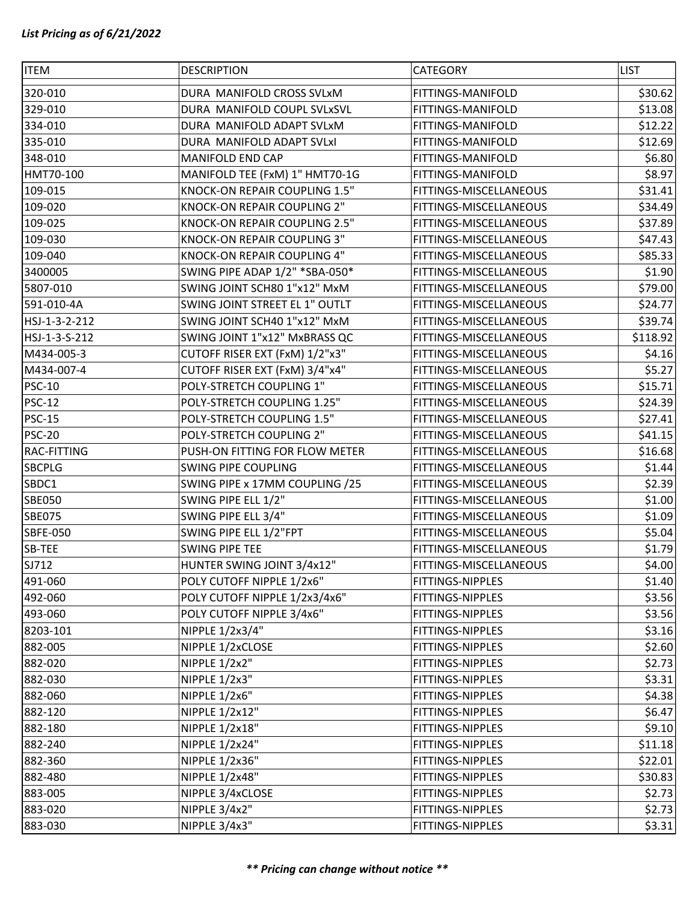| <b>ITEM</b>     | <b>DESCRIPTION</b>             | CATEGORY               | <b>LIST</b> |
|-----------------|--------------------------------|------------------------|-------------|
| 320-010         | DURA MANIFOLD CROSS SVLxM      | FITTINGS-MANIFOLD      | \$30.62     |
| 329-010         | DURA MANIFOLD COUPL SVLxSVL    | FITTINGS-MANIFOLD      | \$13.08     |
| 334-010         | DURA MANIFOLD ADAPT SVLxM      | FITTINGS-MANIFOLD      | \$12.22     |
| 335-010         | DURA MANIFOLD ADAPT SVLxI      | FITTINGS-MANIFOLD      | \$12.69     |
| 348-010         | MANIFOLD END CAP               | FITTINGS-MANIFOLD      | \$6.80      |
| HMT70-100       | MANIFOLD TEE (FxM) 1" HMT70-1G | FITTINGS-MANIFOLD      | \$8.97      |
| 109-015         | KNOCK-ON REPAIR COUPLING 1.5"  | FITTINGS-MISCELLANEOUS | \$31.41     |
| 109-020         | KNOCK-ON REPAIR COUPLING 2"    | FITTINGS-MISCELLANEOUS | \$34.49     |
| 109-025         | KNOCK-ON REPAIR COUPLING 2.5"  | FITTINGS-MISCELLANEOUS | \$37.89     |
| 109-030         | KNOCK-ON REPAIR COUPLING 3"    | FITTINGS-MISCELLANEOUS | \$47.43     |
| 109-040         | KNOCK-ON REPAIR COUPLING 4"    | FITTINGS-MISCELLANEOUS | \$85.33     |
| 3400005         | SWING PIPE ADAP 1/2" *SBA-050* | FITTINGS-MISCELLANEOUS | \$1.90      |
| 5807-010        | SWING JOINT SCH80 1"x12" MxM   | FITTINGS-MISCELLANEOUS | \$79.00     |
| 591-010-4A      | SWING JOINT STREET EL 1" OUTLT | FITTINGS-MISCELLANEOUS | \$24.77     |
| HSJ-1-3-2-212   | SWING JOINT SCH40 1"x12" MxM   | FITTINGS-MISCELLANEOUS | \$39.74     |
| HSJ-1-3-S-212   | SWING JOINT 1"x12" MxBRASS QC  | FITTINGS-MISCELLANEOUS | \$118.92    |
| M434-005-3      | CUTOFF RISER EXT (FxM) 1/2"x3" | FITTINGS-MISCELLANEOUS | \$4.16      |
| M434-007-4      | CUTOFF RISER EXT (FxM) 3/4"x4" | FITTINGS-MISCELLANEOUS | \$5.27      |
| <b>PSC-10</b>   | POLY-STRETCH COUPLING 1"       | FITTINGS-MISCELLANEOUS | \$15.71     |
| <b>PSC-12</b>   | POLY-STRETCH COUPLING 1.25"    | FITTINGS-MISCELLANEOUS | \$24.39     |
| <b>PSC-15</b>   | POLY-STRETCH COUPLING 1.5"     | FITTINGS-MISCELLANEOUS | \$27.41     |
| <b>PSC-20</b>   | POLY-STRETCH COUPLING 2"       | FITTINGS-MISCELLANEOUS | \$41.15     |
| RAC-FITTING     | PUSH-ON FITTING FOR FLOW METER | FITTINGS-MISCELLANEOUS | \$16.68     |
| <b>SBCPLG</b>   | SWING PIPE COUPLING            | FITTINGS-MISCELLANEOUS | \$1.44      |
| SBDC1           | SWING PIPE x 17MM COUPLING /25 | FITTINGS-MISCELLANEOUS | \$2.39      |
| <b>SBE050</b>   | SWING PIPE ELL 1/2"            | FITTINGS-MISCELLANEOUS | \$1.00      |
| <b>SBE075</b>   | SWING PIPE ELL 3/4"            | FITTINGS-MISCELLANEOUS | \$1.09      |
| <b>SBFE-050</b> | SWING PIPE ELL 1/2"FPT         | FITTINGS-MISCELLANEOUS | \$5.04      |
| SB-TEE          | SWING PIPE TEE                 | FITTINGS-MISCELLANEOUS | \$1.79      |
| SJ712           | HUNTER SWING JOINT 3/4x12"     | FITTINGS-MISCELLANEOUS | \$4.00      |
| 491-060         | POLY CUTOFF NIPPLE 1/2x6"      | FITTINGS-NIPPLES       | \$1.40      |
| 492-060         | POLY CUTOFF NIPPLE 1/2x3/4x6"  | FITTINGS-NIPPLES       | \$3.56      |
| 493-060         | POLY CUTOFF NIPPLE 3/4x6"      | FITTINGS-NIPPLES       | \$3.56      |
| 8203-101        | NIPPLE 1/2x3/4"                | FITTINGS-NIPPLES       | \$3.16      |
| 882-005         | NIPPLE 1/2xCLOSE               | FITTINGS-NIPPLES       | \$2.60      |
| 882-020         | NIPPLE 1/2x2"                  | FITTINGS-NIPPLES       | \$2.73      |
| 882-030         | NIPPLE 1/2x3"                  | FITTINGS-NIPPLES       | \$3.31      |
| 882-060         | <b>NIPPLE 1/2x6"</b>           | FITTINGS-NIPPLES       | \$4.38      |
| 882-120         | NIPPLE 1/2x12"                 | FITTINGS-NIPPLES       | \$6.47      |
| 882-180         | NIPPLE 1/2x18"                 | FITTINGS-NIPPLES       | \$9.10      |
| 882-240         | NIPPLE 1/2x24"                 | FITTINGS-NIPPLES       | \$11.18     |
| 882-360         | NIPPLE 1/2x36"                 | FITTINGS-NIPPLES       | \$22.01     |
| 882-480         | NIPPLE 1/2x48"                 | FITTINGS-NIPPLES       | \$30.83     |
| 883-005         | NIPPLE 3/4xCLOSE               | FITTINGS-NIPPLES       | \$2.73      |
| 883-020         | NIPPLE 3/4x2"                  | FITTINGS-NIPPLES       | \$2.73      |
| 883-030         | NIPPLE 3/4x3"                  | FITTINGS-NIPPLES       | \$3.31      |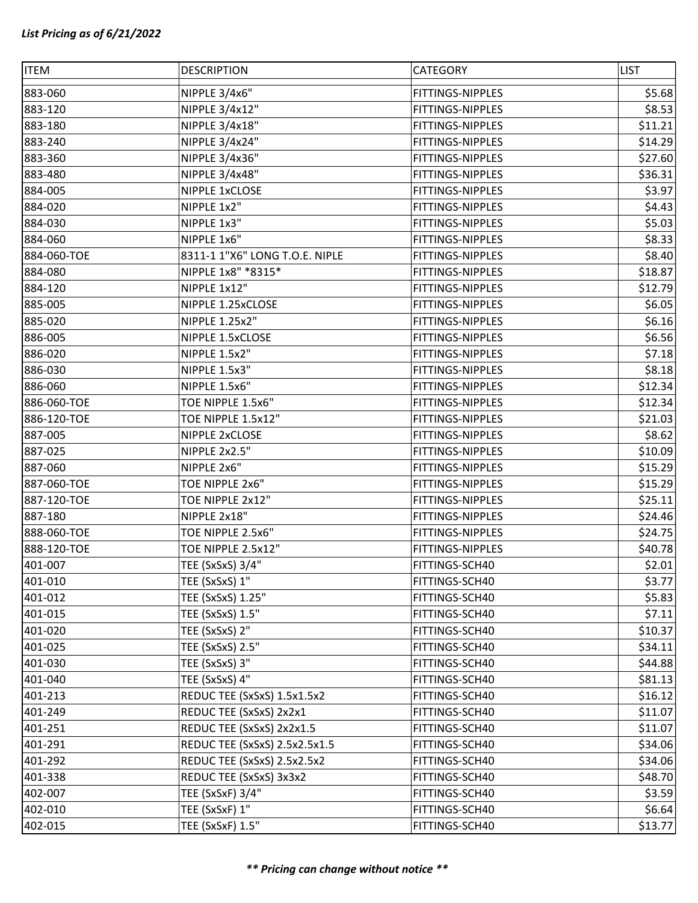| <b>ITEM</b> | <b>DESCRIPTION</b>             | CATEGORY         | <b>LIST</b> |
|-------------|--------------------------------|------------------|-------------|
| 883-060     | NIPPLE 3/4x6"                  | FITTINGS-NIPPLES | \$5.68      |
| 883-120     | NIPPLE 3/4x12"                 | FITTINGS-NIPPLES | \$8.53      |
| 883-180     | NIPPLE 3/4x18"                 | FITTINGS-NIPPLES | \$11.21     |
| 883-240     | NIPPLE 3/4x24"                 | FITTINGS-NIPPLES | \$14.29     |
| 883-360     | NIPPLE 3/4x36"                 | FITTINGS-NIPPLES | \$27.60     |
| 883-480     | NIPPLE 3/4x48"                 | FITTINGS-NIPPLES | \$36.31     |
| 884-005     | NIPPLE 1xCLOSE                 | FITTINGS-NIPPLES | \$3.97      |
| 884-020     | NIPPLE 1x2"                    | FITTINGS-NIPPLES | \$4.43      |
| 884-030     | NIPPLE 1x3"                    | FITTINGS-NIPPLES | \$5.03      |
| 884-060     | NIPPLE 1x6"                    | FITTINGS-NIPPLES | \$8.33      |
| 884-060-TOE | 8311-1 1"X6" LONG T.O.E. NIPLE | FITTINGS-NIPPLES | \$8.40      |
| 884-080     | NIPPLE 1x8" *8315*             | FITTINGS-NIPPLES | \$18.87     |
| 884-120     | NIPPLE 1x12"                   | FITTINGS-NIPPLES | \$12.79     |
| 885-005     | NIPPLE 1.25xCLOSE              | FITTINGS-NIPPLES | \$6.05      |
| 885-020     | NIPPLE 1.25x2"                 | FITTINGS-NIPPLES | \$6.16      |
| 886-005     | NIPPLE 1.5xCLOSE               | FITTINGS-NIPPLES | \$6.56      |
| 886-020     | NIPPLE 1.5x2"                  | FITTINGS-NIPPLES | \$7.18      |
| 886-030     | NIPPLE 1.5x3"                  | FITTINGS-NIPPLES | \$8.18      |
| 886-060     | NIPPLE 1.5x6"                  | FITTINGS-NIPPLES | \$12.34     |
| 886-060-TOE | TOE NIPPLE 1.5x6"              | FITTINGS-NIPPLES | \$12.34     |
| 886-120-TOE | TOE NIPPLE 1.5x12"             | FITTINGS-NIPPLES | \$21.03     |
| 887-005     | NIPPLE 2xCLOSE                 | FITTINGS-NIPPLES | \$8.62      |
| 887-025     | NIPPLE 2x2.5"                  | FITTINGS-NIPPLES | \$10.09     |
| 887-060     | NIPPLE 2x6"                    | FITTINGS-NIPPLES | \$15.29     |
| 887-060-TOE | TOE NIPPLE 2x6"                | FITTINGS-NIPPLES | \$15.29     |
| 887-120-TOE | TOE NIPPLE 2x12"               | FITTINGS-NIPPLES | \$25.11     |
| 887-180     | NIPPLE 2x18"                   | FITTINGS-NIPPLES | \$24.46     |
| 888-060-TOE | TOE NIPPLE 2.5x6"              | FITTINGS-NIPPLES | \$24.75     |
| 888-120-TOE | TOE NIPPLE 2.5x12"             | FITTINGS-NIPPLES | \$40.78     |
| 401-007     | TEE (SxSxS) 3/4"               | FITTINGS-SCH40   | \$2.01      |
| 401-010     | TEE (SxSxS) 1"                 | FITTINGS-SCH40   | \$3.77      |
| 401-012     | TEE (SxSxS) 1.25"              | FITTINGS-SCH40   | \$5.83      |
| 401-015     | TEE (SxSxS) 1.5"               | FITTINGS-SCH40   | \$7.11      |
| 401-020     | TEE (SxSxS) 2"                 | FITTINGS-SCH40   | \$10.37     |
| 401-025     | TEE (SxSxS) 2.5"               | FITTINGS-SCH40   | \$34.11     |
| 401-030     | TEE (SxSxS) 3"                 | FITTINGS-SCH40   | \$44.88     |
| 401-040     | TEE (SxSxS) 4"                 | FITTINGS-SCH40   | \$81.13     |
| 401-213     | REDUC TEE (SxSxS) 1.5x1.5x2    | FITTINGS-SCH40   | \$16.12     |
| 401-249     | REDUC TEE (SxSxS) 2x2x1        | FITTINGS-SCH40   | \$11.07     |
| 401-251     | REDUC TEE (SxSxS) 2x2x1.5      | FITTINGS-SCH40   | \$11.07     |
| 401-291     | REDUC TEE (SxSxS) 2.5x2.5x1.5  | FITTINGS-SCH40   | \$34.06     |
| 401-292     | REDUC TEE (SxSxS) 2.5x2.5x2    | FITTINGS-SCH40   | \$34.06     |
| 401-338     | REDUC TEE (SxSxS) 3x3x2        | FITTINGS-SCH40   | \$48.70     |
| 402-007     | TEE (SxSxF) 3/4"               | FITTINGS-SCH40   | \$3.59      |
| 402-010     | TEE (SxSxF) 1"                 | FITTINGS-SCH40   | \$6.64      |
| 402-015     | TEE (SxSxF) 1.5"               | FITTINGS-SCH40   | \$13.77     |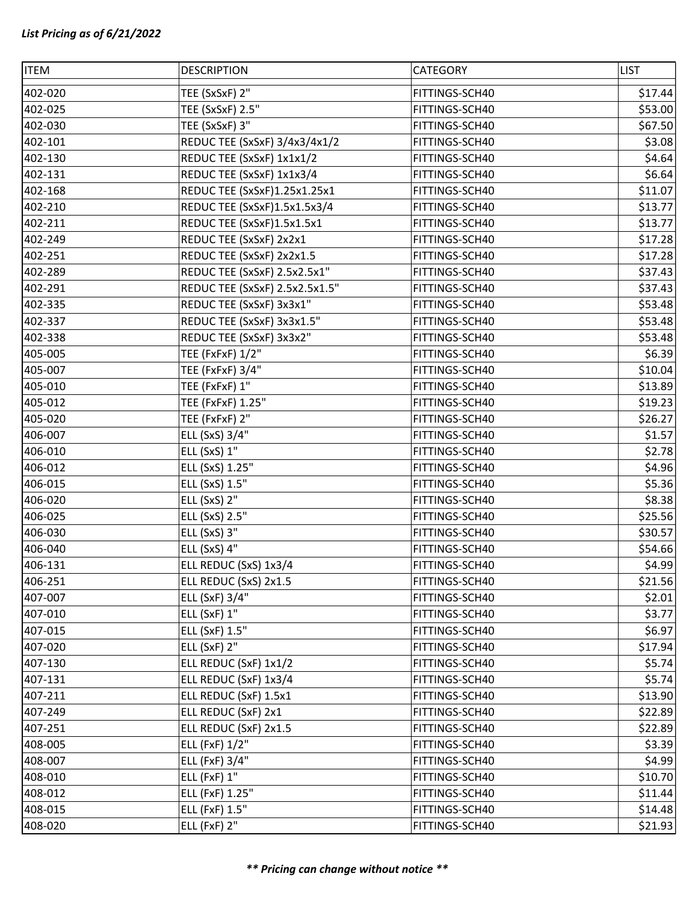| <b>ITEM</b> | <b>DESCRIPTION</b>             | CATEGORY       | <b>LIST</b> |
|-------------|--------------------------------|----------------|-------------|
| 402-020     | TEE (SxSxF) 2"                 | FITTINGS-SCH40 | \$17.44     |
| 402-025     | TEE (SxSxF) 2.5"               | FITTINGS-SCH40 | \$53.00     |
| 402-030     | TEE (SxSxF) 3"                 | FITTINGS-SCH40 | \$67.50     |
| 402-101     | REDUC TEE (SxSxF) 3/4x3/4x1/2  | FITTINGS-SCH40 | \$3.08      |
| 402-130     | REDUC TEE (SxSxF) 1x1x1/2      | FITTINGS-SCH40 | \$4.64      |
| 402-131     | REDUC TEE (SxSxF) 1x1x3/4      | FITTINGS-SCH40 | \$6.64      |
| 402-168     | REDUC TEE (SxSxF)1.25x1.25x1   | FITTINGS-SCH40 | \$11.07     |
| 402-210     | REDUC TEE (SxSxF)1.5x1.5x3/4   | FITTINGS-SCH40 | \$13.77     |
| 402-211     | REDUC TEE (SxSxF)1.5x1.5x1     | FITTINGS-SCH40 | \$13.77     |
| 402-249     | REDUC TEE (SxSxF) 2x2x1        | FITTINGS-SCH40 | \$17.28     |
| 402-251     | REDUC TEE (SxSxF) 2x2x1.5      | FITTINGS-SCH40 | \$17.28     |
| 402-289     | REDUC TEE (SxSxF) 2.5x2.5x1"   | FITTINGS-SCH40 | \$37.43     |
| 402-291     | REDUC TEE (SxSxF) 2.5x2.5x1.5" | FITTINGS-SCH40 | \$37.43     |
| 402-335     | REDUC TEE (SxSxF) 3x3x1"       | FITTINGS-SCH40 | \$53.48     |
| 402-337     | REDUC TEE (SxSxF) 3x3x1.5"     | FITTINGS-SCH40 | \$53.48     |
| 402-338     | REDUC TEE (SxSxF) 3x3x2"       | FITTINGS-SCH40 | \$53.48     |
| 405-005     | TEE (FxFxF) 1/2"               | FITTINGS-SCH40 | \$6.39      |
| 405-007     | TEE (FxFxF) 3/4"               | FITTINGS-SCH40 | \$10.04     |
| 405-010     | TEE (FxFxF) 1"                 | FITTINGS-SCH40 | \$13.89     |
| 405-012     | TEE (FxFxF) 1.25"              | FITTINGS-SCH40 | \$19.23     |
| 405-020     | TEE (FxFxF) 2"                 | FITTINGS-SCH40 | \$26.27     |
| 406-007     | ELL (SxS) 3/4"                 | FITTINGS-SCH40 | \$1.57      |
| 406-010     | ELL (SxS) 1"                   | FITTINGS-SCH40 | \$2.78      |
| 406-012     | ELL (SxS) 1.25"                | FITTINGS-SCH40 | \$4.96      |
| 406-015     | ELL (SxS) 1.5"                 | FITTINGS-SCH40 | \$5.36      |
| 406-020     | ELL (SxS) 2"                   | FITTINGS-SCH40 | \$8.38      |
| 406-025     | ELL (SxS) 2.5"                 | FITTINGS-SCH40 | \$25.56     |
| 406-030     | ELL (SxS) 3"                   | FITTINGS-SCH40 | \$30.57     |
| 406-040     | ELL (SxS) 4"                   | FITTINGS-SCH40 | \$54.66     |
| 406-131     | ELL REDUC (SxS) 1x3/4          | FITTINGS-SCH40 | \$4.99      |
| 406-251     | ELL REDUC (SxS) 2x1.5          | FITTINGS-SCH40 | \$21.56     |
| 407-007     | ELL (SxF) 3/4"                 | FITTINGS-SCH40 | \$2.01      |
| 407-010     | ELL (SxF) 1"                   | FITTINGS-SCH40 | \$3.77      |
| 407-015     | ELL (SxF) 1.5"                 | FITTINGS-SCH40 | \$6.97      |
| 407-020     | ELL (SxF) 2"                   | FITTINGS-SCH40 | \$17.94     |
| 407-130     | ELL REDUC (SxF) 1x1/2          | FITTINGS-SCH40 | \$5.74      |
| 407-131     | ELL REDUC (SxF) 1x3/4          | FITTINGS-SCH40 | \$5.74      |
| 407-211     | ELL REDUC (SxF) 1.5x1          | FITTINGS-SCH40 | \$13.90     |
| 407-249     | ELL REDUC (SxF) 2x1            | FITTINGS-SCH40 | \$22.89     |
| 407-251     | ELL REDUC (SxF) 2x1.5          | FITTINGS-SCH40 | \$22.89     |
| 408-005     | ELL (FxF) 1/2"                 | FITTINGS-SCH40 | \$3.39      |
| 408-007     | ELL (FxF) 3/4"                 | FITTINGS-SCH40 | \$4.99      |
| 408-010     | <b>ELL (FxF) 1"</b>            | FITTINGS-SCH40 | \$10.70     |
| 408-012     | ELL (FxF) 1.25"                | FITTINGS-SCH40 | \$11.44     |
| 408-015     | ELL (FxF) 1.5"                 | FITTINGS-SCH40 | \$14.48     |
| 408-020     | <b>ELL (FxF) 2"</b>            | FITTINGS-SCH40 | \$21.93     |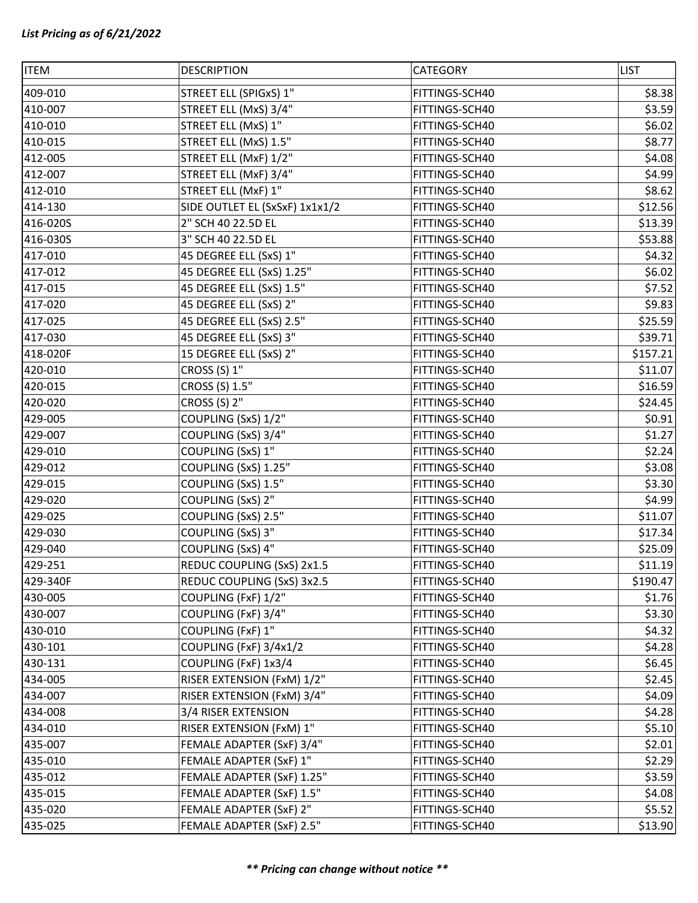| <b>ITEM</b> | <b>DESCRIPTION</b>             | CATEGORY       | <b>LIST</b> |
|-------------|--------------------------------|----------------|-------------|
| 409-010     | STREET ELL (SPIGxS) 1"         | FITTINGS-SCH40 | \$8.38      |
| 410-007     | STREET ELL (MxS) 3/4"          | FITTINGS-SCH40 | \$3.59      |
| 410-010     | STREET ELL (MxS) 1"            | FITTINGS-SCH40 | \$6.02      |
| 410-015     | STREET ELL (MxS) 1.5"          | FITTINGS-SCH40 | \$8.77      |
| 412-005     | STREET ELL (MxF) 1/2"          | FITTINGS-SCH40 | \$4.08      |
| 412-007     | STREET ELL (MxF) 3/4"          | FITTINGS-SCH40 | \$4.99      |
| 412-010     | STREET ELL (MxF) 1"            | FITTINGS-SCH40 | \$8.62      |
| 414-130     | SIDE OUTLET EL (SxSxF) 1x1x1/2 | FITTINGS-SCH40 | \$12.56     |
| 416-020S    | 2" SCH 40 22.5D EL             | FITTINGS-SCH40 | \$13.39     |
| 416-030S    | 3" SCH 40 22.5D EL             | FITTINGS-SCH40 | \$53.88     |
| 417-010     | 45 DEGREE ELL (SxS) 1"         | FITTINGS-SCH40 | \$4.32      |
| 417-012     | 45 DEGREE ELL (SxS) 1.25"      | FITTINGS-SCH40 | \$6.02      |
| 417-015     | 45 DEGREE ELL (SxS) 1.5"       | FITTINGS-SCH40 | \$7.52      |
| 417-020     | 45 DEGREE ELL (SxS) 2"         | FITTINGS-SCH40 | \$9.83      |
| 417-025     | 45 DEGREE ELL (SxS) 2.5"       | FITTINGS-SCH40 | \$25.59     |
| 417-030     | 45 DEGREE ELL (SxS) 3"         | FITTINGS-SCH40 | \$39.71     |
| 418-020F    | 15 DEGREE ELL (SxS) 2"         | FITTINGS-SCH40 | \$157.21    |
| 420-010     | CROSS (S) 1"                   | FITTINGS-SCH40 | \$11.07     |
| 420-015     | CROSS (S) 1.5"                 | FITTINGS-SCH40 | \$16.59     |
| 420-020     | CROSS (S) 2"                   | FITTINGS-SCH40 | \$24.45     |
| 429-005     | COUPLING (SxS) 1/2"            | FITTINGS-SCH40 | \$0.91      |
| 429-007     | COUPLING (SxS) 3/4"            | FITTINGS-SCH40 | \$1.27      |
| 429-010     | COUPLING (SxS) 1"              | FITTINGS-SCH40 | \$2.24      |
| 429-012     | COUPLING (SxS) 1.25"           | FITTINGS-SCH40 | \$3.08      |
| 429-015     | COUPLING (SxS) 1.5"            | FITTINGS-SCH40 | \$3.30      |
| 429-020     | COUPLING (SxS) 2"              | FITTINGS-SCH40 | \$4.99      |
| 429-025     | COUPLING (SxS) 2.5"            | FITTINGS-SCH40 | \$11.07     |
| 429-030     | COUPLING (SxS) 3"              | FITTINGS-SCH40 | \$17.34     |
| 429-040     | COUPLING (SxS) 4"              | FITTINGS-SCH40 | \$25.09     |
| 429-251     | REDUC COUPLING (SxS) 2x1.5     | FITTINGS-SCH40 | \$11.19     |
| 429-340F    | REDUC COUPLING (SxS) 3x2.5     | FITTINGS-SCH40 | \$190.47    |
| 430-005     | COUPLING (FxF) 1/2"            | FITTINGS-SCH40 | \$1.76      |
| 430-007     | COUPLING (FxF) 3/4"            | FITTINGS-SCH40 | \$3.30      |
| 430-010     | COUPLING (FxF) 1"              | FITTINGS-SCH40 | \$4.32      |
| 430-101     | COUPLING (FxF) 3/4x1/2         | FITTINGS-SCH40 | \$4.28      |
| 430-131     | COUPLING (FxF) 1x3/4           | FITTINGS-SCH40 | \$6.45      |
| 434-005     | RISER EXTENSION (FxM) 1/2"     | FITTINGS-SCH40 | \$2.45      |
| 434-007     | RISER EXTENSION (FxM) 3/4"     | FITTINGS-SCH40 | \$4.09      |
| 434-008     | 3/4 RISER EXTENSION            | FITTINGS-SCH40 | \$4.28      |
| 434-010     | RISER EXTENSION (FxM) 1"       | FITTINGS-SCH40 | \$5.10      |
| 435-007     | FEMALE ADAPTER (SxF) 3/4"      | FITTINGS-SCH40 | \$2.01      |
| 435-010     | FEMALE ADAPTER (SxF) 1"        | FITTINGS-SCH40 | \$2.29      |
| 435-012     | FEMALE ADAPTER (SxF) 1.25"     | FITTINGS-SCH40 | \$3.59      |
| 435-015     | FEMALE ADAPTER (SxF) 1.5"      | FITTINGS-SCH40 | \$4.08      |
| 435-020     | FEMALE ADAPTER (SxF) 2"        | FITTINGS-SCH40 | \$5.52      |
| 435-025     | FEMALE ADAPTER (SxF) 2.5"      | FITTINGS-SCH40 | \$13.90     |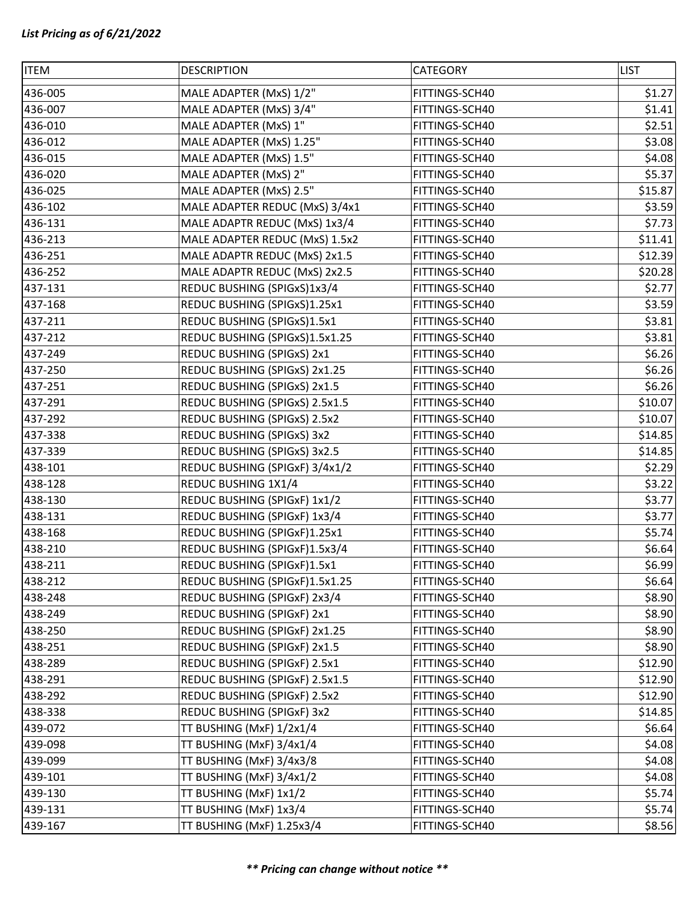| <b>ITEM</b> | <b>DESCRIPTION</b>             | CATEGORY       | <b>LIST</b> |
|-------------|--------------------------------|----------------|-------------|
| 436-005     | MALE ADAPTER (MxS) 1/2"        | FITTINGS-SCH40 | \$1.27      |
| 436-007     | MALE ADAPTER (MxS) 3/4"        | FITTINGS-SCH40 | \$1.41      |
| 436-010     | MALE ADAPTER (MxS) 1"          | FITTINGS-SCH40 | \$2.51      |
| 436-012     | MALE ADAPTER (MxS) 1.25"       | FITTINGS-SCH40 | \$3.08      |
| 436-015     | MALE ADAPTER (MxS) 1.5"        | FITTINGS-SCH40 | \$4.08      |
| 436-020     | MALE ADAPTER (MxS) 2"          | FITTINGS-SCH40 | \$5.37      |
| 436-025     | MALE ADAPTER (MxS) 2.5"        | FITTINGS-SCH40 | \$15.87     |
| 436-102     | MALE ADAPTER REDUC (MxS) 3/4x1 | FITTINGS-SCH40 | \$3.59      |
| 436-131     | MALE ADAPTR REDUC (MxS) 1x3/4  | FITTINGS-SCH40 | \$7.73      |
| 436-213     | MALE ADAPTER REDUC (MxS) 1.5x2 | FITTINGS-SCH40 | \$11.41     |
| 436-251     | MALE ADAPTR REDUC (MxS) 2x1.5  | FITTINGS-SCH40 | \$12.39     |
| 436-252     | MALE ADAPTR REDUC (MxS) 2x2.5  | FITTINGS-SCH40 | \$20.28     |
| 437-131     | REDUC BUSHING (SPIGxS)1x3/4    | FITTINGS-SCH40 | \$2.77      |
| 437-168     | REDUC BUSHING (SPIGxS)1.25x1   | FITTINGS-SCH40 | \$3.59      |
| 437-211     | REDUC BUSHING (SPIGxS)1.5x1    | FITTINGS-SCH40 | \$3.81      |
| 437-212     | REDUC BUSHING (SPIGxS)1.5x1.25 | FITTINGS-SCH40 | \$3.81      |
| 437-249     | REDUC BUSHING (SPIGxS) 2x1     | FITTINGS-SCH40 | \$6.26      |
| 437-250     | REDUC BUSHING (SPIGxS) 2x1.25  | FITTINGS-SCH40 | \$6.26      |
| 437-251     | REDUC BUSHING (SPIGxS) 2x1.5   | FITTINGS-SCH40 | \$6.26      |
| 437-291     | REDUC BUSHING (SPIGxS) 2.5x1.5 | FITTINGS-SCH40 | \$10.07     |
| 437-292     | REDUC BUSHING (SPIGxS) 2.5x2   | FITTINGS-SCH40 | \$10.07     |
| 437-338     | REDUC BUSHING (SPIGxS) 3x2     | FITTINGS-SCH40 | \$14.85     |
| 437-339     | REDUC BUSHING (SPIGxS) 3x2.5   | FITTINGS-SCH40 | \$14.85     |
| 438-101     | REDUC BUSHING (SPIGXF) 3/4x1/2 | FITTINGS-SCH40 | \$2.29      |
| 438-128     | REDUC BUSHING 1X1/4            | FITTINGS-SCH40 | \$3.22      |
| 438-130     | REDUC BUSHING (SPIGXF) 1x1/2   | FITTINGS-SCH40 | \$3.77      |
| 438-131     | REDUC BUSHING (SPIGXF) 1x3/4   | FITTINGS-SCH40 | \$3.77      |
| 438-168     | REDUC BUSHING (SPIGXF)1.25x1   | FITTINGS-SCH40 | \$5.74      |
| 438-210     | REDUC BUSHING (SPIGxF)1.5x3/4  | FITTINGS-SCH40 | \$6.64      |
| 438-211     | REDUC BUSHING (SPIGXF)1.5x1    | FITTINGS-SCH40 | \$6.99      |
| 438-212     | REDUC BUSHING (SPIGxF)1.5x1.25 | FITTINGS-SCH40 | \$6.64      |
| 438-248     | REDUC BUSHING (SPIGXF) 2x3/4   | FITTINGS-SCH40 | \$8.90      |
| 438-249     | REDUC BUSHING (SPIGxF) 2x1     | FITTINGS-SCH40 | \$8.90      |
| 438-250     | REDUC BUSHING (SPIGXF) 2x1.25  | FITTINGS-SCH40 | \$8.90      |
| 438-251     | REDUC BUSHING (SPIGXF) 2x1.5   | FITTINGS-SCH40 | \$8.90      |
| 438-289     | REDUC BUSHING (SPIGXF) 2.5x1   | FITTINGS-SCH40 | \$12.90     |
| 438-291     | REDUC BUSHING (SPIGxF) 2.5x1.5 | FITTINGS-SCH40 | \$12.90     |
| 438-292     | REDUC BUSHING (SPIGXF) 2.5x2   | FITTINGS-SCH40 | \$12.90     |
| 438-338     | REDUC BUSHING (SPIGXF) 3x2     | FITTINGS-SCH40 | \$14.85     |
| 439-072     | TT BUSHING (MxF) 1/2x1/4       | FITTINGS-SCH40 | \$6.64      |
| 439-098     | TT BUSHING (MxF) 3/4x1/4       | FITTINGS-SCH40 | \$4.08      |
| 439-099     | TT BUSHING (MxF) 3/4x3/8       | FITTINGS-SCH40 | \$4.08      |
| 439-101     | TT BUSHING (MxF) 3/4x1/2       | FITTINGS-SCH40 | \$4.08      |
| 439-130     | TT BUSHING (MxF) 1x1/2         | FITTINGS-SCH40 | \$5.74      |
| 439-131     | TT BUSHING (MxF) 1x3/4         | FITTINGS-SCH40 | \$5.74      |
| 439-167     | TT BUSHING (MxF) 1.25x3/4      | FITTINGS-SCH40 | \$8.56      |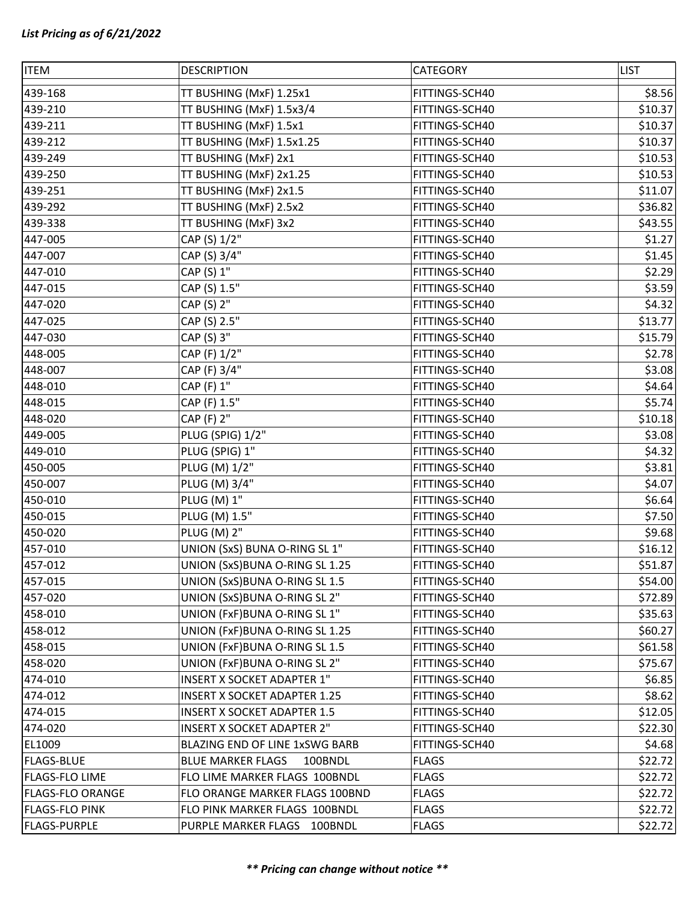| <b>ITEM</b>             | <b>DESCRIPTION</b>                  | CATEGORY       | <b>LIST</b> |
|-------------------------|-------------------------------------|----------------|-------------|
| 439-168                 | TT BUSHING (MxF) 1.25x1             | FITTINGS-SCH40 | \$8.56      |
| 439-210                 | TT BUSHING (MxF) 1.5x3/4            | FITTINGS-SCH40 | \$10.37     |
| 439-211                 | TT BUSHING (MxF) 1.5x1              | FITTINGS-SCH40 | \$10.37     |
| 439-212                 | TT BUSHING (MxF) 1.5x1.25           | FITTINGS-SCH40 | \$10.37     |
| 439-249                 | TT BUSHING (MxF) 2x1                | FITTINGS-SCH40 | \$10.53     |
| 439-250                 | TT BUSHING (MxF) 2x1.25             | FITTINGS-SCH40 | \$10.53     |
| 439-251                 | TT BUSHING (MxF) 2x1.5              | FITTINGS-SCH40 | \$11.07     |
| 439-292                 | TT BUSHING (MxF) 2.5x2              | FITTINGS-SCH40 | \$36.82     |
| 439-338                 | TT BUSHING (MxF) 3x2                | FITTINGS-SCH40 | \$43.55     |
| 447-005                 | CAP (S) 1/2"                        | FITTINGS-SCH40 | \$1.27      |
| 447-007                 | CAP (S) 3/4"                        | FITTINGS-SCH40 | \$1.45      |
| 447-010                 | CAP (S) 1"                          | FITTINGS-SCH40 | \$2.29      |
| 447-015                 | CAP (S) 1.5"                        | FITTINGS-SCH40 | \$3.59      |
| 447-020                 | CAP (S) 2"                          | FITTINGS-SCH40 | \$4.32      |
| 447-025                 | CAP (S) 2.5"                        | FITTINGS-SCH40 | \$13.77     |
| 447-030                 | CAP (S) 3"                          | FITTINGS-SCH40 | \$15.79     |
| 448-005                 | CAP (F) 1/2"                        | FITTINGS-SCH40 | \$2.78      |
| 448-007                 | CAP (F) 3/4"                        | FITTINGS-SCH40 | \$3.08      |
| 448-010                 | CAP (F) 1"                          | FITTINGS-SCH40 | \$4.64      |
| 448-015                 | CAP (F) 1.5"                        | FITTINGS-SCH40 | \$5.74      |
| 448-020                 | CAP (F) 2"                          | FITTINGS-SCH40 | \$10.18     |
| 449-005                 | PLUG (SPIG) 1/2"                    | FITTINGS-SCH40 | \$3.08      |
| 449-010                 | PLUG (SPIG) 1"                      | FITTINGS-SCH40 | \$4.32      |
| 450-005                 | PLUG (M) 1/2"                       | FITTINGS-SCH40 | \$3.81      |
| 450-007                 | PLUG (M) 3/4"                       | FITTINGS-SCH40 | \$4.07      |
| 450-010                 | PLUG (M) 1"                         | FITTINGS-SCH40 | \$6.64      |
| 450-015                 | PLUG (M) 1.5"                       | FITTINGS-SCH40 | \$7.50      |
| 450-020                 | <b>PLUG (M) 2"</b>                  | FITTINGS-SCH40 | \$9.68      |
| 457-010                 | UNION (SxS) BUNA O-RING SL 1"       | FITTINGS-SCH40 | \$16.12     |
| 457-012                 | UNION (SxS) BUNA O-RING SL 1.25     | FITTINGS-SCH40 | \$51.87     |
| 457-015                 | UNION (SxS) BUNA O-RING SL 1.5      | FITTINGS-SCH40 | \$54.00     |
| 457-020                 | UNION (SxS) BUNA O-RING SL 2"       | FITTINGS-SCH40 | \$72.89     |
| 458-010                 | UNION (FxF) BUNA O-RING SL 1"       | FITTINGS-SCH40 | \$35.63     |
| 458-012                 | UNION (FxF) BUNA O-RING SL 1.25     | FITTINGS-SCH40 | \$60.27     |
| 458-015                 | UNION (FxF) BUNA O-RING SL 1.5      | FITTINGS-SCH40 | \$61.58     |
| 458-020                 | UNION (FxF)BUNA O-RING SL 2"        | FITTINGS-SCH40 | \$75.67     |
| 474-010                 | <b>INSERT X SOCKET ADAPTER 1"</b>   | FITTINGS-SCH40 | \$6.85      |
| 474-012                 | <b>INSERT X SOCKET ADAPTER 1.25</b> | FITTINGS-SCH40 | \$8.62      |
| 474-015                 | <b>INSERT X SOCKET ADAPTER 1.5</b>  | FITTINGS-SCH40 | \$12.05     |
| 474-020                 | <b>INSERT X SOCKET ADAPTER 2"</b>   | FITTINGS-SCH40 | \$22.30     |
| EL1009                  | BLAZING END OF LINE 1xSWG BARB      | FITTINGS-SCH40 | \$4.68      |
| <b>FLAGS-BLUE</b>       | <b>BLUE MARKER FLAGS</b><br>100BNDL | <b>FLAGS</b>   | \$22.72     |
| <b>FLAGS-FLO LIME</b>   | FLO LIME MARKER FLAGS 100BNDL       | <b>FLAGS</b>   | \$22.72     |
| <b>FLAGS-FLO ORANGE</b> | FLO ORANGE MARKER FLAGS 100BND      | <b>FLAGS</b>   | \$22.72     |
| <b>FLAGS-FLO PINK</b>   | FLO PINK MARKER FLAGS 100BNDL       | <b>FLAGS</b>   | \$22.72     |
| <b>FLAGS-PURPLE</b>     | PURPLE MARKER FLAGS 100BNDL         | <b>FLAGS</b>   | \$22.72     |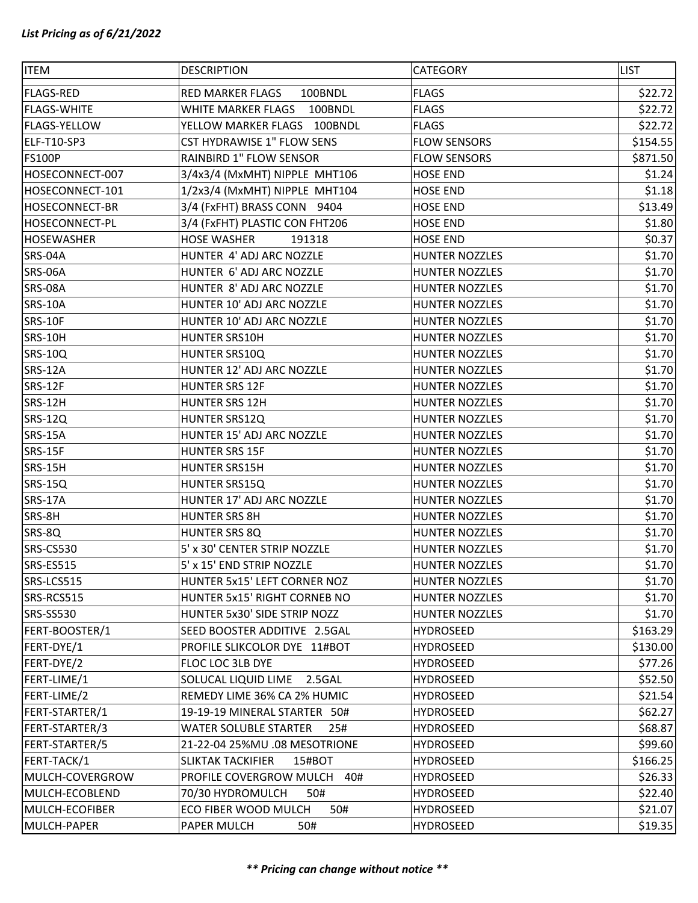| <b>ITEM</b>           | <b>DESCRIPTION</b>                  | <b>CATEGORY</b>       | <b>LIST</b> |
|-----------------------|-------------------------------------|-----------------------|-------------|
| <b>FLAGS-RED</b>      | <b>RED MARKER FLAGS</b><br>100BNDL  | <b>FLAGS</b>          | \$22.72     |
| <b>FLAGS-WHITE</b>    | WHITE MARKER FLAGS 100BNDL          | <b>FLAGS</b>          | \$22.72     |
| <b>FLAGS-YELLOW</b>   | YELLOW MARKER FLAGS 100BNDL         | <b>FLAGS</b>          | \$22.72     |
| ELF-T10-SP3           | CST HYDRAWISE 1" FLOW SENS          | <b>FLOW SENSORS</b>   | \$154.55    |
| <b>FS100P</b>         | RAINBIRD 1" FLOW SENSOR             | <b>FLOW SENSORS</b>   | \$871.50    |
| HOSECONNECT-007       | 3/4x3/4 (MxMHT) NIPPLE MHT106       | <b>HOSE END</b>       | \$1.24      |
| HOSECONNECT-101       | 1/2x3/4 (MxMHT) NIPPLE MHT104       | <b>HOSE END</b>       | \$1.18      |
| <b>HOSECONNECT-BR</b> | 3/4 (FxFHT) BRASS CONN 9404         | <b>HOSE END</b>       | \$13.49     |
| <b>HOSECONNECT-PL</b> | 3/4 (FXFHT) PLASTIC CON FHT206      | <b>HOSE END</b>       | \$1.80      |
| <b>HOSEWASHER</b>     | <b>HOSE WASHER</b><br>191318        | <b>HOSE END</b>       | \$0.37      |
| SRS-04A               | HUNTER 4' ADJ ARC NOZZLE            | <b>HUNTER NOZZLES</b> | \$1.70      |
| SRS-06A               | HUNTER 6' ADJ ARC NOZZLE            | <b>HUNTER NOZZLES</b> | \$1.70      |
| SRS-08A               | HUNTER 8' ADJ ARC NOZZLE            | <b>HUNTER NOZZLES</b> | \$1.70      |
| <b>SRS-10A</b>        | HUNTER 10' ADJ ARC NOZZLE           | <b>HUNTER NOZZLES</b> | \$1.70      |
| SRS-10F               | HUNTER 10' ADJ ARC NOZZLE           | <b>HUNTER NOZZLES</b> | \$1.70      |
| SRS-10H               | HUNTER SRS10H                       | <b>HUNTER NOZZLES</b> | \$1.70      |
| <b>SRS-10Q</b>        | HUNTER SRS10Q                       | <b>HUNTER NOZZLES</b> | \$1.70      |
| <b>SRS-12A</b>        | HUNTER 12' ADJ ARC NOZZLE           | <b>HUNTER NOZZLES</b> | \$1.70      |
| SRS-12F               | <b>HUNTER SRS 12F</b>               | <b>HUNTER NOZZLES</b> | \$1.70      |
| SRS-12H               | <b>HUNTER SRS 12H</b>               | <b>HUNTER NOZZLES</b> | \$1.70      |
| <b>SRS-12Q</b>        | HUNTER SRS12Q                       | <b>HUNTER NOZZLES</b> | \$1.70      |
| <b>SRS-15A</b>        | HUNTER 15' ADJ ARC NOZZLE           | <b>HUNTER NOZZLES</b> | \$1.70      |
| SRS-15F               | <b>HUNTER SRS 15F</b>               | <b>HUNTER NOZZLES</b> | \$1.70      |
| SRS-15H               | <b>HUNTER SRS15H</b>                | <b>HUNTER NOZZLES</b> | \$1.70      |
| <b>SRS-15Q</b>        | HUNTER SRS15Q                       | <b>HUNTER NOZZLES</b> | \$1.70      |
| <b>SRS-17A</b>        | HUNTER 17' ADJ ARC NOZZLE           | <b>HUNTER NOZZLES</b> | \$1.70      |
| SRS-8H                | <b>HUNTER SRS 8H</b>                | <b>HUNTER NOZZLES</b> | \$1.70      |
| SRS-8Q                | HUNTER SRS 8Q                       | <b>HUNTER NOZZLES</b> | \$1.70      |
| <b>SRS-CS530</b>      | 5' x 30' CENTER STRIP NOZZLE        | <b>HUNTER NOZZLES</b> | \$1.70      |
| SRS-ES515             | 5' x 15' END STRIP NOZZLE           | <b>HUNTER NOZZLES</b> | \$1.70      |
| SRS-LCS515            | HUNTER 5x15' LEFT CORNER NOZ        | <b>HUNTER NOZZLES</b> | \$1.70      |
| SRS-RCS515            | HUNTER 5x15' RIGHT CORNEB NO        | <b>HUNTER NOZZLES</b> | \$1.70      |
| <b>SRS-SS530</b>      | HUNTER 5x30' SIDE STRIP NOZZ        | <b>HUNTER NOZZLES</b> | \$1.70      |
| FERT-BOOSTER/1        | SEED BOOSTER ADDITIVE 2.5GAL        | HYDROSEED             | \$163.29    |
| FERT-DYE/1            | PROFILE SLIKCOLOR DYE 11#BOT        | <b>HYDROSEED</b>      | \$130.00    |
| FERT-DYE/2            | FLOC LOC 3LB DYE                    | HYDROSEED             | \$77.26     |
| FERT-LIME/1           | SOLUCAL LIQUID LIME<br>2.5GAL       | HYDROSEED             | \$52.50     |
| FERT-LIME/2           | REMEDY LIME 36% CA 2% HUMIC         | <b>HYDROSEED</b>      | \$21.54     |
| FERT-STARTER/1        | 19-19-19 MINERAL STARTER 50#        | HYDROSEED             | \$62.27     |
| FERT-STARTER/3        | <b>WATER SOLUBLE STARTER</b><br>25# | <b>HYDROSEED</b>      | \$68.87     |
| FERT-STARTER/5        | 21-22-04 25%MU .08 MESOTRIONE       | <b>HYDROSEED</b>      | \$99.60     |
| FERT-TACK/1           | <b>SLIKTAK TACKIFIER</b><br>15#BOT  | HYDROSEED             | \$166.25    |
| MULCH-COVERGROW       | PROFILE COVERGROW MULCH<br>40#      | <b>HYDROSEED</b>      | \$26.33     |
| MULCH-ECOBLEND        | 70/30 HYDROMULCH<br>50#             | HYDROSEED             | \$22.40     |
| MULCH-ECOFIBER        | ECO FIBER WOOD MULCH<br>50#         | <b>HYDROSEED</b>      | \$21.07     |
| MULCH-PAPER           | PAPER MULCH<br>50#                  | HYDROSEED             | \$19.35     |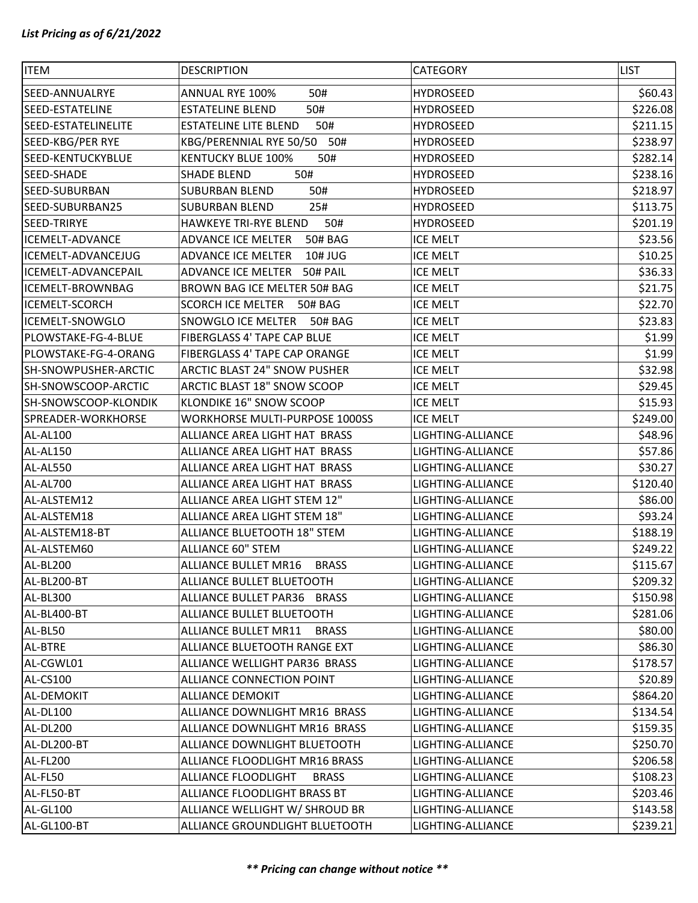| <b>ITEM</b>                 | <b>DESCRIPTION</b>                          | <b>CATEGORY</b>   | <b>LIST</b> |
|-----------------------------|---------------------------------------------|-------------------|-------------|
| SEED-ANNUALRYE              | <b>ANNUAL RYE 100%</b><br>50#               | <b>HYDROSEED</b>  | \$60.43     |
| <b>SEED-ESTATELINE</b>      | 50#<br><b>ESTATELINE BLEND</b>              | <b>HYDROSEED</b>  | \$226.08    |
| SEED-ESTATELINELITE         | <b>ESTATELINE LITE BLEND</b><br>50#         | <b>HYDROSEED</b>  | \$211.15    |
| SEED-KBG/PER RYE            | KBG/PERENNIAL RYE 50/50 50#                 | <b>HYDROSEED</b>  | \$238.97    |
| SEED-KENTUCKYBLUE           | <b>KENTUCKY BLUE 100%</b><br>50#            | <b>HYDROSEED</b>  | \$282.14    |
| SEED-SHADE                  | 50#<br><b>SHADE BLEND</b>                   | <b>HYDROSEED</b>  | \$238.16    |
| SEED-SUBURBAN               | 50#<br><b>SUBURBAN BLEND</b>                | <b>HYDROSEED</b>  | \$218.97    |
| SEED-SUBURBAN25             | <b>SUBURBAN BLEND</b><br>25#                | <b>HYDROSEED</b>  | \$113.75    |
| SEED-TRIRYE                 | 50#<br><b>HAWKEYE TRI-RYE BLEND</b>         | <b>HYDROSEED</b>  | \$201.19    |
| ICEMELT-ADVANCE             | ADVANCE ICE MELTER<br>50# BAG               | ICE MELT          | \$23.56     |
| ICEMELT-ADVANCEJUG          | ADVANCE ICE MELTER<br>10# JUG               | <b>ICE MELT</b>   | \$10.25     |
| ICEMELT-ADVANCEPAIL         | ADVANCE ICE MELTER<br>50# PAIL              | <b>ICE MELT</b>   | \$36.33     |
| ICEMELT-BROWNBAG            | BROWN BAG ICE MELTER 50# BAG                | <b>ICE MELT</b>   | \$21.75     |
| ICEMELT-SCORCH              | SCORCH ICE MELTER 50# BAG                   | <b>ICE MELT</b>   | \$22.70     |
| ICEMELT-SNOWGLO             | SNOWGLO ICE MELTER<br>50# BAG               | <b>ICE MELT</b>   | \$23.83     |
| PLOWSTAKE-FG-4-BLUE         | FIBERGLASS 4' TAPE CAP BLUE                 | <b>ICE MELT</b>   | \$1.99      |
| PLOWSTAKE-FG-4-ORANG        | FIBERGLASS 4' TAPE CAP ORANGE               | ICE MELT          | \$1.99      |
| <b>SH-SNOWPUSHER-ARCTIC</b> | ARCTIC BLAST 24" SNOW PUSHER                | <b>ICE MELT</b>   | \$32.98     |
| SH-SNOWSCOOP-ARCTIC         | ARCTIC BLAST 18" SNOW SCOOP                 | <b>ICE MELT</b>   | \$29.45     |
| SH-SNOWSCOOP-KLONDIK        | KLONDIKE 16" SNOW SCOOP                     | <b>ICE MELT</b>   | \$15.93     |
| SPREADER-WORKHORSE          | WORKHORSE MULTI-PURPOSE 1000SS              | <b>ICE MELT</b>   | \$249.00    |
| AL-AL100                    | ALLIANCE AREA LIGHT HAT BRASS               | LIGHTING-ALLIANCE | \$48.96     |
| AL-AL150                    | ALLIANCE AREA LIGHT HAT BRASS               | LIGHTING-ALLIANCE | \$57.86     |
| AL-AL550                    | ALLIANCE AREA LIGHT HAT BRASS               | LIGHTING-ALLIANCE | \$30.27     |
| AL-AL700                    | ALLIANCE AREA LIGHT HAT BRASS               | LIGHTING-ALLIANCE | \$120.40    |
| AL-ALSTEM12                 | ALLIANCE AREA LIGHT STEM 12"                | LIGHTING-ALLIANCE | \$86.00     |
| AL-ALSTEM18                 | ALLIANCE AREA LIGHT STEM 18"                | LIGHTING-ALLIANCE | \$93.24     |
| AL-ALSTEM18-BT              | ALLIANCE BLUETOOTH 18" STEM                 | LIGHTING-ALLIANCE | \$188.19    |
| AL-ALSTEM60                 | <b>ALLIANCE 60" STEM</b>                    | LIGHTING-ALLIANCE | \$249.22    |
| AL-BL200                    | <b>ALLIANCE BULLET MR16</b><br><b>BRASS</b> | LIGHTING-ALLIANCE | \$115.67    |
| AL-BL200-BT                 | ALLIANCE BULLET BLUETOOTH                   | LIGHTING-ALLIANCE | \$209.32    |
| AL-BL300                    | ALLIANCE BULLET PAR36 BRASS                 | LIGHTING-ALLIANCE | \$150.98    |
| AL-BL400-BT                 | ALLIANCE BULLET BLUETOOTH                   | LIGHTING-ALLIANCE | \$281.06    |
| AL-BL50                     | <b>ALLIANCE BULLET MR11</b><br><b>BRASS</b> | LIGHTING-ALLIANCE | \$80.00     |
| AL-BTRE                     | ALLIANCE BLUETOOTH RANGE EXT                | LIGHTING-ALLIANCE | \$86.30     |
| AL-CGWL01                   | ALLIANCE WELLIGHT PAR36 BRASS               | LIGHTING-ALLIANCE | \$178.57    |
| AL-CS100                    | ALLIANCE CONNECTION POINT                   | LIGHTING-ALLIANCE | \$20.89     |
| AL-DEMOKIT                  | <b>ALLIANCE DEMOKIT</b>                     | LIGHTING-ALLIANCE | \$864.20    |
| AL-DL100                    | ALLIANCE DOWNLIGHT MR16 BRASS               | LIGHTING-ALLIANCE | \$134.54    |
| AL-DL200                    | ALLIANCE DOWNLIGHT MR16 BRASS               | LIGHTING-ALLIANCE | \$159.35    |
| AL-DL200-BT                 | ALLIANCE DOWNLIGHT BLUETOOTH                | LIGHTING-ALLIANCE | \$250.70    |
| AL-FL200                    | ALLIANCE FLOODLIGHT MR16 BRASS              | LIGHTING-ALLIANCE | \$206.58    |
| AL-FL50                     | ALLIANCE FLOODLIGHT<br><b>BRASS</b>         | LIGHTING-ALLIANCE | \$108.23    |
| AL-FL50-BT                  | ALLIANCE FLOODLIGHT BRASS BT                | LIGHTING-ALLIANCE | \$203.46    |
| AL-GL100                    | ALLIANCE WELLIGHT W/ SHROUD BR              | LIGHTING-ALLIANCE | \$143.58    |
| AL-GL100-BT                 | ALLIANCE GROUNDLIGHT BLUETOOTH              | LIGHTING-ALLIANCE | \$239.21    |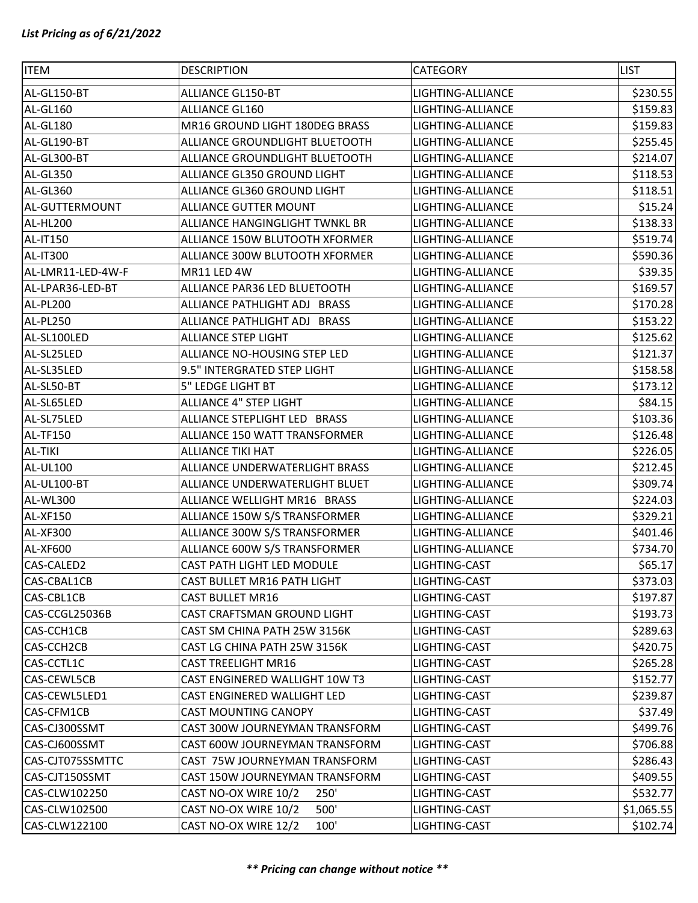| <b>ITEM</b>       | <b>DESCRIPTION</b>             | <b>CATEGORY</b>   | <b>LIST</b> |
|-------------------|--------------------------------|-------------------|-------------|
| AL-GL150-BT       | <b>ALLIANCE GL150-BT</b>       | LIGHTING-ALLIANCE | \$230.55    |
| AL-GL160          | <b>ALLIANCE GL160</b>          | LIGHTING-ALLIANCE | \$159.83    |
| AL-GL180          | MR16 GROUND LIGHT 180DEG BRASS | LIGHTING-ALLIANCE | \$159.83    |
| AL-GL190-BT       | ALLIANCE GROUNDLIGHT BLUETOOTH | LIGHTING-ALLIANCE | \$255.45    |
| AL-GL300-BT       | ALLIANCE GROUNDLIGHT BLUETOOTH | LIGHTING-ALLIANCE | \$214.07    |
| AL-GL350          | ALLIANCE GL350 GROUND LIGHT    | LIGHTING-ALLIANCE | \$118.53    |
| AL-GL360          | ALLIANCE GL360 GROUND LIGHT    | LIGHTING-ALLIANCE | \$118.51    |
| AL-GUTTERMOUNT    | <b>ALLIANCE GUTTER MOUNT</b>   | LIGHTING-ALLIANCE | \$15.24     |
| AL-HL200          | ALLIANCE HANGINGLIGHT TWNKL BR | LIGHTING-ALLIANCE | \$138.33    |
| AL-IT150          | ALLIANCE 150W BLUTOOTH XFORMER | LIGHTING-ALLIANCE | \$519.74    |
| AL-IT300          | ALLIANCE 300W BLUTOOTH XFORMER | LIGHTING-ALLIANCE | \$590.36    |
| AL-LMR11-LED-4W-F | MR11 LED 4W                    | LIGHTING-ALLIANCE | \$39.35     |
| AL-LPAR36-LED-BT  | ALLIANCE PAR36 LED BLUETOOTH   | LIGHTING-ALLIANCE | \$169.57    |
| AL-PL200          | ALLIANCE PATHLIGHT ADJ BRASS   | LIGHTING-ALLIANCE | \$170.28    |
| AL-PL250          | ALLIANCE PATHLIGHT ADJ BRASS   | LIGHTING-ALLIANCE | \$153.22    |
| AL-SL100LED       | <b>ALLIANCE STEP LIGHT</b>     | LIGHTING-ALLIANCE | \$125.62    |
| AL-SL25LED        | ALLIANCE NO-HOUSING STEP LED   | LIGHTING-ALLIANCE | \$121.37    |
| AL-SL35LED        | 9.5" INTERGRATED STEP LIGHT    | LIGHTING-ALLIANCE | \$158.58    |
| AL-SL50-BT        | 5" LEDGE LIGHT BT              | LIGHTING-ALLIANCE | \$173.12    |
| AL-SL65LED        | <b>ALLIANCE 4" STEP LIGHT</b>  | LIGHTING-ALLIANCE | \$84.15     |
| AL-SL75LED        | ALLIANCE STEPLIGHT LED BRASS   | LIGHTING-ALLIANCE | \$103.36    |
| AL-TF150          | ALLIANCE 150 WATT TRANSFORMER  | LIGHTING-ALLIANCE | \$126.48    |
| AL-TIKI           | <b>ALLIANCE TIKI HAT</b>       | LIGHTING-ALLIANCE | \$226.05    |
| <b>AL-UL100</b>   | ALLIANCE UNDERWATERLIGHT BRASS | LIGHTING-ALLIANCE | \$212.45    |
| AL-UL100-BT       | ALLIANCE UNDERWATERLIGHT BLUET | LIGHTING-ALLIANCE | \$309.74    |
| AL-WL300          | ALLIANCE WELLIGHT MR16 BRASS   | LIGHTING-ALLIANCE | \$224.03    |
| AL-XF150          | ALLIANCE 150W S/S TRANSFORMER  | LIGHTING-ALLIANCE | \$329.21    |
| AL-XF300          | ALLIANCE 300W S/S TRANSFORMER  | LIGHTING-ALLIANCE | \$401.46    |
| AL-XF600          | ALLIANCE 600W S/S TRANSFORMER  | LIGHTING-ALLIANCE | \$734.70    |
| CAS-CALED2        | CAST PATH LIGHT LED MODULE     | LIGHTING-CAST     | \$65.17     |
| CAS-CBAL1CB       | CAST BULLET MR16 PATH LIGHT    | LIGHTING-CAST     | \$373.03    |
| CAS-CBL1CB        | <b>CAST BULLET MR16</b>        | LIGHTING-CAST     | \$197.87    |
| CAS-CCGL25036B    | CAST CRAFTSMAN GROUND LIGHT    | LIGHTING-CAST     | \$193.73    |
| CAS-CCH1CB        | CAST SM CHINA PATH 25W 3156K   | LIGHTING-CAST     | \$289.63    |
| CAS-CCH2CB        | CAST LG CHINA PATH 25W 3156K   | LIGHTING-CAST     | \$420.75    |
| CAS-CCTL1C        | <b>CAST TREELIGHT MR16</b>     | LIGHTING-CAST     | \$265.28    |
| CAS-CEWL5CB       | CAST ENGINERED WALLIGHT 10W T3 | LIGHTING-CAST     | \$152.77    |
| CAS-CEWL5LED1     | CAST ENGINERED WALLIGHT LED    | LIGHTING-CAST     | \$239.87    |
| CAS-CFM1CB        | <b>CAST MOUNTING CANOPY</b>    | LIGHTING-CAST     | \$37.49     |
| CAS-CJ300SSMT     | CAST 300W JOURNEYMAN TRANSFORM | LIGHTING-CAST     | \$499.76    |
| CAS-CJ600SSMT     | CAST 600W JOURNEYMAN TRANSFORM | LIGHTING-CAST     | \$706.88    |
| CAS-CJT075SSMTTC  | CAST 75W JOURNEYMAN TRANSFORM  | LIGHTING-CAST     | \$286.43    |
| CAS-CJT150SSMT    | CAST 150W JOURNEYMAN TRANSFORM | LIGHTING-CAST     | \$409.55    |
| CAS-CLW102250     | 250'<br>CAST NO-OX WIRE 10/2   | LIGHTING-CAST     | \$532.77    |
| CAS-CLW102500     | CAST NO-OX WIRE 10/2<br>500'   | LIGHTING-CAST     | \$1,065.55  |
| CAS-CLW122100     | CAST NO-OX WIRE 12/2<br>100'   | LIGHTING-CAST     | \$102.74    |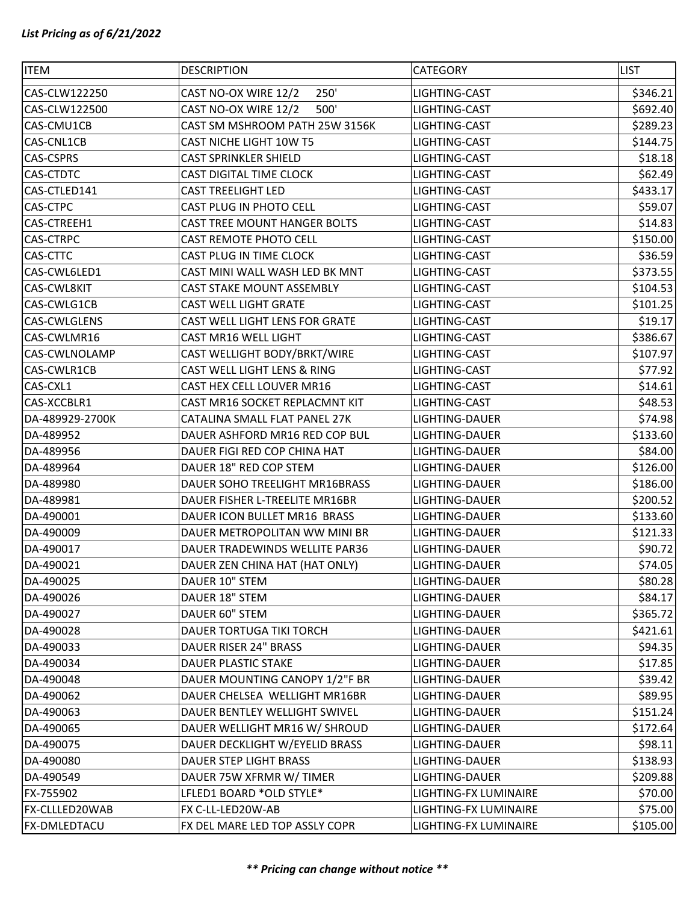| <b>ITEM</b>          | <b>DESCRIPTION</b>             | <b>CATEGORY</b>       | <b>LIST</b> |
|----------------------|--------------------------------|-----------------------|-------------|
| CAS-CLW122250        | CAST NO-OX WIRE 12/2<br>250'   | LIGHTING-CAST         | \$346.21    |
| CAS-CLW122500        | CAST NO-OX WIRE 12/2<br>500'   | LIGHTING-CAST         | \$692.40    |
| CAS-CMU1CB           | CAST SM MSHROOM PATH 25W 3156K | LIGHTING-CAST         | \$289.23    |
| CAS-CNL1CB           | CAST NICHE LIGHT 10W T5        | LIGHTING-CAST         | \$144.75    |
| <b>CAS-CSPRS</b>     | <b>CAST SPRINKLER SHIELD</b>   | LIGHTING-CAST         | \$18.18     |
| <b>CAS-CTDTC</b>     | CAST DIGITAL TIME CLOCK        | LIGHTING-CAST         | \$62.49     |
| CAS-CTLED141         | <b>CAST TREELIGHT LED</b>      | LIGHTING-CAST         | \$433.17    |
| <b>CAS-CTPC</b>      | CAST PLUG IN PHOTO CELL        | LIGHTING-CAST         | \$59.07     |
| CAS-CTREEH1          | CAST TREE MOUNT HANGER BOLTS   | LIGHTING-CAST         | \$14.83     |
| <b>CAS-CTRPC</b>     | <b>CAST REMOTE PHOTO CELL</b>  | LIGHTING-CAST         | \$150.00    |
| <b>CAS-CTTC</b>      | CAST PLUG IN TIME CLOCK        | LIGHTING-CAST         | \$36.59     |
| CAS-CWL6LED1         | CAST MINI WALL WASH LED BK MNT | LIGHTING-CAST         | \$373.55    |
| <b>CAS-CWL8KIT</b>   | CAST STAKE MOUNT ASSEMBLY      | LIGHTING-CAST         | \$104.53    |
| CAS-CWLG1CB          | CAST WELL LIGHT GRATE          | LIGHTING-CAST         | \$101.25    |
| <b>CAS-CWLGLENS</b>  | CAST WELL LIGHT LENS FOR GRATE | LIGHTING-CAST         | \$19.17     |
| CAS-CWLMR16          | CAST MR16 WELL LIGHT           | LIGHTING-CAST         | \$386.67    |
| <b>CAS-CWLNOLAMP</b> | CAST WELLIGHT BODY/BRKT/WIRE   | LIGHTING-CAST         | \$107.97    |
| CAS-CWLR1CB          | CAST WELL LIGHT LENS & RING    | LIGHTING-CAST         | \$77.92     |
| CAS-CXL1             | CAST HEX CELL LOUVER MR16      | LIGHTING-CAST         | \$14.61     |
| CAS-XCCBLR1          | CAST MR16 SOCKET REPLACMNT KIT | LIGHTING-CAST         | \$48.53     |
| DA-489929-2700K      | CATALINA SMALL FLAT PANEL 27K  | LIGHTING-DAUER        | \$74.98     |
| DA-489952            | DAUER ASHFORD MR16 RED COP BUL | LIGHTING-DAUER        | \$133.60    |
| DA-489956            | DAUER FIGI RED COP CHINA HAT   | LIGHTING-DAUER        | \$84.00     |
| DA-489964            | DAUER 18" RED COP STEM         | LIGHTING-DAUER        | \$126.00    |
| DA-489980            | DAUER SOHO TREELIGHT MR16BRASS | LIGHTING-DAUER        | \$186.00    |
| DA-489981            | DAUER FISHER L-TREELITE MR16BR | LIGHTING-DAUER        | \$200.52    |
| DA-490001            | DAUER ICON BULLET MR16 BRASS   | LIGHTING-DAUER        | \$133.60    |
| DA-490009            | DAUER METROPOLITAN WW MINI BR  | LIGHTING-DAUER        | \$121.33    |
| DA-490017            | DAUER TRADEWINDS WELLITE PAR36 | LIGHTING-DAUER        | \$90.72     |
| DA-490021            | DAUER ZEN CHINA HAT (HAT ONLY) | LIGHTING-DAUER        | \$74.05     |
| DA-490025            | DAUER 10" STEM                 | LIGHTING-DAUER        | \$80.28     |
| DA-490026            | DAUER 18" STEM                 | LIGHTING-DAUER        | \$84.17     |
| DA-490027            | DAUER 60" STEM                 | LIGHTING-DAUER        | \$365.72    |
| DA-490028            | DAUER TORTUGA TIKI TORCH       | LIGHTING-DAUER        | \$421.61    |
| DA-490033            | DAUER RISER 24" BRASS          | LIGHTING-DAUER        | \$94.35     |
| DA-490034            | DAUER PLASTIC STAKE            | LIGHTING-DAUER        | \$17.85     |
| DA-490048            | DAUER MOUNTING CANOPY 1/2"F BR | LIGHTING-DAUER        | \$39.42     |
| DA-490062            | DAUER CHELSEA WELLIGHT MR16BR  | LIGHTING-DAUER        | \$89.95     |
| DA-490063            | DAUER BENTLEY WELLIGHT SWIVEL  | LIGHTING-DAUER        | \$151.24    |
| DA-490065            | DAUER WELLIGHT MR16 W/ SHROUD  | LIGHTING-DAUER        | \$172.64    |
| DA-490075            | DAUER DECKLIGHT W/EYELID BRASS | LIGHTING-DAUER        | \$98.11     |
| DA-490080            | DAUER STEP LIGHT BRASS         | LIGHTING-DAUER        | \$138.93    |
| DA-490549            | DAUER 75W XFRMR W/ TIMER       | LIGHTING-DAUER        | \$209.88    |
| FX-755902            | LFLED1 BOARD *OLD STYLE*       | LIGHTING-FX LUMINAIRE | \$70.00     |
| FX-CLLLED20WAB       | FX C-LL-LED20W-AB              | LIGHTING-FX LUMINAIRE | \$75.00     |
| <b>FX-DMLEDTACU</b>  | FX DEL MARE LED TOP ASSLY COPR | LIGHTING-FX LUMINAIRE | \$105.00    |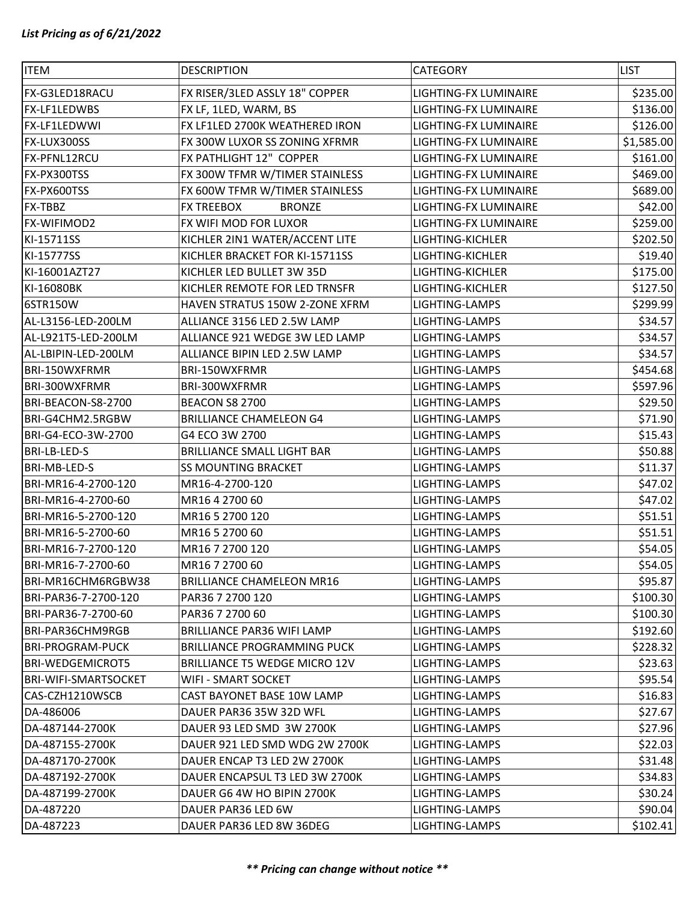| <b>ITEM</b>                 | <b>DESCRIPTION</b>                   | <b>CATEGORY</b>              | <b>LIST</b> |
|-----------------------------|--------------------------------------|------------------------------|-------------|
| FX-G3LED18RACU              | FX RISER/3LED ASSLY 18" COPPER       | LIGHTING-FX LUMINAIRE        | \$235.00    |
| FX-LF1LEDWBS                | FX LF, 1LED, WARM, BS                | LIGHTING-FX LUMINAIRE        | \$136.00    |
| <b>FX-LF1LEDWWI</b>         | FX LF1LED 2700K WEATHERED IRON       | LIGHTING-FX LUMINAIRE        | \$126.00    |
| FX-LUX300SS                 | FX 300W LUXOR SS ZONING XFRMR        | LIGHTING-FX LUMINAIRE        | \$1,585.00  |
| FX-PFNL12RCU                | FX PATHLIGHT 12" COPPER              | LIGHTING-FX LUMINAIRE        | \$161.00    |
| FX-PX300TSS                 | FX 300W TFMR W/TIMER STAINLESS       | LIGHTING-FX LUMINAIRE        | \$469.00    |
| FX-PX600TSS                 | FX 600W TFMR W/TIMER STAINLESS       | LIGHTING-FX LUMINAIRE        | \$689.00    |
| FX-TBBZ                     | <b>BRONZE</b><br><b>FX TREEBOX</b>   | <b>LIGHTING-FX LUMINAIRE</b> | \$42.00     |
| FX-WIFIMOD2                 | FX WIFI MOD FOR LUXOR                | LIGHTING-FX LUMINAIRE        | \$259.00    |
| KI-15711SS                  | KICHLER 2IN1 WATER/ACCENT LITE       | LIGHTING-KICHLER             | \$202.50    |
| KI-15777SS                  | KICHLER BRACKET FOR KI-15711SS       | LIGHTING-KICHLER             | \$19.40     |
| KI-16001AZT27               | KICHLER LED BULLET 3W 35D            | LIGHTING-KICHLER             | \$175.00    |
| KI-16080BK                  | KICHLER REMOTE FOR LED TRNSFR        | LIGHTING-KICHLER             | \$127.50    |
| 6STR150W                    | HAVEN STRATUS 150W 2-ZONE XFRM       | LIGHTING-LAMPS               | \$299.99    |
| AL-L3156-LED-200LM          | ALLIANCE 3156 LED 2.5W LAMP          | LIGHTING-LAMPS               | \$34.57     |
| AL-L921T5-LED-200LM         | ALLIANCE 921 WEDGE 3W LED LAMP       | LIGHTING-LAMPS               | \$34.57     |
| AL-LBIPIN-LED-200LM         | ALLIANCE BIPIN LED 2.5W LAMP         | LIGHTING-LAMPS               | \$34.57     |
| <b>BRI-150WXFRMR</b>        | BRI-150WXFRMR                        | LIGHTING-LAMPS               | \$454.68    |
| BRI-300WXFRMR               | BRI-300WXFRMR                        | LIGHTING-LAMPS               | \$597.96    |
| BRI-BEACON-S8-2700          | <b>BEACON S8 2700</b>                | LIGHTING-LAMPS               | \$29.50     |
| BRI-G4CHM2.5RGBW            | <b>BRILLIANCE CHAMELEON G4</b>       | LIGHTING-LAMPS               | \$71.90     |
| BRI-G4-ECO-3W-2700          | G4 ECO 3W 2700                       | LIGHTING-LAMPS               | \$15.43     |
| <b>BRI-LB-LED-S</b>         | <b>BRILLIANCE SMALL LIGHT BAR</b>    | LIGHTING-LAMPS               | \$50.88     |
| BRI-MB-LED-S                | <b>SS MOUNTING BRACKET</b>           | LIGHTING-LAMPS               | \$11.37     |
| BRI-MR16-4-2700-120         | MR16-4-2700-120                      | LIGHTING-LAMPS               | \$47.02     |
| BRI-MR16-4-2700-60          | MR16 4 2700 60                       | LIGHTING-LAMPS               | \$47.02     |
| BRI-MR16-5-2700-120         | MR16 5 2700 120                      | LIGHTING-LAMPS               | \$51.51     |
| BRI-MR16-5-2700-60          | MR16 5 2700 60                       | LIGHTING-LAMPS               | \$51.51     |
| BRI-MR16-7-2700-120         | MR16 7 2700 120                      | LIGHTING-LAMPS               | \$54.05     |
| BRI-MR16-7-2700-60          | MR16 7 2700 60                       | <b>LIGHTING-LAMPS</b>        | \$54.05     |
| BRI-MR16CHM6RGBW38          | <b>BRILLIANCE CHAMELEON MR16</b>     | LIGHTING-LAMPS               | \$95.87     |
| BRI-PAR36-7-2700-120        | PAR36 7 2700 120                     | LIGHTING-LAMPS               | \$100.30    |
| BRI-PAR36-7-2700-60         | PAR36 7 2700 60                      | LIGHTING-LAMPS               | \$100.30    |
| BRI-PAR36CHM9RGB            | <b>BRILLIANCE PAR36 WIFI LAMP</b>    | LIGHTING-LAMPS               | \$192.60    |
| <b>BRI-PROGRAM-PUCK</b>     | <b>BRILLIANCE PROGRAMMING PUCK</b>   | LIGHTING-LAMPS               | \$228.32    |
| <b>BRI-WEDGEMICROT5</b>     | <b>BRILLIANCE T5 WEDGE MICRO 12V</b> | LIGHTING-LAMPS               | \$23.63     |
| <b>BRI-WIFI-SMARTSOCKET</b> | WIFI - SMART SOCKET                  | LIGHTING-LAMPS               | \$95.54     |
| CAS-CZH1210WSCB             | CAST BAYONET BASE 10W LAMP           | LIGHTING-LAMPS               | \$16.83     |
| DA-486006                   | DAUER PAR36 35W 32D WFL              | LIGHTING-LAMPS               | \$27.67     |
| DA-487144-2700K             | DAUER 93 LED SMD 3W 2700K            | LIGHTING-LAMPS               | \$27.96     |
| DA-487155-2700K             | DAUER 921 LED SMD WDG 2W 2700K       | LIGHTING-LAMPS               | \$22.03     |
| DA-487170-2700K             | DAUER ENCAP T3 LED 2W 2700K          | LIGHTING-LAMPS               | \$31.48     |
| DA-487192-2700K             | DAUER ENCAPSUL T3 LED 3W 2700K       | LIGHTING-LAMPS               | \$34.83     |
| DA-487199-2700K             | DAUER G6 4W HO BIPIN 2700K           | LIGHTING-LAMPS               | \$30.24     |
| DA-487220                   | DAUER PAR36 LED 6W                   | LIGHTING-LAMPS               | \$90.04     |
| DA-487223                   | DAUER PAR36 LED 8W 36DEG             | LIGHTING-LAMPS               | \$102.41    |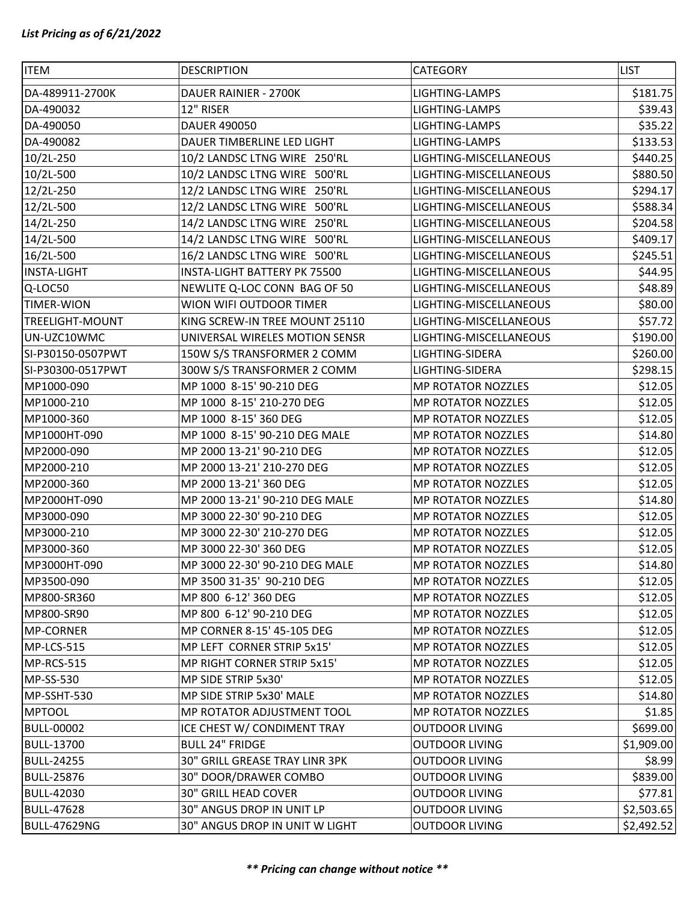| <b>ITEM</b>            | <b>DESCRIPTION</b>             | CATEGORY                  | <b>LIST</b> |
|------------------------|--------------------------------|---------------------------|-------------|
| DA-489911-2700K        | DAUER RAINIER - 2700K          | LIGHTING-LAMPS            | \$181.75    |
| DA-490032              | 12" RISER                      | LIGHTING-LAMPS            | \$39.43     |
| DA-490050              | DAUER 490050                   | LIGHTING-LAMPS            | \$35.22     |
| DA-490082              | DAUER TIMBERLINE LED LIGHT     | LIGHTING-LAMPS            | \$133.53    |
| 10/2L-250              | 10/2 LANDSC LTNG WIRE 250'RL   | LIGHTING-MISCELLANEOUS    | \$440.25    |
| 10/2L-500              | 10/2 LANDSC LTNG WIRE 500'RL   | LIGHTING-MISCELLANEOUS    | \$880.50    |
| 12/2L-250              | 12/2 LANDSC LTNG WIRE 250'RL   | LIGHTING-MISCELLANEOUS    | \$294.17    |
| 12/2L-500              | 12/2 LANDSC LTNG WIRE 500'RL   | LIGHTING-MISCELLANEOUS    | \$588.34    |
| 14/2L-250              | 14/2 LANDSC LTNG WIRE 250'RL   | LIGHTING-MISCELLANEOUS    | \$204.58    |
| 14/2L-500              | 14/2 LANDSC LTNG WIRE 500'RL   | LIGHTING-MISCELLANEOUS    | \$409.17    |
| 16/2L-500              | 16/2 LANDSC LTNG WIRE 500'RL   | LIGHTING-MISCELLANEOUS    | \$245.51    |
| <b>INSTA-LIGHT</b>     | INSTA-LIGHT BATTERY PK 75500   | LIGHTING-MISCELLANEOUS    | \$44.95     |
| Q-LOC50                | NEWLITE Q-LOC CONN BAG OF 50   | LIGHTING-MISCELLANEOUS    | \$48.89     |
| <b>TIMER-WION</b>      | WION WIFI OUTDOOR TIMER        | LIGHTING-MISCELLANEOUS    | \$80.00     |
| <b>TREELIGHT-MOUNT</b> | KING SCREW-IN TREE MOUNT 25110 | LIGHTING-MISCELLANEOUS    | \$57.72     |
| UN-UZC10WMC            | UNIVERSAL WIRELES MOTION SENSR | LIGHTING-MISCELLANEOUS    | \$190.00    |
| SI-P30150-0507PWT      | 150W S/S TRANSFORMER 2 COMM    | LIGHTING-SIDERA           | \$260.00    |
| SI-P30300-0517PWT      | 300W S/S TRANSFORMER 2 COMM    | LIGHTING-SIDERA           | \$298.15    |
| MP1000-090             | MP 1000 8-15' 90-210 DEG       | <b>MP ROTATOR NOZZLES</b> | \$12.05     |
| MP1000-210             | MP 1000 8-15' 210-270 DEG      | <b>MP ROTATOR NOZZLES</b> | \$12.05     |
| MP1000-360             | MP 1000 8-15' 360 DEG          | <b>MP ROTATOR NOZZLES</b> | \$12.05     |
| MP1000HT-090           | MP 1000 8-15' 90-210 DEG MALE  | <b>MP ROTATOR NOZZLES</b> | \$14.80     |
| MP2000-090             | MP 2000 13-21' 90-210 DEG      | <b>MP ROTATOR NOZZLES</b> | \$12.05     |
| MP2000-210             | MP 2000 13-21' 210-270 DEG     | <b>MP ROTATOR NOZZLES</b> | \$12.05     |
| MP2000-360             | MP 2000 13-21' 360 DEG         | <b>MP ROTATOR NOZZLES</b> | \$12.05     |
| MP2000HT-090           | MP 2000 13-21' 90-210 DEG MALE | <b>MP ROTATOR NOZZLES</b> | \$14.80     |
| MP3000-090             | MP 3000 22-30' 90-210 DEG      | <b>MP ROTATOR NOZZLES</b> | \$12.05     |
| MP3000-210             | MP 3000 22-30' 210-270 DEG     | <b>MP ROTATOR NOZZLES</b> | \$12.05     |
| MP3000-360             | MP 3000 22-30' 360 DEG         | MP ROTATOR NOZZLES        | \$12.05     |
| MP3000HT-090           | MP 3000 22-30' 90-210 DEG MALE | <b>MP ROTATOR NOZZLES</b> | \$14.80     |
| MP3500-090             | MP 3500 31-35' 90-210 DEG      | <b>MP ROTATOR NOZZLES</b> | \$12.05     |
| MP800-SR360            | MP 800 6-12' 360 DEG           | MP ROTATOR NOZZLES        | \$12.05     |
| MP800-SR90             | MP 800 6-12' 90-210 DEG        | <b>MP ROTATOR NOZZLES</b> | \$12.05     |
| MP-CORNER              | MP CORNER 8-15' 45-105 DEG     | <b>MP ROTATOR NOZZLES</b> | \$12.05     |
| MP-LCS-515             | MP LEFT CORNER STRIP 5x15'     | MP ROTATOR NOZZLES        | \$12.05     |
| MP-RCS-515             | MP RIGHT CORNER STRIP 5x15'    | <b>MP ROTATOR NOZZLES</b> | \$12.05     |
| MP-SS-530              | MP SIDE STRIP 5x30'            | <b>MP ROTATOR NOZZLES</b> | \$12.05     |
| MP-SSHT-530            | MP SIDE STRIP 5x30' MALE       | MP ROTATOR NOZZLES        | \$14.80     |
| <b>MPTOOL</b>          | MP ROTATOR ADJUSTMENT TOOL     | <b>MP ROTATOR NOZZLES</b> | \$1.85      |
| <b>BULL-00002</b>      | ICE CHEST W/ CONDIMENT TRAY    | <b>OUTDOOR LIVING</b>     | \$699.00    |
| <b>BULL-13700</b>      | <b>BULL 24" FRIDGE</b>         | <b>OUTDOOR LIVING</b>     | \$1,909.00  |
| <b>BULL-24255</b>      | 30" GRILL GREASE TRAY LINR 3PK | <b>OUTDOOR LIVING</b>     | \$8.99      |
| <b>BULL-25876</b>      | 30" DOOR/DRAWER COMBO          | <b>OUTDOOR LIVING</b>     | \$839.00    |
| <b>BULL-42030</b>      | <b>30" GRILL HEAD COVER</b>    | <b>OUTDOOR LIVING</b>     | \$77.81     |
| <b>BULL-47628</b>      | 30" ANGUS DROP IN UNIT LP      | <b>OUTDOOR LIVING</b>     | \$2,503.65  |
| <b>BULL-47629NG</b>    | 30" ANGUS DROP IN UNIT W LIGHT | <b>OUTDOOR LIVING</b>     | \$2,492.52  |
|                        |                                |                           |             |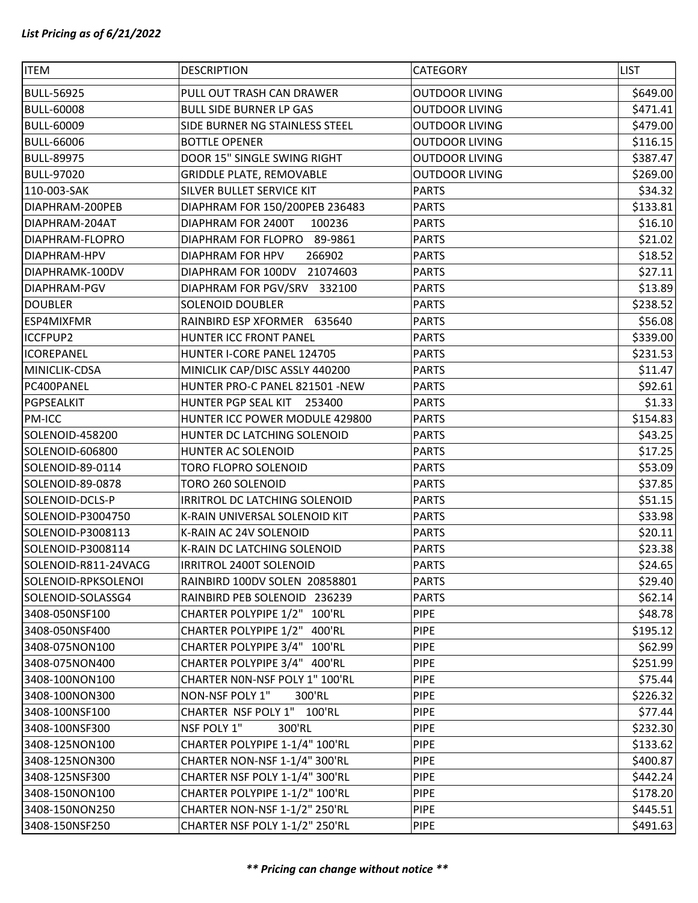| <b>ITEM</b>          | <b>DESCRIPTION</b>              | <b>CATEGORY</b>       | <b>LIST</b> |
|----------------------|---------------------------------|-----------------------|-------------|
| <b>BULL-56925</b>    | PULL OUT TRASH CAN DRAWER       | <b>OUTDOOR LIVING</b> | \$649.00    |
| <b>BULL-60008</b>    | <b>BULL SIDE BURNER LP GAS</b>  | <b>OUTDOOR LIVING</b> | \$471.41    |
| <b>BULL-60009</b>    | SIDE BURNER NG STAINLESS STEEL  | <b>OUTDOOR LIVING</b> | \$479.00    |
| <b>BULL-66006</b>    | <b>BOTTLE OPENER</b>            | <b>OUTDOOR LIVING</b> | \$116.15    |
| <b>BULL-89975</b>    | DOOR 15" SINGLE SWING RIGHT     | <b>OUTDOOR LIVING</b> | \$387.47    |
| <b>BULL-97020</b>    | <b>GRIDDLE PLATE, REMOVABLE</b> | <b>OUTDOOR LIVING</b> | \$269.00    |
| 110-003-SAK          | SILVER BULLET SERVICE KIT       | <b>PARTS</b>          | \$34.32     |
| DIAPHRAM-200PEB      | DIAPHRAM FOR 150/200PEB 236483  | <b>PARTS</b>          | \$133.81    |
| DIAPHRAM-204AT       | DIAPHRAM FOR 2400T<br>100236    | <b>PARTS</b>          | \$16.10     |
| DIAPHRAM-FLOPRO      | DIAPHRAM FOR FLOPRO 89-9861     | <b>PARTS</b>          | \$21.02     |
| DIAPHRAM-HPV         | 266902<br>DIAPHRAM FOR HPV      | <b>PARTS</b>          | \$18.52     |
| DIAPHRAMK-100DV      | 21074603<br>DIAPHRAM FOR 100DV  | <b>PARTS</b>          | \$27.11     |
| <b>DIAPHRAM-PGV</b>  | DIAPHRAM FOR PGV/SRV 332100     | <b>PARTS</b>          | \$13.89     |
| <b>DOUBLER</b>       | <b>SOLENOID DOUBLER</b>         | <b>PARTS</b>          | \$238.52    |
| <b>ESP4MIXFMR</b>    | RAINBIRD ESP XFORMER 635640     | <b>PARTS</b>          | \$56.08     |
| <b>ICCFPUP2</b>      | HUNTER ICC FRONT PANEL          | <b>PARTS</b>          | \$339.00    |
| <b>ICOREPANEL</b>    | HUNTER I-CORE PANEL 124705      | <b>PARTS</b>          | \$231.53    |
| MINICLIK-CDSA        | MINICLIK CAP/DISC ASSLY 440200  | <b>PARTS</b>          | \$11.47     |
| PC400PANEL           | HUNTER PRO-C PANEL 821501 -NEW  | <b>PARTS</b>          | \$92.61     |
| PGPSEALKIT           | HUNTER PGP SEAL KIT<br>253400   | <b>PARTS</b>          | \$1.33      |
| <b>PM-ICC</b>        | HUNTER ICC POWER MODULE 429800  | <b>PARTS</b>          | \$154.83    |
| SOLENOID-458200      | HUNTER DC LATCHING SOLENOID     | <b>PARTS</b>          | \$43.25     |
| SOLENOID-606800      | HUNTER AC SOLENOID              | <b>PARTS</b>          | \$17.25     |
| SOLENOID-89-0114     | TORO FLOPRO SOLENOID            | <b>PARTS</b>          | \$53.09     |
| SOLENOID-89-0878     | TORO 260 SOLENOID               | <b>PARTS</b>          | \$37.85     |
| SOLENOID-DCLS-P      | IRRITROL DC LATCHING SOLENOID   | <b>PARTS</b>          | \$51.15     |
| SOLENOID-P3004750    | K-RAIN UNIVERSAL SOLENOID KIT   | <b>PARTS</b>          | \$33.98     |
| SOLENOID-P3008113    | K-RAIN AC 24V SOLENOID          | <b>PARTS</b>          | \$20.11     |
| SOLENOID-P3008114    | K-RAIN DC LATCHING SOLENOID     | <b>PARTS</b>          | \$23.38     |
| SOLENOID-R811-24VACG | IRRITROL 2400T SOLENOID         | <b>PARTS</b>          | \$24.65     |
| SOLENOID-RPKSOLENOI  | RAINBIRD 100DV SOLEN 20858801   | <b>PARTS</b>          | \$29.40     |
| SOLENOID-SOLASSG4    | RAINBIRD PEB SOLENOID 236239    | <b>PARTS</b>          | \$62.14     |
| 3408-050NSF100       | CHARTER POLYPIPE 1/2" 100'RL    | <b>PIPE</b>           | \$48.78     |
| 3408-050NSF400       | CHARTER POLYPIPE 1/2" 400'RL    | <b>PIPE</b>           | \$195.12    |
| 3408-075NON100       | CHARTER POLYPIPE 3/4" 100'RL    | <b>PIPE</b>           | \$62.99     |
| 3408-075NON400       | CHARTER POLYPIPE 3/4" 400'RL    | <b>PIPE</b>           | \$251.99    |
| 3408-100NON100       | CHARTER NON-NSF POLY 1" 100'RL  | <b>PIPE</b>           | \$75.44     |
| 3408-100NON300       | NON-NSF POLY 1"<br>300'RL       | <b>PIPE</b>           | \$226.32    |
| 3408-100NSF100       | CHARTER NSF POLY 1" 100'RL      | <b>PIPE</b>           | \$77.44     |
| 3408-100NSF300       | NSF POLY 1"<br>300'RL           | <b>PIPE</b>           | \$232.30    |
| 3408-125NON100       | CHARTER POLYPIPE 1-1/4" 100'RL  | <b>PIPE</b>           | \$133.62    |
| 3408-125NON300       | CHARTER NON-NSF 1-1/4" 300'RL   | <b>PIPE</b>           | \$400.87    |
| 3408-125NSF300       | CHARTER NSF POLY 1-1/4" 300'RL  | <b>PIPE</b>           | \$442.24    |
| 3408-150NON100       | CHARTER POLYPIPE 1-1/2" 100'RL  | <b>PIPE</b>           | \$178.20    |
| 3408-150NON250       | CHARTER NON-NSF 1-1/2" 250'RL   | <b>PIPE</b>           | \$445.51    |
| 3408-150NSF250       | CHARTER NSF POLY 1-1/2" 250'RL  | <b>PIPE</b>           | \$491.63    |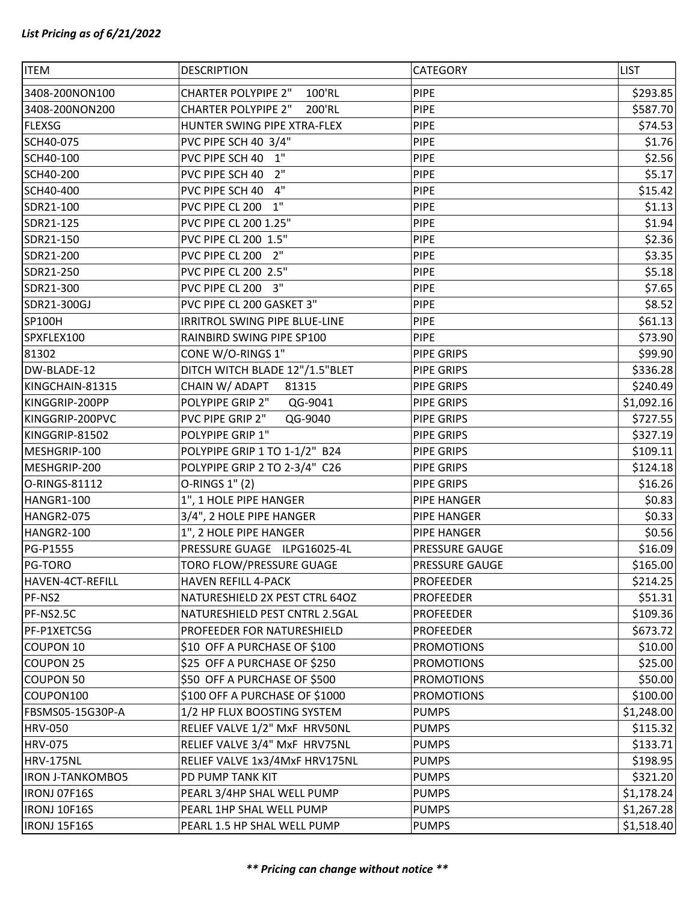| <b>ITEM</b>             | <b>DESCRIPTION</b>                   | CATEGORY          | <b>LIST</b> |
|-------------------------|--------------------------------------|-------------------|-------------|
| 3408-200NON100          | <b>CHARTER POLYPIPE 2"</b><br>100'RL | <b>PIPE</b>       | \$293.85    |
| 3408-200NON200          | <b>CHARTER POLYPIPE 2"</b><br>200'RL | <b>PIPE</b>       | \$587.70    |
| <b>FLEXSG</b>           | HUNTER SWING PIPE XTRA-FLEX          | <b>PIPE</b>       | \$74.53     |
| SCH40-075               | PVC PIPE SCH 40 3/4"                 | <b>PIPE</b>       | \$1.76      |
| SCH40-100               | PVC PIPE SCH 40 1"                   | <b>PIPE</b>       | \$2.56      |
| SCH40-200               | 2"<br>PVC PIPE SCH 40                | <b>PIPE</b>       | \$5.17      |
| SCH40-400               | 4"<br>PVC PIPE SCH 40                | <b>PIPE</b>       | \$15.42     |
| SDR21-100               | 1"<br>PVC PIPE CL 200                | <b>PIPE</b>       | \$1.13      |
| SDR21-125               | PVC PIPE CL 200 1.25"                | <b>PIPE</b>       | \$1.94      |
| SDR21-150               | PVC PIPE CL 200 1.5"                 | <b>PIPE</b>       | \$2.36      |
| SDR21-200               | PVC PIPE CL 200 2"                   | <b>PIPE</b>       | \$3.35      |
| SDR21-250               | PVC PIPE CL 200 2.5"                 | <b>PIPE</b>       | \$5.18      |
| SDR21-300               | PVC PIPE CL 200 3"                   | <b>PIPE</b>       | \$7.65      |
| SDR21-300GJ             | PVC PIPE CL 200 GASKET 3"            | <b>PIPE</b>       | \$8.52      |
| <b>SP100H</b>           | IRRITROL SWING PIPE BLUE-LINE        | <b>PIPE</b>       | \$61.13     |
| SPXFLEX100              | RAINBIRD SWING PIPE SP100            | <b>PIPE</b>       | \$73.90     |
| 81302                   | CONE W/O-RINGS 1"                    | PIPE GRIPS        | \$99.90     |
| DW-BLADE-12             | DITCH WITCH BLADE 12"/1.5"BLET       | PIPE GRIPS        | \$336.28    |
| KINGCHAIN-81315         | CHAIN W/ ADAPT<br>81315              | PIPE GRIPS        | \$240.49    |
| KINGGRIP-200PP          | POLYPIPE GRIP 2"<br>QG-9041          | PIPE GRIPS        | \$1,092.16  |
| KINGGRIP-200PVC         | PVC PIPE GRIP 2"<br>QG-9040          | PIPE GRIPS        | \$727.55    |
| KINGGRIP-81502          | POLYPIPE GRIP 1"                     | PIPE GRIPS        | \$327.19    |
| MESHGRIP-100            | POLYPIPE GRIP 1 TO 1-1/2" B24        | PIPE GRIPS        | \$109.11    |
| MESHGRIP-200            | POLYPIPE GRIP 2 TO 2-3/4" C26        | PIPE GRIPS        | \$124.18    |
| O-RINGS-81112           | O-RINGS 1" (2)                       | PIPE GRIPS        | \$16.26     |
| <b>HANGR1-100</b>       | 1", 1 HOLE PIPE HANGER               | PIPE HANGER       | \$0.83      |
| HANGR2-075              | 3/4", 2 HOLE PIPE HANGER             | PIPE HANGER       | \$0.33      |
| HANGR2-100              | 1", 2 HOLE PIPE HANGER               | PIPE HANGER       | \$0.56      |
| PG-P1555                | PRESSURE GUAGE ILPG16025-4L          | PRESSURE GAUGE    | \$16.09     |
| PG-TORO                 | TORO FLOW/PRESSURE GUAGE             | PRESSURE GAUGE    | \$165.00    |
| HAVEN-4CT-REFILL        | <b>HAVEN REFILL 4-PACK</b>           | <b>PROFEEDER</b>  | \$214.25    |
| PF-NS2                  | NATURESHIELD 2X PEST CTRL 64OZ       | <b>PROFEEDER</b>  | \$51.31     |
| PF-NS2.5C               | NATURESHIELD PEST CNTRL 2.5GAL       | <b>PROFEEDER</b>  | \$109.36    |
| PF-P1XETC5G             | PROFEEDER FOR NATURESHIELD           | <b>PROFEEDER</b>  | \$673.72    |
| COUPON 10               | \$10 OFF A PURCHASE OF \$100         | <b>PROMOTIONS</b> | \$10.00     |
| <b>COUPON 25</b>        | \$25 OFF A PURCHASE OF \$250         | <b>PROMOTIONS</b> | \$25.00     |
| <b>COUPON 50</b>        | \$50 OFF A PURCHASE OF \$500         | <b>PROMOTIONS</b> | \$50.00     |
| COUPON100               | \$100 OFF A PURCHASE OF \$1000       | <b>PROMOTIONS</b> | \$100.00    |
| FBSMS05-15G30P-A        | 1/2 HP FLUX BOOSTING SYSTEM          | <b>PUMPS</b>      | \$1,248.00  |
| <b>HRV-050</b>          | RELIEF VALVE 1/2" MxF HRV50NL        | <b>PUMPS</b>      | \$115.32    |
| <b>HRV-075</b>          | RELIEF VALVE 3/4" MxF HRV75NL        | <b>PUMPS</b>      | \$133.71    |
| <b>HRV-175NL</b>        | RELIEF VALVE 1x3/4MxF HRV175NL       | <b>PUMPS</b>      | \$198.95    |
| <b>IRON J-TANKOMBO5</b> | PD PUMP TANK KIT                     | <b>PUMPS</b>      | \$321.20    |
| IRONJ 07F16S            | PEARL 3/4HP SHAL WELL PUMP           | <b>PUMPS</b>      | \$1,178.24  |
| IRONJ 10F16S            | PEARL 1HP SHAL WELL PUMP             | <b>PUMPS</b>      | \$1,267.28  |
| IRONJ 15F16S            | PEARL 1.5 HP SHAL WELL PUMP          | <b>PUMPS</b>      | \$1,518.40  |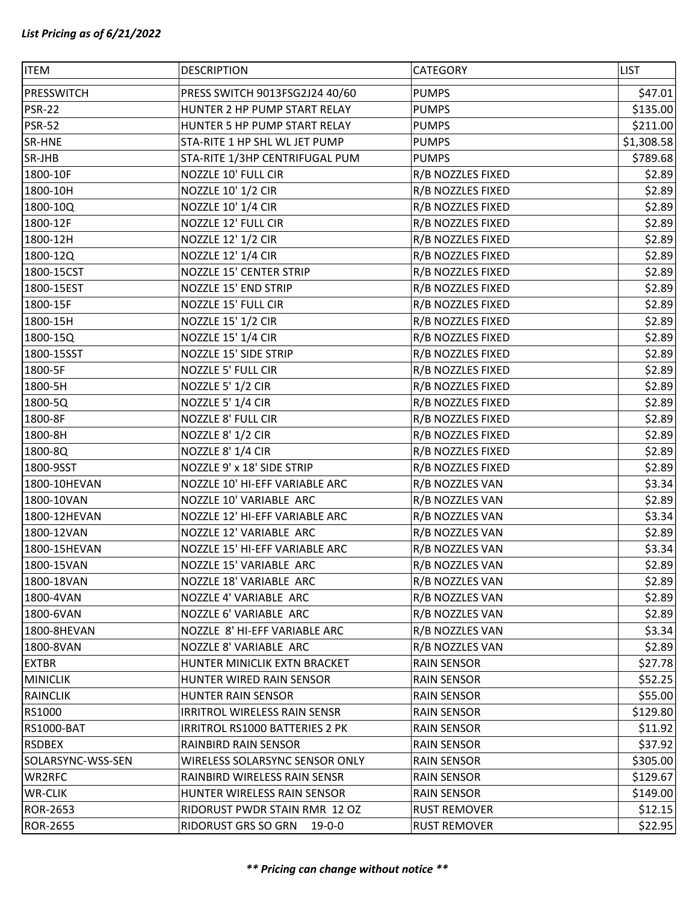| <b>ITEM</b>       | <b>DESCRIPTION</b>                  | CATEGORY            | <b>LIST</b> |
|-------------------|-------------------------------------|---------------------|-------------|
| <b>PRESSWITCH</b> | PRESS SWITCH 9013FSG2J24 40/60      | <b>PUMPS</b>        | \$47.01     |
| <b>PSR-22</b>     | HUNTER 2 HP PUMP START RELAY        | <b>PUMPS</b>        | \$135.00    |
| <b>PSR-52</b>     | HUNTER 5 HP PUMP START RELAY        | <b>PUMPS</b>        | \$211.00    |
| SR-HNE            | STA-RITE 1 HP SHL WL JET PUMP       | <b>PUMPS</b>        | \$1,308.58  |
| SR-JHB            | STA-RITE 1/3HP CENTRIFUGAL PUM      | <b>PUMPS</b>        | \$789.68    |
| 1800-10F          | NOZZLE 10' FULL CIR                 | R/B NOZZLES FIXED   | \$2.89      |
| 1800-10H          | NOZZLE 10' 1/2 CIR                  | R/B NOZZLES FIXED   | \$2.89      |
| 1800-10Q          | NOZZLE 10' 1/4 CIR                  | R/B NOZZLES FIXED   | \$2.89      |
| 1800-12F          | NOZZLE 12' FULL CIR                 | R/B NOZZLES FIXED   | \$2.89      |
| 1800-12H          | NOZZLE 12' 1/2 CIR                  | R/B NOZZLES FIXED   | \$2.89      |
| 1800-12Q          | NOZZLE 12' 1/4 CIR                  | R/B NOZZLES FIXED   | \$2.89      |
| 1800-15CST        | NOZZLE 15' CENTER STRIP             | R/B NOZZLES FIXED   | \$2.89      |
| 1800-15EST        | <b>NOZZLE 15' END STRIP</b>         | R/B NOZZLES FIXED   | \$2.89      |
| 1800-15F          | NOZZLE 15' FULL CIR                 | R/B NOZZLES FIXED   | \$2.89      |
| 1800-15H          | NOZZLE 15' 1/2 CIR                  | R/B NOZZLES FIXED   | \$2.89      |
| 1800-15Q          | <b>NOZZLE 15' 1/4 CIR</b>           | R/B NOZZLES FIXED   | \$2.89      |
| 1800-15SST        | NOZZLE 15' SIDE STRIP               | R/B NOZZLES FIXED   | \$2.89      |
| 1800-5F           | NOZZLE 5' FULL CIR                  | R/B NOZZLES FIXED   | \$2.89      |
| 1800-5H           | NOZZLE 5' 1/2 CIR                   | R/B NOZZLES FIXED   | \$2.89      |
| 1800-5Q           | NOZZLE 5' 1/4 CIR                   | R/B NOZZLES FIXED   | \$2.89      |
| 1800-8F           | NOZZLE 8' FULL CIR                  | R/B NOZZLES FIXED   | \$2.89      |
| 1800-8H           | NOZZLE 8' 1/2 CIR                   | R/B NOZZLES FIXED   | \$2.89      |
| 1800-8Q           | NOZZLE 8' 1/4 CIR                   | R/B NOZZLES FIXED   | \$2.89      |
| 1800-9SST         | NOZZLE 9' x 18' SIDE STRIP          | R/B NOZZLES FIXED   | \$2.89      |
| 1800-10HEVAN      | NOZZLE 10' HI-EFF VARIABLE ARC      | R/B NOZZLES VAN     | \$3.34      |
| 1800-10VAN        | NOZZLE 10' VARIABLE ARC             | R/B NOZZLES VAN     | \$2.89      |
| 1800-12HEVAN      | NOZZLE 12' HI-EFF VARIABLE ARC      | R/B NOZZLES VAN     | \$3.34      |
| 1800-12VAN        | NOZZLE 12' VARIABLE ARC             | R/B NOZZLES VAN     | \$2.89      |
| 1800-15HEVAN      | NOZZLE 15' HI-EFF VARIABLE ARC      | R/B NOZZLES VAN     | \$3.34      |
| 1800-15VAN        | NOZZLE 15' VARIABLE ARC             | R/B NOZZLES VAN     | \$2.89      |
| 1800-18VAN        | NOZZLE 18' VARIABLE ARC             | R/B NOZZLES VAN     | \$2.89      |
| 1800-4VAN         | NOZZLE 4' VARIABLE ARC              | R/B NOZZLES VAN     | \$2.89      |
| 1800-6VAN         | NOZZLE 6' VARIABLE ARC              | R/B NOZZLES VAN     | \$2.89      |
| 1800-8HEVAN       | NOZZLE 8' HI-EFF VARIABLE ARC       | R/B NOZZLES VAN     | \$3.34      |
| 1800-8VAN         | NOZZLE 8' VARIABLE ARC              | R/B NOZZLES VAN     | \$2.89      |
| <b>EXTBR</b>      | HUNTER MINICLIK EXTN BRACKET        | <b>RAIN SENSOR</b>  | \$27.78     |
| <b>MINICLIK</b>   | HUNTER WIRED RAIN SENSOR            | <b>RAIN SENSOR</b>  | \$52.25     |
| <b>RAINCLIK</b>   | <b>HUNTER RAIN SENSOR</b>           | <b>RAIN SENSOR</b>  | \$55.00     |
| RS1000            | <b>IRRITROL WIRELESS RAIN SENSR</b> | <b>RAIN SENSOR</b>  | \$129.80    |
| <b>RS1000-BAT</b> | IRRITROL RS1000 BATTERIES 2 PK      | <b>RAIN SENSOR</b>  | \$11.92     |
| <b>RSDBEX</b>     | RAINBIRD RAIN SENSOR                | <b>RAIN SENSOR</b>  | \$37.92     |
| SOLARSYNC-WSS-SEN | WIRELESS SOLARSYNC SENSOR ONLY      | <b>RAIN SENSOR</b>  | \$305.00    |
| WR2RFC            | RAINBIRD WIRELESS RAIN SENSR        | <b>RAIN SENSOR</b>  | \$129.67    |
| <b>WR-CLIK</b>    | HUNTER WIRELESS RAIN SENSOR         | <b>RAIN SENSOR</b>  | \$149.00    |
| ROR-2653          | RIDORUST PWDR STAIN RMR 12 OZ       | <b>RUST REMOVER</b> | \$12.15     |
| <b>ROR-2655</b>   | RIDORUST GRS SO GRN 19-0-0          | <b>RUST REMOVER</b> | \$22.95     |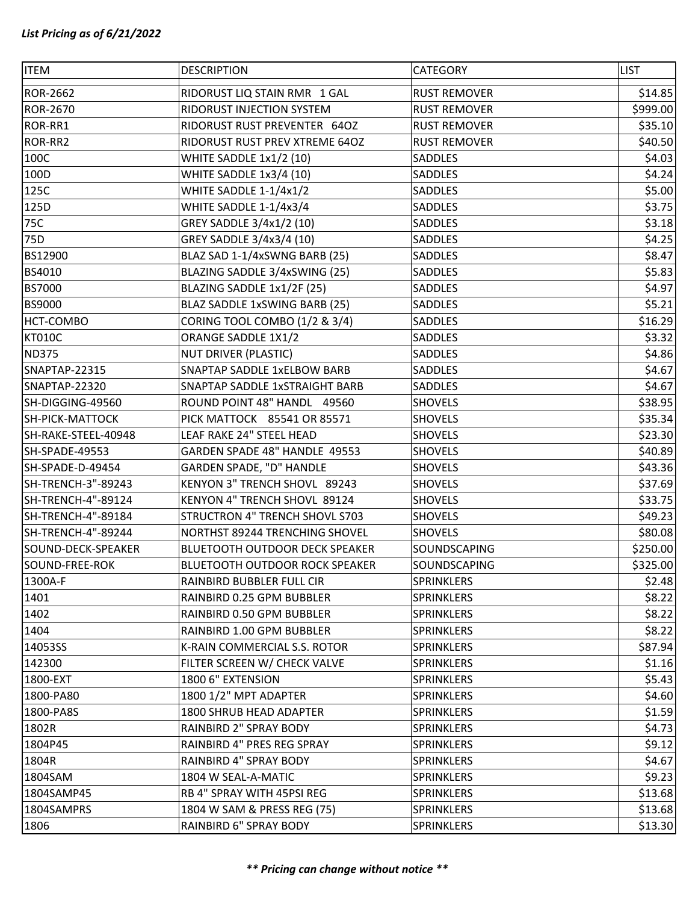| <b>ITEM</b>            | <b>DESCRIPTION</b>                    | CATEGORY            | <b>LIST</b> |
|------------------------|---------------------------------------|---------------------|-------------|
| <b>ROR-2662</b>        | RIDORUST LIQ STAIN RMR 1 GAL          | <b>RUST REMOVER</b> | \$14.85     |
| <b>ROR-2670</b>        | RIDORUST INJECTION SYSTEM             | <b>RUST REMOVER</b> | \$999.00    |
| ROR-RR1                | RIDORUST RUST PREVENTER 64OZ          | <b>RUST REMOVER</b> | \$35.10     |
| ROR-RR2                | RIDORUST RUST PREV XTREME 64OZ        | <b>RUST REMOVER</b> | \$40.50     |
| 100C                   | WHITE SADDLE 1x1/2 (10)               | SADDLES             | \$4.03      |
| 100D                   | WHITE SADDLE 1x3/4 (10)               | <b>SADDLES</b>      | \$4.24      |
| 125C                   | WHITE SADDLE 1-1/4x1/2                | <b>SADDLES</b>      | \$5.00      |
| 125D                   | WHITE SADDLE 1-1/4x3/4                | SADDLES             | \$3.75      |
| 75C                    | GREY SADDLE 3/4x1/2 (10)              | SADDLES             | \$3.18      |
| 75D                    | GREY SADDLE 3/4x3/4 (10)              | SADDLES             | \$4.25      |
| BS12900                | BLAZ SAD 1-1/4xSWNG BARB (25)         | SADDLES             | \$8.47      |
| BS4010                 | BLAZING SADDLE 3/4xSWING (25)         | SADDLES             | \$5.83      |
| <b>BS7000</b>          | BLAZING SADDLE 1x1/2F (25)            | SADDLES             | \$4.97      |
| <b>BS9000</b>          | BLAZ SADDLE 1xSWING BARB (25)         | SADDLES             | \$5.21      |
| <b>HCT-COMBO</b>       | CORING TOOL COMBO (1/2 & 3/4)         | SADDLES             | \$16.29     |
| <b>KT010C</b>          | ORANGE SADDLE 1X1/2                   | SADDLES             | \$3.32      |
| <b>ND375</b>           | <b>NUT DRIVER (PLASTIC)</b>           | SADDLES             | \$4.86      |
| SNAPTAP-22315          | SNAPTAP SADDLE 1xELBOW BARB           | SADDLES             | \$4.67      |
| SNAPTAP-22320          | SNAPTAP SADDLE 1xSTRAIGHT BARB        | SADDLES             | \$4.67      |
| SH-DIGGING-49560       | ROUND POINT 48" HANDL 49560           | <b>SHOVELS</b>      | \$38.95     |
| <b>SH-PICK-MATTOCK</b> | PICK MATTOCK 85541 OR 85571           | <b>SHOVELS</b>      | \$35.34     |
| SH-RAKE-STEEL-40948    | LEAF RAKE 24" STEEL HEAD              | <b>SHOVELS</b>      | \$23.30     |
| SH-SPADE-49553         | GARDEN SPADE 48" HANDLE 49553         | <b>SHOVELS</b>      | \$40.89     |
| SH-SPADE-D-49454       | GARDEN SPADE, "D" HANDLE              | <b>SHOVELS</b>      | \$43.36     |
| SH-TRENCH-3"-89243     | KENYON 3" TRENCH SHOVL 89243          | <b>SHOVELS</b>      | \$37.69     |
| SH-TRENCH-4"-89124     | KENYON 4" TRENCH SHOVL 89124          | <b>SHOVELS</b>      | \$33.75     |
| SH-TRENCH-4"-89184     | STRUCTRON 4" TRENCH SHOVL S703        | <b>SHOVELS</b>      | \$49.23     |
| SH-TRENCH-4"-89244     | NORTHST 89244 TRENCHING SHOVEL        | <b>SHOVELS</b>      | \$80.08     |
| SOUND-DECK-SPEAKER     | BLUETOOTH OUTDOOR DECK SPEAKER        | SOUNDSCAPING        | \$250.00    |
| SOUND-FREE-ROK         | <b>BLUETOOTH OUTDOOR ROCK SPEAKER</b> | SOUNDSCAPING        | \$325.00    |
| 1300A-F                | RAINBIRD BUBBLER FULL CIR             | SPRINKLERS          | \$2.48      |
| 1401                   | RAINBIRD 0.25 GPM BUBBLER             | SPRINKLERS          | \$8.22      |
| 1402                   | RAINBIRD 0.50 GPM BUBBLER             | SPRINKLERS          | \$8.22      |
| 1404                   | RAINBIRD 1.00 GPM BUBBLER             | <b>SPRINKLERS</b>   | \$8.22      |
| 14053SS                | K-RAIN COMMERCIAL S.S. ROTOR          | SPRINKLERS          | \$87.94     |
| 142300                 | FILTER SCREEN W/ CHECK VALVE          | SPRINKLERS          | \$1.16      |
| 1800-EXT               | 1800 6" EXTENSION                     | SPRINKLERS          | \$5.43      |
| 1800-PA80              | 1800 1/2" MPT ADAPTER                 | SPRINKLERS          | \$4.60      |
| 1800-PA8S              | 1800 SHRUB HEAD ADAPTER               | SPRINKLERS          | \$1.59      |
| 1802R                  | RAINBIRD 2" SPRAY BODY                | SPRINKLERS          | \$4.73      |
| 1804P45                | RAINBIRD 4" PRES REG SPRAY            | SPRINKLERS          | \$9.12      |
| 1804R                  | RAINBIRD 4" SPRAY BODY                | SPRINKLERS          | \$4.67      |
| 1804SAM                | 1804 W SEAL-A-MATIC                   | SPRINKLERS          | \$9.23      |
| 1804SAMP45             | RB 4" SPRAY WITH 45PSI REG            | SPRINKLERS          | \$13.68     |
| 1804SAMPRS             | 1804 W SAM & PRESS REG (75)           | SPRINKLERS          | \$13.68     |
| 1806                   | RAINBIRD 6" SPRAY BODY                | SPRINKLERS          | \$13.30     |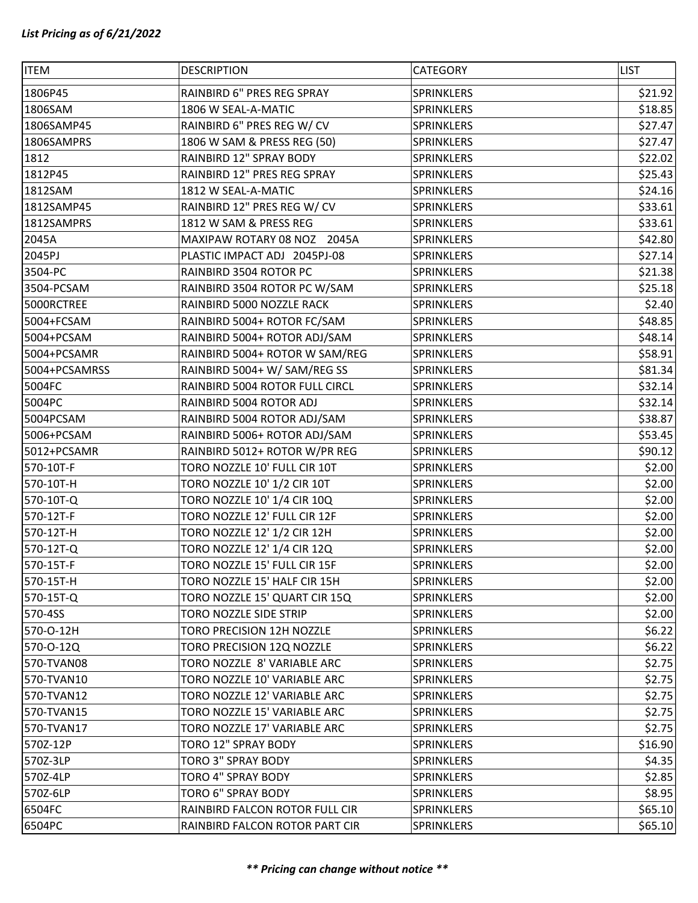| <b>ITEM</b>   | <b>DESCRIPTION</b>             | CATEGORY   | <b>LIST</b> |
|---------------|--------------------------------|------------|-------------|
| 1806P45       | RAINBIRD 6" PRES REG SPRAY     | SPRINKLERS | \$21.92     |
| 1806SAM       | 1806 W SEAL-A-MATIC            | SPRINKLERS | \$18.85     |
| 1806SAMP45    | RAINBIRD 6" PRES REG W/ CV     | SPRINKLERS | \$27.47     |
| 1806SAMPRS    | 1806 W SAM & PRESS REG (50)    | SPRINKLERS | \$27.47     |
| 1812          | RAINBIRD 12" SPRAY BODY        | SPRINKLERS | \$22.02     |
| 1812P45       | RAINBIRD 12" PRES REG SPRAY    | SPRINKLERS | \$25.43     |
| 1812SAM       | 1812 W SEAL-A-MATIC            | SPRINKLERS | \$24.16     |
| 1812SAMP45    | RAINBIRD 12" PRES REG W/ CV    | SPRINKLERS | \$33.61     |
| 1812SAMPRS    | 1812 W SAM & PRESS REG         | SPRINKLERS | \$33.61     |
| 2045A         | MAXIPAW ROTARY 08 NOZ<br>2045A | SPRINKLERS | \$42.80     |
| 2045PJ        | PLASTIC IMPACT ADJ 2045PJ-08   | SPRINKLERS | \$27.14     |
| 3504-PC       | RAINBIRD 3504 ROTOR PC         | SPRINKLERS | \$21.38     |
| 3504-PCSAM    | RAINBIRD 3504 ROTOR PC W/SAM   | SPRINKLERS | \$25.18     |
| 5000RCTREE    | RAINBIRD 5000 NOZZLE RACK      | SPRINKLERS | \$2.40      |
| 5004+FCSAM    | RAINBIRD 5004+ ROTOR FC/SAM    | SPRINKLERS | \$48.85     |
| 5004+PCSAM    | RAINBIRD 5004+ ROTOR ADJ/SAM   | SPRINKLERS | \$48.14     |
| 5004+PCSAMR   | RAINBIRD 5004+ ROTOR W SAM/REG | SPRINKLERS | \$58.91     |
| 5004+PCSAMRSS | RAINBIRD 5004+ W/ SAM/REG SS   | SPRINKLERS | \$81.34     |
| 5004FC        | RAINBIRD 5004 ROTOR FULL CIRCL | SPRINKLERS | \$32.14     |
| 5004PC        | RAINBIRD 5004 ROTOR ADJ        | SPRINKLERS | \$32.14     |
| 5004PCSAM     | RAINBIRD 5004 ROTOR ADJ/SAM    | SPRINKLERS | \$38.87     |
| 5006+PCSAM    | RAINBIRD 5006+ ROTOR ADJ/SAM   | SPRINKLERS | \$53.45     |
| 5012+PCSAMR   | RAINBIRD 5012+ ROTOR W/PR REG  | SPRINKLERS | \$90.12     |
| 570-10T-F     | TORO NOZZLE 10' FULL CIR 10T   | SPRINKLERS | \$2.00      |
| 570-10T-H     | TORO NOZZLE 10' 1/2 CIR 10T    | SPRINKLERS | \$2.00      |
| 570-10T-Q     | TORO NOZZLE 10' 1/4 CIR 10Q    | SPRINKLERS | \$2.00      |
| 570-12T-F     | TORO NOZZLE 12' FULL CIR 12F   | SPRINKLERS | \$2.00      |
| 570-12T-H     | TORO NOZZLE 12' 1/2 CIR 12H    | SPRINKLERS | \$2.00      |
| 570-12T-Q     | TORO NOZZLE 12' 1/4 CIR 12Q    | SPRINKLERS | \$2.00      |
| 570-15T-F     | TORO NOZZLE 15' FULL CIR 15F   | SPRINKLERS | \$2.00      |
| 570-15T-H     | TORO NOZZLE 15' HALF CIR 15H   | SPRINKLERS | \$2.00      |
| 570-15T-Q     | TORO NOZZLE 15' QUART CIR 15Q  | SPRINKLERS | \$2.00      |
| 570-4SS       | TORO NOZZLE SIDE STRIP         | SPRINKLERS | \$2.00      |
| 570-O-12H     | TORO PRECISION 12H NOZZLE      | SPRINKLERS | \$6.22      |
| 570-0-12Q     | TORO PRECISION 12Q NOZZLE      | SPRINKLERS | \$6.22      |
| 570-TVAN08    | TORO NOZZLE 8' VARIABLE ARC    | SPRINKLERS | \$2.75      |
| 570-TVAN10    | TORO NOZZLE 10' VARIABLE ARC   | SPRINKLERS | \$2.75      |
| 570-TVAN12    | TORO NOZZLE 12' VARIABLE ARC   | SPRINKLERS | \$2.75      |
| 570-TVAN15    | TORO NOZZLE 15' VARIABLE ARC   | SPRINKLERS | \$2.75      |
| 570-TVAN17    | TORO NOZZLE 17' VARIABLE ARC   | SPRINKLERS | \$2.75      |
| 570Z-12P      | TORO 12" SPRAY BODY            | SPRINKLERS | \$16.90     |
| 570Z-3LP      | TORO 3" SPRAY BODY             | SPRINKLERS | \$4.35      |
| 570Z-4LP      | TORO 4" SPRAY BODY             | SPRINKLERS | \$2.85      |
| 570Z-6LP      | TORO 6" SPRAY BODY             | SPRINKLERS | \$8.95      |
| 6504FC        | RAINBIRD FALCON ROTOR FULL CIR | SPRINKLERS | \$65.10     |
| 6504PC        | RAINBIRD FALCON ROTOR PART CIR | SPRINKLERS | \$65.10     |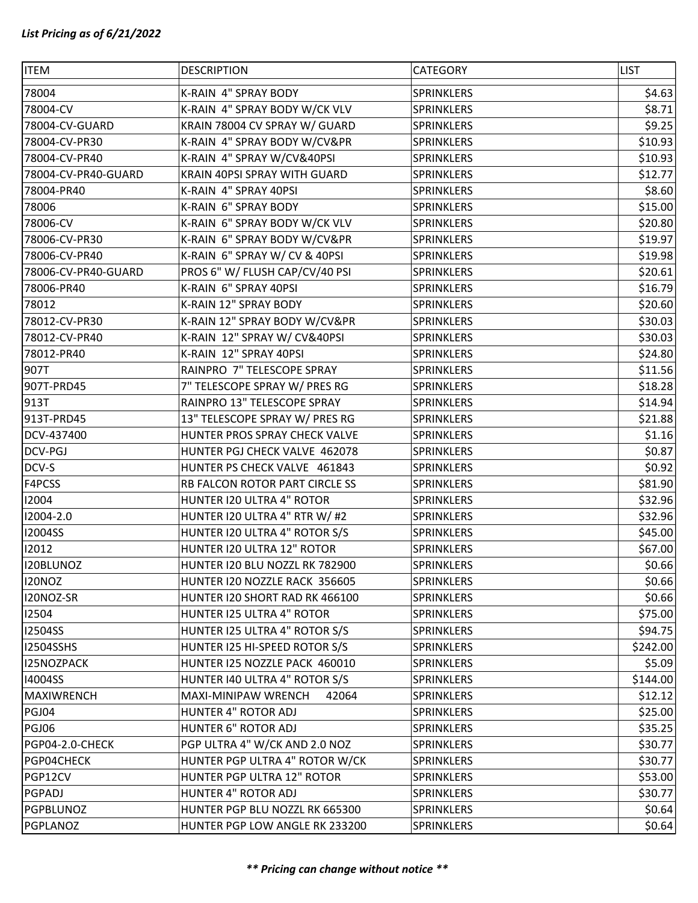| <b>ITEM</b>         | <b>DESCRIPTION</b>             | CATEGORY   | <b>LIST</b> |
|---------------------|--------------------------------|------------|-------------|
| 78004               | K-RAIN 4" SPRAY BODY           | SPRINKLERS | \$4.63      |
| 78004-CV            | K-RAIN 4" SPRAY BODY W/CK VLV  | SPRINKLERS | \$8.71      |
| 78004-CV-GUARD      | KRAIN 78004 CV SPRAY W/ GUARD  | SPRINKLERS | \$9.25      |
| 78004-CV-PR30       | K-RAIN 4" SPRAY BODY W/CV&PR   | SPRINKLERS | \$10.93     |
| 78004-CV-PR40       | K-RAIN 4" SPRAY W/CV&40PSI     | SPRINKLERS | \$10.93     |
| 78004-CV-PR40-GUARD | KRAIN 40PSI SPRAY WITH GUARD   | SPRINKLERS | \$12.77     |
| 78004-PR40          | K-RAIN 4" SPRAY 40PSI          | SPRINKLERS | \$8.60      |
| 78006               | K-RAIN 6" SPRAY BODY           | SPRINKLERS | \$15.00     |
| 78006-CV            | K-RAIN 6" SPRAY BODY W/CK VLV  | SPRINKLERS | \$20.80     |
| 78006-CV-PR30       | K-RAIN 6" SPRAY BODY W/CV&PR   | SPRINKLERS | \$19.97     |
| 78006-CV-PR40       | K-RAIN 6" SPRAY W/ CV & 40PSI  | SPRINKLERS | \$19.98     |
| 78006-CV-PR40-GUARD | PROS 6" W/ FLUSH CAP/CV/40 PSI | SPRINKLERS | \$20.61     |
| 78006-PR40          | K-RAIN 6" SPRAY 40PSI          | SPRINKLERS | \$16.79     |
| 78012               | K-RAIN 12" SPRAY BODY          | SPRINKLERS | \$20.60     |
| 78012-CV-PR30       | K-RAIN 12" SPRAY BODY W/CV&PR  | SPRINKLERS | \$30.03     |
| 78012-CV-PR40       | K-RAIN 12" SPRAY W/ CV&40PSI   | SPRINKLERS | \$30.03     |
| 78012-PR40          | K-RAIN 12" SPRAY 40PSI         | SPRINKLERS | \$24.80     |
| 907T                | RAINPRO 7" TELESCOPE SPRAY     | SPRINKLERS | \$11.56     |
| 907T-PRD45          | 7" TELESCOPE SPRAY W/ PRES RG  | SPRINKLERS | \$18.28     |
| 913T                | RAINPRO 13" TELESCOPE SPRAY    | SPRINKLERS | \$14.94     |
| 913T-PRD45          | 13" TELESCOPE SPRAY W/ PRES RG | SPRINKLERS | \$21.88     |
| DCV-437400          | HUNTER PROS SPRAY CHECK VALVE  | SPRINKLERS | \$1.16      |
| DCV-PGJ             | HUNTER PGJ CHECK VALVE 462078  | SPRINKLERS | \$0.87      |
| DCV-S               | HUNTER PS CHECK VALVE 461843   | SPRINKLERS | \$0.92      |
| F4PCSS              | RB FALCON ROTOR PART CIRCLE SS | SPRINKLERS | \$81.90     |
| 12004               | HUNTER I20 ULTRA 4" ROTOR      | SPRINKLERS | \$32.96     |
| 12004-2.0           | HUNTER I20 ULTRA 4" RTR W/ #2  | SPRINKLERS | \$32.96     |
| <b>I2004SS</b>      | HUNTER I20 ULTRA 4" ROTOR S/S  | SPRINKLERS | \$45.00     |
| 12012               | HUNTER I20 ULTRA 12" ROTOR     | SPRINKLERS | \$67.00     |
| I20BLUNOZ           | HUNTER I20 BLU NOZZL RK 782900 | SPRINKLERS | \$0.66      |
| <b>I20NOZ</b>       | HUNTER I20 NOZZLE RACK 356605  | SPRINKLERS | \$0.66      |
| I20NOZ-SR           | HUNTER I20 SHORT RAD RK 466100 | SPRINKLERS | \$0.66      |
| 12504               | HUNTER I25 ULTRA 4" ROTOR      | SPRINKLERS | \$75.00     |
| <b>I2504SS</b>      | HUNTER I25 ULTRA 4" ROTOR S/S  | SPRINKLERS | \$94.75     |
| <b>I2504SSHS</b>    | HUNTER I25 HI-SPEED ROTOR S/S  | SPRINKLERS | \$242.00    |
| I25NOZPACK          | HUNTER I25 NOZZLE PACK 460010  | SPRINKLERS | \$5.09      |
| 14004SS             | HUNTER 140 ULTRA 4" ROTOR S/S  | SPRINKLERS | \$144.00    |
| <b>MAXIWRENCH</b>   | MAXI-MINIPAW WRENCH<br>42064   | SPRINKLERS | \$12.12     |
| PGJ04               | HUNTER 4" ROTOR ADJ            | SPRINKLERS | \$25.00     |
| <b>PGJ06</b>        | <b>HUNTER 6" ROTOR ADJ</b>     | SPRINKLERS | \$35.25     |
| PGP04-2.0-CHECK     | PGP ULTRA 4" W/CK AND 2.0 NOZ  | SPRINKLERS | \$30.77     |
| PGP04CHECK          | HUNTER PGP ULTRA 4" ROTOR W/CK | SPRINKLERS | \$30.77     |
| PGP12CV             | HUNTER PGP ULTRA 12" ROTOR     | SPRINKLERS | \$53.00     |
| PGPADJ              | HUNTER 4" ROTOR ADJ            | SPRINKLERS | \$30.77     |
| PGPBLUNOZ           | HUNTER PGP BLU NOZZL RK 665300 | SPRINKLERS | \$0.64      |
| PGPLANOZ            | HUNTER PGP LOW ANGLE RK 233200 | SPRINKLERS | \$0.64      |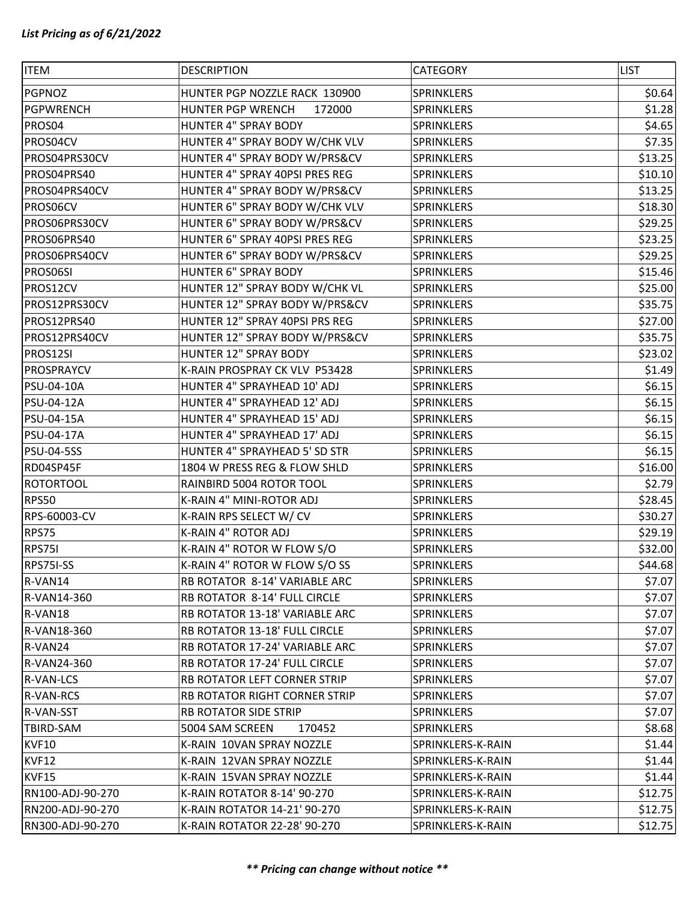| PGPNOZ<br>HUNTER PGP NOZZLE RACK 130900<br>SPRINKLERS<br>\$0.64<br>\$1.28<br><b>PGPWRENCH</b><br><b>HUNTER PGP WRENCH</b><br>SPRINKLERS<br>172000<br>PROS04<br><b>HUNTER 4" SPRAY BODY</b><br>SPRINKLERS<br>\$4.65<br>HUNTER 4" SPRAY BODY W/CHK VLV<br>\$7.35<br>PROS04CV<br>SPRINKLERS<br>PROS04PRS30CV<br>HUNTER 4" SPRAY BODY W/PRS&CV<br>\$13.25<br>SPRINKLERS<br>HUNTER 4" SPRAY 40PSI PRES REG<br>PROS04PRS40<br>SPRINKLERS<br>\$10.10<br>HUNTER 4" SPRAY BODY W/PRS&CV<br>\$13.25<br>PROS04PRS40CV<br>SPRINKLERS<br>HUNTER 6" SPRAY BODY W/CHK VLV<br>PROS06CV<br>\$18.30<br>SPRINKLERS<br>HUNTER 6" SPRAY BODY W/PRS&CV<br>\$29.25<br>PROS06PRS30CV<br><b>SPRINKLERS</b><br>PROSO6PRS40<br>HUNTER 6" SPRAY 40PSI PRES REG<br>\$23.25<br>SPRINKLERS<br>\$29.25<br>PROS06PRS40CV<br>HUNTER 6" SPRAY BODY W/PRS&CV<br>SPRINKLERS<br><b>HUNTER 6" SPRAY BODY</b><br>\$15.46<br>PROS06SI<br>SPRINKLERS<br>PROS12CV<br>HUNTER 12" SPRAY BODY W/CHK VL<br>\$25.00<br>SPRINKLERS<br>HUNTER 12" SPRAY BODY W/PRS&CV<br>\$35.75<br>PROS12PRS30CV<br>SPRINKLERS<br>PROS12PRS40<br>HUNTER 12" SPRAY 40PSI PRS REG<br>\$27.00<br><b>SPRINKLERS</b><br>\$35.75<br>PROS12PRS40CV<br>HUNTER 12" SPRAY BODY W/PRS&CV<br>SPRINKLERS<br>HUNTER 12" SPRAY BODY<br>\$23.02<br>PROS12SI<br>SPRINKLERS<br>\$1.49<br><b>PROSPRAYCV</b><br>K-RAIN PROSPRAY CK VLV P53428<br>SPRINKLERS<br>PSU-04-10A<br>HUNTER 4" SPRAYHEAD 10' ADJ<br>SPRINKLERS<br>\$6.15<br>\$6.15<br>PSU-04-12A<br>HUNTER 4" SPRAYHEAD 12' ADJ<br>SPRINKLERS<br><b>PSU-04-15A</b><br>HUNTER 4" SPRAYHEAD 15' ADJ<br>SPRINKLERS<br>\$6.15<br>HUNTER 4" SPRAYHEAD 17' ADJ<br>\$6.15<br>PSU-04-17A<br>SPRINKLERS<br>HUNTER 4" SPRAYHEAD 5' SD STR<br>\$6.15<br><b>PSU-04-5SS</b><br>SPRINKLERS<br>RD04SP45F<br>1804 W PRESS REG & FLOW SHLD<br>\$16.00<br>SPRINKLERS<br>\$2.79<br><b>ROTORTOOL</b><br>RAINBIRD 5004 ROTOR TOOL<br><b>SPRINKLERS</b><br>\$28.45<br><b>RPS50</b><br>K-RAIN 4" MINI-ROTOR ADJ<br>SPRINKLERS |
|---------------------------------------------------------------------------------------------------------------------------------------------------------------------------------------------------------------------------------------------------------------------------------------------------------------------------------------------------------------------------------------------------------------------------------------------------------------------------------------------------------------------------------------------------------------------------------------------------------------------------------------------------------------------------------------------------------------------------------------------------------------------------------------------------------------------------------------------------------------------------------------------------------------------------------------------------------------------------------------------------------------------------------------------------------------------------------------------------------------------------------------------------------------------------------------------------------------------------------------------------------------------------------------------------------------------------------------------------------------------------------------------------------------------------------------------------------------------------------------------------------------------------------------------------------------------------------------------------------------------------------------------------------------------------------------------------------------------------------------------------------------------------------------------------------------------------------------------------------------------------------------------------------------------------------------------------------------------------|
|                                                                                                                                                                                                                                                                                                                                                                                                                                                                                                                                                                                                                                                                                                                                                                                                                                                                                                                                                                                                                                                                                                                                                                                                                                                                                                                                                                                                                                                                                                                                                                                                                                                                                                                                                                                                                                                                                                                                                                           |
|                                                                                                                                                                                                                                                                                                                                                                                                                                                                                                                                                                                                                                                                                                                                                                                                                                                                                                                                                                                                                                                                                                                                                                                                                                                                                                                                                                                                                                                                                                                                                                                                                                                                                                                                                                                                                                                                                                                                                                           |
|                                                                                                                                                                                                                                                                                                                                                                                                                                                                                                                                                                                                                                                                                                                                                                                                                                                                                                                                                                                                                                                                                                                                                                                                                                                                                                                                                                                                                                                                                                                                                                                                                                                                                                                                                                                                                                                                                                                                                                           |
|                                                                                                                                                                                                                                                                                                                                                                                                                                                                                                                                                                                                                                                                                                                                                                                                                                                                                                                                                                                                                                                                                                                                                                                                                                                                                                                                                                                                                                                                                                                                                                                                                                                                                                                                                                                                                                                                                                                                                                           |
|                                                                                                                                                                                                                                                                                                                                                                                                                                                                                                                                                                                                                                                                                                                                                                                                                                                                                                                                                                                                                                                                                                                                                                                                                                                                                                                                                                                                                                                                                                                                                                                                                                                                                                                                                                                                                                                                                                                                                                           |
|                                                                                                                                                                                                                                                                                                                                                                                                                                                                                                                                                                                                                                                                                                                                                                                                                                                                                                                                                                                                                                                                                                                                                                                                                                                                                                                                                                                                                                                                                                                                                                                                                                                                                                                                                                                                                                                                                                                                                                           |
|                                                                                                                                                                                                                                                                                                                                                                                                                                                                                                                                                                                                                                                                                                                                                                                                                                                                                                                                                                                                                                                                                                                                                                                                                                                                                                                                                                                                                                                                                                                                                                                                                                                                                                                                                                                                                                                                                                                                                                           |
|                                                                                                                                                                                                                                                                                                                                                                                                                                                                                                                                                                                                                                                                                                                                                                                                                                                                                                                                                                                                                                                                                                                                                                                                                                                                                                                                                                                                                                                                                                                                                                                                                                                                                                                                                                                                                                                                                                                                                                           |
|                                                                                                                                                                                                                                                                                                                                                                                                                                                                                                                                                                                                                                                                                                                                                                                                                                                                                                                                                                                                                                                                                                                                                                                                                                                                                                                                                                                                                                                                                                                                                                                                                                                                                                                                                                                                                                                                                                                                                                           |
|                                                                                                                                                                                                                                                                                                                                                                                                                                                                                                                                                                                                                                                                                                                                                                                                                                                                                                                                                                                                                                                                                                                                                                                                                                                                                                                                                                                                                                                                                                                                                                                                                                                                                                                                                                                                                                                                                                                                                                           |
|                                                                                                                                                                                                                                                                                                                                                                                                                                                                                                                                                                                                                                                                                                                                                                                                                                                                                                                                                                                                                                                                                                                                                                                                                                                                                                                                                                                                                                                                                                                                                                                                                                                                                                                                                                                                                                                                                                                                                                           |
|                                                                                                                                                                                                                                                                                                                                                                                                                                                                                                                                                                                                                                                                                                                                                                                                                                                                                                                                                                                                                                                                                                                                                                                                                                                                                                                                                                                                                                                                                                                                                                                                                                                                                                                                                                                                                                                                                                                                                                           |
|                                                                                                                                                                                                                                                                                                                                                                                                                                                                                                                                                                                                                                                                                                                                                                                                                                                                                                                                                                                                                                                                                                                                                                                                                                                                                                                                                                                                                                                                                                                                                                                                                                                                                                                                                                                                                                                                                                                                                                           |
|                                                                                                                                                                                                                                                                                                                                                                                                                                                                                                                                                                                                                                                                                                                                                                                                                                                                                                                                                                                                                                                                                                                                                                                                                                                                                                                                                                                                                                                                                                                                                                                                                                                                                                                                                                                                                                                                                                                                                                           |
|                                                                                                                                                                                                                                                                                                                                                                                                                                                                                                                                                                                                                                                                                                                                                                                                                                                                                                                                                                                                                                                                                                                                                                                                                                                                                                                                                                                                                                                                                                                                                                                                                                                                                                                                                                                                                                                                                                                                                                           |
|                                                                                                                                                                                                                                                                                                                                                                                                                                                                                                                                                                                                                                                                                                                                                                                                                                                                                                                                                                                                                                                                                                                                                                                                                                                                                                                                                                                                                                                                                                                                                                                                                                                                                                                                                                                                                                                                                                                                                                           |
|                                                                                                                                                                                                                                                                                                                                                                                                                                                                                                                                                                                                                                                                                                                                                                                                                                                                                                                                                                                                                                                                                                                                                                                                                                                                                                                                                                                                                                                                                                                                                                                                                                                                                                                                                                                                                                                                                                                                                                           |
|                                                                                                                                                                                                                                                                                                                                                                                                                                                                                                                                                                                                                                                                                                                                                                                                                                                                                                                                                                                                                                                                                                                                                                                                                                                                                                                                                                                                                                                                                                                                                                                                                                                                                                                                                                                                                                                                                                                                                                           |
|                                                                                                                                                                                                                                                                                                                                                                                                                                                                                                                                                                                                                                                                                                                                                                                                                                                                                                                                                                                                                                                                                                                                                                                                                                                                                                                                                                                                                                                                                                                                                                                                                                                                                                                                                                                                                                                                                                                                                                           |
|                                                                                                                                                                                                                                                                                                                                                                                                                                                                                                                                                                                                                                                                                                                                                                                                                                                                                                                                                                                                                                                                                                                                                                                                                                                                                                                                                                                                                                                                                                                                                                                                                                                                                                                                                                                                                                                                                                                                                                           |
|                                                                                                                                                                                                                                                                                                                                                                                                                                                                                                                                                                                                                                                                                                                                                                                                                                                                                                                                                                                                                                                                                                                                                                                                                                                                                                                                                                                                                                                                                                                                                                                                                                                                                                                                                                                                                                                                                                                                                                           |
|                                                                                                                                                                                                                                                                                                                                                                                                                                                                                                                                                                                                                                                                                                                                                                                                                                                                                                                                                                                                                                                                                                                                                                                                                                                                                                                                                                                                                                                                                                                                                                                                                                                                                                                                                                                                                                                                                                                                                                           |
|                                                                                                                                                                                                                                                                                                                                                                                                                                                                                                                                                                                                                                                                                                                                                                                                                                                                                                                                                                                                                                                                                                                                                                                                                                                                                                                                                                                                                                                                                                                                                                                                                                                                                                                                                                                                                                                                                                                                                                           |
|                                                                                                                                                                                                                                                                                                                                                                                                                                                                                                                                                                                                                                                                                                                                                                                                                                                                                                                                                                                                                                                                                                                                                                                                                                                                                                                                                                                                                                                                                                                                                                                                                                                                                                                                                                                                                                                                                                                                                                           |
|                                                                                                                                                                                                                                                                                                                                                                                                                                                                                                                                                                                                                                                                                                                                                                                                                                                                                                                                                                                                                                                                                                                                                                                                                                                                                                                                                                                                                                                                                                                                                                                                                                                                                                                                                                                                                                                                                                                                                                           |
|                                                                                                                                                                                                                                                                                                                                                                                                                                                                                                                                                                                                                                                                                                                                                                                                                                                                                                                                                                                                                                                                                                                                                                                                                                                                                                                                                                                                                                                                                                                                                                                                                                                                                                                                                                                                                                                                                                                                                                           |
| RPS-60003-CV<br>K-RAIN RPS SELECT W/ CV<br>\$30.27<br>SPRINKLERS                                                                                                                                                                                                                                                                                                                                                                                                                                                                                                                                                                                                                                                                                                                                                                                                                                                                                                                                                                                                                                                                                                                                                                                                                                                                                                                                                                                                                                                                                                                                                                                                                                                                                                                                                                                                                                                                                                          |
| RPS75<br>K-RAIN 4" ROTOR ADJ<br>\$29.19<br>SPRINKLERS                                                                                                                                                                                                                                                                                                                                                                                                                                                                                                                                                                                                                                                                                                                                                                                                                                                                                                                                                                                                                                                                                                                                                                                                                                                                                                                                                                                                                                                                                                                                                                                                                                                                                                                                                                                                                                                                                                                     |
| RPS75I<br>K-RAIN 4" ROTOR W FLOW S/O<br>\$32.00<br>SPRINKLERS                                                                                                                                                                                                                                                                                                                                                                                                                                                                                                                                                                                                                                                                                                                                                                                                                                                                                                                                                                                                                                                                                                                                                                                                                                                                                                                                                                                                                                                                                                                                                                                                                                                                                                                                                                                                                                                                                                             |
| RPS75I-SS<br>K-RAIN 4" ROTOR W FLOW S/O SS<br>\$44.68<br><b>SPRINKLERS</b>                                                                                                                                                                                                                                                                                                                                                                                                                                                                                                                                                                                                                                                                                                                                                                                                                                                                                                                                                                                                                                                                                                                                                                                                                                                                                                                                                                                                                                                                                                                                                                                                                                                                                                                                                                                                                                                                                                |
| \$7.07<br>R-VAN14<br>RB ROTATOR 8-14' VARIABLE ARC<br>SPRINKLERS                                                                                                                                                                                                                                                                                                                                                                                                                                                                                                                                                                                                                                                                                                                                                                                                                                                                                                                                                                                                                                                                                                                                                                                                                                                                                                                                                                                                                                                                                                                                                                                                                                                                                                                                                                                                                                                                                                          |
| R-VAN14-360<br>\$7.07<br>RB ROTATOR 8-14' FULL CIRCLE<br>SPRINKLERS                                                                                                                                                                                                                                                                                                                                                                                                                                                                                                                                                                                                                                                                                                                                                                                                                                                                                                                                                                                                                                                                                                                                                                                                                                                                                                                                                                                                                                                                                                                                                                                                                                                                                                                                                                                                                                                                                                       |
| RB ROTATOR 13-18' VARIABLE ARC<br>\$7.07<br>R-VAN18<br><b>SPRINKLERS</b>                                                                                                                                                                                                                                                                                                                                                                                                                                                                                                                                                                                                                                                                                                                                                                                                                                                                                                                                                                                                                                                                                                                                                                                                                                                                                                                                                                                                                                                                                                                                                                                                                                                                                                                                                                                                                                                                                                  |
| \$7.07<br>R-VAN18-360<br>RB ROTATOR 13-18' FULL CIRCLE<br><b>SPRINKLERS</b>                                                                                                                                                                                                                                                                                                                                                                                                                                                                                                                                                                                                                                                                                                                                                                                                                                                                                                                                                                                                                                                                                                                                                                                                                                                                                                                                                                                                                                                                                                                                                                                                                                                                                                                                                                                                                                                                                               |
| R-VAN24<br>RB ROTATOR 17-24' VARIABLE ARC<br>SPRINKLERS<br>\$7.07                                                                                                                                                                                                                                                                                                                                                                                                                                                                                                                                                                                                                                                                                                                                                                                                                                                                                                                                                                                                                                                                                                                                                                                                                                                                                                                                                                                                                                                                                                                                                                                                                                                                                                                                                                                                                                                                                                         |
| \$7.07<br>R-VAN24-360<br>RB ROTATOR 17-24' FULL CIRCLE<br>SPRINKLERS                                                                                                                                                                                                                                                                                                                                                                                                                                                                                                                                                                                                                                                                                                                                                                                                                                                                                                                                                                                                                                                                                                                                                                                                                                                                                                                                                                                                                                                                                                                                                                                                                                                                                                                                                                                                                                                                                                      |
| RB ROTATOR LEFT CORNER STRIP<br>\$7.07<br>R-VAN-LCS<br>SPRINKLERS                                                                                                                                                                                                                                                                                                                                                                                                                                                                                                                                                                                                                                                                                                                                                                                                                                                                                                                                                                                                                                                                                                                                                                                                                                                                                                                                                                                                                                                                                                                                                                                                                                                                                                                                                                                                                                                                                                         |
| \$7.07<br><b>R-VAN-RCS</b><br><b>RB ROTATOR RIGHT CORNER STRIP</b><br>SPRINKLERS                                                                                                                                                                                                                                                                                                                                                                                                                                                                                                                                                                                                                                                                                                                                                                                                                                                                                                                                                                                                                                                                                                                                                                                                                                                                                                                                                                                                                                                                                                                                                                                                                                                                                                                                                                                                                                                                                          |
| <b>RB ROTATOR SIDE STRIP</b><br>SPRINKLERS<br>\$7.07<br><b>R-VAN-SST</b>                                                                                                                                                                                                                                                                                                                                                                                                                                                                                                                                                                                                                                                                                                                                                                                                                                                                                                                                                                                                                                                                                                                                                                                                                                                                                                                                                                                                                                                                                                                                                                                                                                                                                                                                                                                                                                                                                                  |
| \$8.68<br><b>TBIRD-SAM</b><br>5004 SAM SCREEN<br>SPRINKLERS<br>170452                                                                                                                                                                                                                                                                                                                                                                                                                                                                                                                                                                                                                                                                                                                                                                                                                                                                                                                                                                                                                                                                                                                                                                                                                                                                                                                                                                                                                                                                                                                                                                                                                                                                                                                                                                                                                                                                                                     |
| KVF10<br>\$1.44<br>K-RAIN 10VAN SPRAY NOZZLE<br>SPRINKLERS-K-RAIN                                                                                                                                                                                                                                                                                                                                                                                                                                                                                                                                                                                                                                                                                                                                                                                                                                                                                                                                                                                                                                                                                                                                                                                                                                                                                                                                                                                                                                                                                                                                                                                                                                                                                                                                                                                                                                                                                                         |
| KVF12<br>K-RAIN 12VAN SPRAY NOZZLE<br>\$1.44<br>SPRINKLERS-K-RAIN                                                                                                                                                                                                                                                                                                                                                                                                                                                                                                                                                                                                                                                                                                                                                                                                                                                                                                                                                                                                                                                                                                                                                                                                                                                                                                                                                                                                                                                                                                                                                                                                                                                                                                                                                                                                                                                                                                         |
| \$1.44<br>KVF15<br>K-RAIN 15VAN SPRAY NOZZLE<br>SPRINKLERS-K-RAIN                                                                                                                                                                                                                                                                                                                                                                                                                                                                                                                                                                                                                                                                                                                                                                                                                                                                                                                                                                                                                                                                                                                                                                                                                                                                                                                                                                                                                                                                                                                                                                                                                                                                                                                                                                                                                                                                                                         |
| RN100-ADJ-90-270<br>K-RAIN ROTATOR 8-14' 90-270<br>\$12.75<br>SPRINKLERS-K-RAIN                                                                                                                                                                                                                                                                                                                                                                                                                                                                                                                                                                                                                                                                                                                                                                                                                                                                                                                                                                                                                                                                                                                                                                                                                                                                                                                                                                                                                                                                                                                                                                                                                                                                                                                                                                                                                                                                                           |
| \$12.75<br>RN200-ADJ-90-270<br>K-RAIN ROTATOR 14-21' 90-270<br>SPRINKLERS-K-RAIN                                                                                                                                                                                                                                                                                                                                                                                                                                                                                                                                                                                                                                                                                                                                                                                                                                                                                                                                                                                                                                                                                                                                                                                                                                                                                                                                                                                                                                                                                                                                                                                                                                                                                                                                                                                                                                                                                          |
| \$12.75<br>RN300-ADJ-90-270<br>K-RAIN ROTATOR 22-28' 90-270<br>SPRINKLERS-K-RAIN                                                                                                                                                                                                                                                                                                                                                                                                                                                                                                                                                                                                                                                                                                                                                                                                                                                                                                                                                                                                                                                                                                                                                                                                                                                                                                                                                                                                                                                                                                                                                                                                                                                                                                                                                                                                                                                                                          |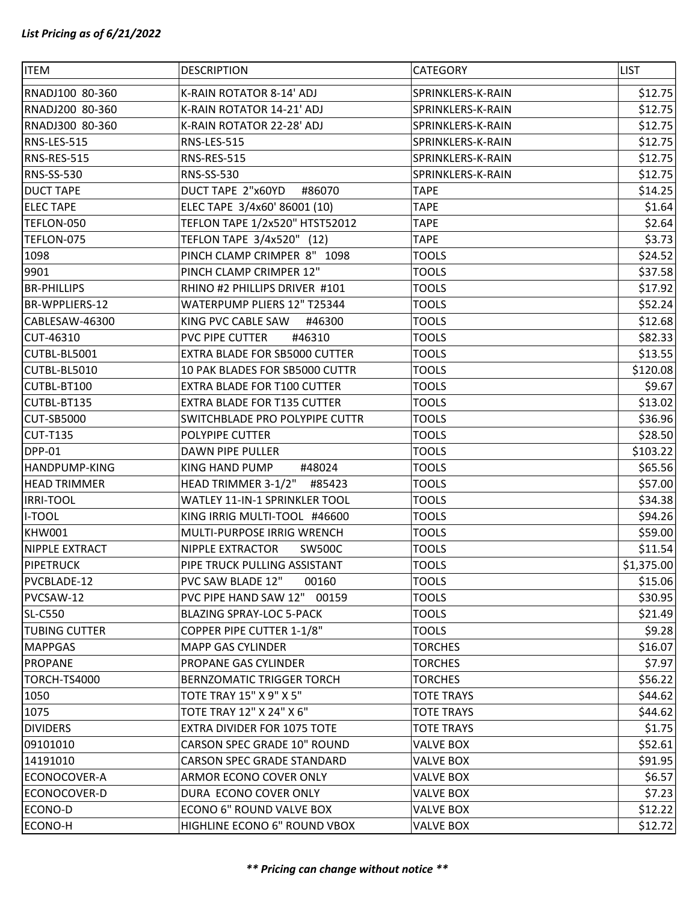| <b>ITEM</b>          | <b>DESCRIPTION</b>                 | <b>CATEGORY</b>   | <b>LIST</b> |
|----------------------|------------------------------------|-------------------|-------------|
| RNADJ100 80-360      | K-RAIN ROTATOR 8-14' ADJ           | SPRINKLERS-K-RAIN | \$12.75     |
| RNADJ200 80-360      | K-RAIN ROTATOR 14-21' ADJ          | SPRINKLERS-K-RAIN | \$12.75     |
| RNADJ300 80-360      | K-RAIN ROTATOR 22-28' ADJ          | SPRINKLERS-K-RAIN | \$12.75     |
| RNS-LES-515          | RNS-LES-515                        | SPRINKLERS-K-RAIN | \$12.75     |
| RNS-RES-515          | RNS-RES-515                        | SPRINKLERS-K-RAIN | \$12.75     |
| <b>RNS-SS-530</b>    | RNS-SS-530                         | SPRINKLERS-K-RAIN | \$12.75     |
| <b>DUCT TAPE</b>     | DUCT TAPE 2"x60YD<br>#86070        | <b>TAPE</b>       | \$14.25     |
| <b>ELECTAPE</b>      | ELEC TAPE 3/4x60' 86001 (10)       | <b>TAPE</b>       | \$1.64      |
| TEFLON-050           | TEFLON TAPE 1/2x520" HTST52012     | <b>TAPE</b>       | \$2.64      |
| TEFLON-075           | TEFLON TAPE 3/4x520" (12)          | <b>TAPE</b>       | \$3.73      |
| 1098                 | PINCH CLAMP CRIMPER 8" 1098        | <b>TOOLS</b>      | \$24.52     |
| 9901                 | PINCH CLAMP CRIMPER 12"            | <b>TOOLS</b>      | \$37.58     |
| <b>BR-PHILLIPS</b>   | RHINO #2 PHILLIPS DRIVER #101      | <b>TOOLS</b>      | \$17.92     |
| BR-WPPLIERS-12       | WATERPUMP PLIERS 12" T25344        | <b>TOOLS</b>      | \$52.24     |
| CABLESAW-46300       | KING PVC CABLE SAW<br>#46300       | <b>TOOLS</b>      | \$12.68     |
| CUT-46310            | PVC PIPE CUTTER<br>#46310          | <b>TOOLS</b>      | \$82.33     |
| CUTBL-BL5001         | EXTRA BLADE FOR SB5000 CUTTER      | <b>TOOLS</b>      | \$13.55     |
| CUTBL-BL5010         | 10 PAK BLADES FOR SB5000 CUTTR     | <b>TOOLS</b>      | \$120.08    |
| CUTBL-BT100          | EXTRA BLADE FOR T100 CUTTER        | <b>TOOLS</b>      | \$9.67      |
| CUTBL-BT135          | <b>EXTRA BLADE FOR T135 CUTTER</b> | <b>TOOLS</b>      | \$13.02     |
| <b>CUT-SB5000</b>    | SWITCHBLADE PRO POLYPIPE CUTTR     | <b>TOOLS</b>      | \$36.96     |
| <b>CUT-T135</b>      | POLYPIPE CUTTER                    | <b>TOOLS</b>      | \$28.50     |
| <b>DPP-01</b>        | DAWN PIPE PULLER                   | <b>TOOLS</b>      | \$103.22    |
| <b>HANDPUMP-KING</b> | KING HAND PUMP<br>#48024           | <b>TOOLS</b>      | \$65.56     |
| <b>HEAD TRIMMER</b>  | HEAD TRIMMER 3-1/2"<br>#85423      | <b>TOOLS</b>      | \$57.00     |
| <b>IRRI-TOOL</b>     | WATLEY 11-IN-1 SPRINKLER TOOL      | <b>TOOLS</b>      | \$34.38     |
| <b>I-TOOL</b>        | KING IRRIG MULTI-TOOL #46600       | <b>TOOLS</b>      | \$94.26     |
| KHW001               | MULTI-PURPOSE IRRIG WRENCH         | <b>TOOLS</b>      | \$59.00     |
| NIPPLE EXTRACT       | NIPPLE EXTRACTOR<br><b>SW500C</b>  | <b>TOOLS</b>      | \$11.54     |
| <b>PIPETRUCK</b>     | PIPE TRUCK PULLING ASSISTANT       | <b>TOOLS</b>      | \$1,375.00  |
| PVCBLADE-12          | PVC SAW BLADE 12"<br>00160         | <b>TOOLS</b>      | \$15.06     |
| PVCSAW-12            | PVC PIPE HAND SAW 12" 00159        | <b>TOOLS</b>      | \$30.95     |
| <b>SL-C550</b>       | <b>BLAZING SPRAY-LOC 5-PACK</b>    | <b>TOOLS</b>      | \$21.49     |
| <b>TUBING CUTTER</b> | COPPER PIPE CUTTER 1-1/8"          | <b>TOOLS</b>      | \$9.28      |
| <b>MAPPGAS</b>       | <b>MAPP GAS CYLINDER</b>           | <b>TORCHES</b>    | \$16.07     |
| <b>PROPANE</b>       | PROPANE GAS CYLINDER               | <b>TORCHES</b>    | \$7.97      |
| TORCH-TS4000         | <b>BERNZOMATIC TRIGGER TORCH</b>   | <b>TORCHES</b>    | \$56.22     |
| 1050                 | TOTE TRAY 15" X 9" X 5"            | <b>TOTE TRAYS</b> | \$44.62     |
| 1075                 | TOTE TRAY 12" X 24" X 6"           | <b>TOTE TRAYS</b> | \$44.62     |
| <b>DIVIDERS</b>      | EXTRA DIVIDER FOR 1075 TOTE        | <b>TOTE TRAYS</b> | \$1.75      |
| 09101010             | CARSON SPEC GRADE 10" ROUND        | <b>VALVE BOX</b>  | \$52.61     |
| 14191010             | CARSON SPEC GRADE STANDARD         | <b>VALVE BOX</b>  | \$91.95     |
| ECONOCOVER-A         | ARMOR ECONO COVER ONLY             | <b>VALVE BOX</b>  | \$6.57      |
| ECONOCOVER-D         | DURA ECONO COVER ONLY              | <b>VALVE BOX</b>  | \$7.23      |
| ECONO-D              | ECONO 6" ROUND VALVE BOX           | <b>VALVE BOX</b>  | \$12.22     |
| ECONO-H              | HIGHLINE ECONO 6" ROUND VBOX       | <b>VALVE BOX</b>  | \$12.72     |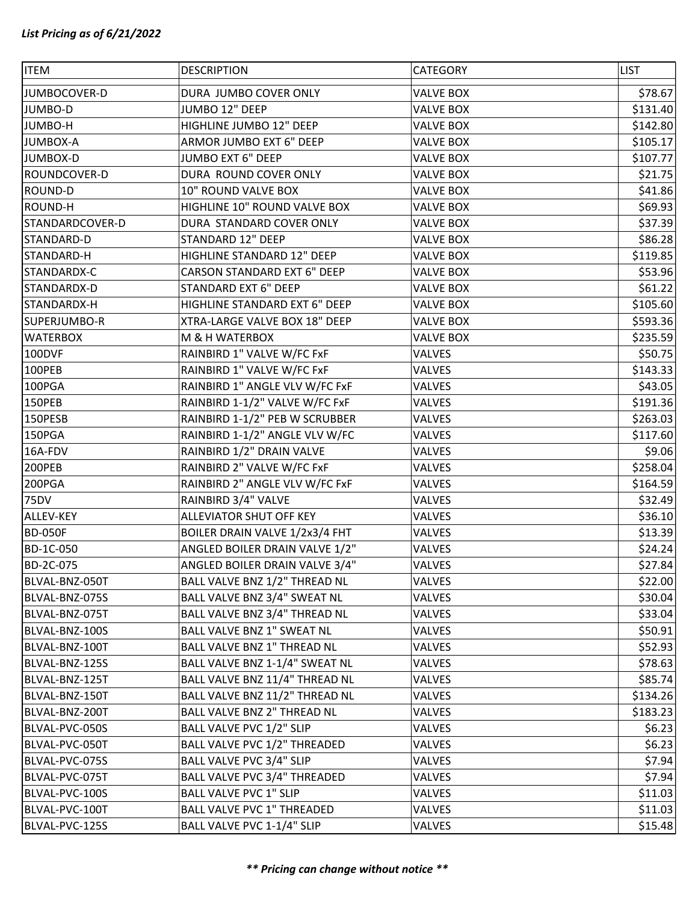| <b>ITEM</b>                      | <b>DESCRIPTION</b>                                                   | CATEGORY         | <b>LIST</b>        |
|----------------------------------|----------------------------------------------------------------------|------------------|--------------------|
| JUMBOCOVER-D                     | DURA JUMBO COVER ONLY                                                | <b>VALVE BOX</b> | \$78.67            |
| JUMBO-D                          | JUMBO 12" DEEP                                                       | <b>VALVE BOX</b> | \$131.40           |
| JUMBO-H                          | HIGHLINE JUMBO 12" DEEP                                              | <b>VALVE BOX</b> | \$142.80           |
| <b>JUMBOX-A</b>                  | ARMOR JUMBO EXT 6" DEEP                                              | <b>VALVE BOX</b> | \$105.17           |
| <b>JUMBOX-D</b>                  | JUMBO EXT 6" DEEP                                                    | <b>VALVE BOX</b> | \$107.77           |
| ROUNDCOVER-D                     | DURA ROUND COVER ONLY                                                | <b>VALVE BOX</b> | \$21.75            |
| ROUND-D                          | 10" ROUND VALVE BOX                                                  | <b>VALVE BOX</b> | \$41.86            |
| ROUND-H                          | HIGHLINE 10" ROUND VALVE BOX                                         | <b>VALVE BOX</b> | \$69.93            |
| STANDARDCOVER-D                  | DURA STANDARD COVER ONLY                                             | <b>VALVE BOX</b> | \$37.39            |
| STANDARD-D                       | STANDARD 12" DEEP                                                    | <b>VALVE BOX</b> | \$86.28            |
| STANDARD-H                       | HIGHLINE STANDARD 12" DEEP                                           | <b>VALVE BOX</b> | \$119.85           |
| STANDARDX-C                      | <b>CARSON STANDARD EXT 6" DEEP</b>                                   | <b>VALVE BOX</b> | \$53.96            |
| STANDARDX-D                      | <b>STANDARD EXT 6" DEEP</b>                                          | <b>VALVE BOX</b> | \$61.22            |
| STANDARDX-H                      | HIGHLINE STANDARD EXT 6" DEEP                                        | <b>VALVE BOX</b> | \$105.60           |
| SUPERJUMBO-R                     | XTRA-LARGE VALVE BOX 18" DEEP                                        | <b>VALVE BOX</b> | \$593.36           |
| <b>WATERBOX</b>                  | M & H WATERBOX                                                       | <b>VALVE BOX</b> | \$235.59           |
| 100DVF                           | RAINBIRD 1" VALVE W/FC FxF                                           | VALVES           | \$50.75            |
| 100PEB                           | RAINBIRD 1" VALVE W/FC FxF                                           | VALVES           | \$143.33           |
| 100PGA                           | RAINBIRD 1" ANGLE VLV W/FC FxF                                       | VALVES           | \$43.05            |
| 150PEB                           | RAINBIRD 1-1/2" VALVE W/FC FxF                                       | VALVES           | \$191.36           |
| 150PESB                          | RAINBIRD 1-1/2" PEB W SCRUBBER                                       | VALVES           | \$263.03           |
| 150PGA                           | RAINBIRD 1-1/2" ANGLE VLV W/FC                                       | VALVES           | \$117.60           |
| 16A-FDV                          | RAINBIRD 1/2" DRAIN VALVE                                            | VALVES           | \$9.06             |
| 200PEB                           | RAINBIRD 2" VALVE W/FC FxF                                           | VALVES           | \$258.04           |
| 200PGA                           | RAINBIRD 2" ANGLE VLV W/FC FxF                                       | VALVES           | \$164.59           |
| <b>75DV</b>                      | RAINBIRD 3/4" VALVE                                                  | VALVES           | \$32.49            |
| ALLEV-KEY                        | ALLEVIATOR SHUT OFF KEY                                              | VALVES           | \$36.10            |
| <b>BD-050F</b>                   | BOILER DRAIN VALVE 1/2x3/4 FHT                                       | VALVES           | \$13.39            |
| BD-1C-050                        | ANGLED BOILER DRAIN VALVE 1/2"                                       | VALVES           | \$24.24            |
| BD-2C-075                        | ANGLED BOILER DRAIN VALVE 3/4"                                       | VALVES           | \$27.84            |
| BLVAL-BNZ-050T                   | BALL VALVE BNZ 1/2" THREAD NL                                        | VALVES           | \$22.00            |
| BLVAL-BNZ-075S                   | BALL VALVE BNZ 3/4" SWEAT NL                                         | VALVES           | \$30.04            |
| BLVAL-BNZ-075T                   | BALL VALVE BNZ 3/4" THREAD NL                                        | VALVES           | \$33.04            |
| BLVAL-BNZ-100S                   | BALL VALVE BNZ 1" SWEAT NL                                           | VALVES           | \$50.91            |
| BLVAL-BNZ-100T                   | <b>BALL VALVE BNZ 1" THREAD NL</b><br>BALL VALVE BNZ 1-1/4" SWEAT NL | VALVES           | \$52.93            |
| BLVAL-BNZ-125S<br>BLVAL-BNZ-125T | BALL VALVE BNZ 11/4" THREAD NL                                       | VALVES<br>VALVES | \$78.63<br>\$85.74 |
| BLVAL-BNZ-150T                   | BALL VALVE BNZ 11/2" THREAD NL                                       | VALVES           | \$134.26           |
| BLVAL-BNZ-200T                   | BALL VALVE BNZ 2" THREAD NL                                          | <b>VALVES</b>    | \$183.23           |
| BLVAL-PVC-050S                   | BALL VALVE PVC 1/2" SLIP                                             |                  |                    |
| BLVAL-PVC-050T                   | BALL VALVE PVC 1/2" THREADED                                         | VALVES<br>VALVES | \$6.23<br>\$6.23   |
| BLVAL-PVC-075S                   | BALL VALVE PVC 3/4" SLIP                                             | VALVES           | \$7.94             |
| BLVAL-PVC-075T                   | BALL VALVE PVC 3/4" THREADED                                         | VALVES           | \$7.94             |
| BLVAL-PVC-100S                   | <b>BALL VALVE PVC 1" SLIP</b>                                        | VALVES           | \$11.03            |
| BLVAL-PVC-100T                   | <b>BALL VALVE PVC 1" THREADED</b>                                    | VALVES           | \$11.03            |
| BLVAL-PVC-125S                   | BALL VALVE PVC 1-1/4" SLIP                                           | VALVES           | \$15.48            |
|                                  |                                                                      |                  |                    |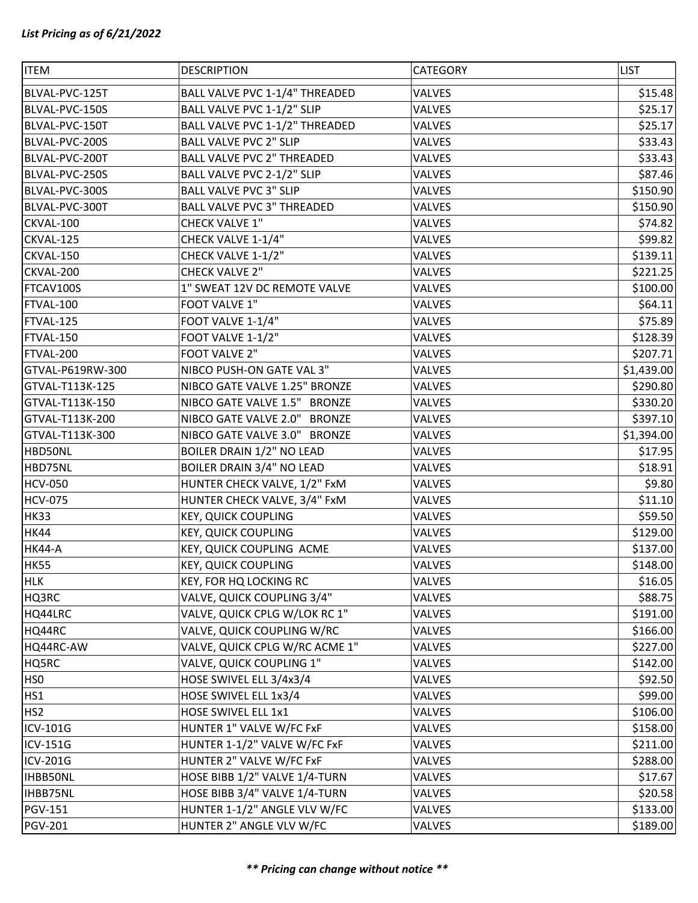| <b>ITEM</b>      | <b>DESCRIPTION</b>                | CATEGORY      | <b>LIST</b> |
|------------------|-----------------------------------|---------------|-------------|
| BLVAL-PVC-125T   | BALL VALVE PVC 1-1/4" THREADED    | VALVES        | \$15.48     |
| BLVAL-PVC-150S   | BALL VALVE PVC 1-1/2" SLIP        | VALVES        | \$25.17     |
| BLVAL-PVC-150T   | BALL VALVE PVC 1-1/2" THREADED    | VALVES        | \$25.17     |
| BLVAL-PVC-200S   | <b>BALL VALVE PVC 2" SLIP</b>     | VALVES        | \$33.43     |
| BLVAL-PVC-200T   | <b>BALL VALVE PVC 2" THREADED</b> | VALVES        | \$33.43     |
| BLVAL-PVC-250S   | BALL VALVE PVC 2-1/2" SLIP        | <b>VALVES</b> | \$87.46     |
| BLVAL-PVC-300S   | <b>BALL VALVE PVC 3" SLIP</b>     | VALVES        | \$150.90    |
| BLVAL-PVC-300T   | <b>BALL VALVE PVC 3" THREADED</b> | VALVES        | \$150.90    |
| CKVAL-100        | <b>CHECK VALVE 1"</b>             | VALVES        | \$74.82     |
| CKVAL-125        | CHECK VALVE 1-1/4"                | VALVES        | \$99.82     |
| CKVAL-150        | CHECK VALVE 1-1/2"                | <b>VALVES</b> | \$139.11    |
| CKVAL-200        | <b>CHECK VALVE 2"</b>             | VALVES        | \$221.25    |
| FTCAV100S        | 1" SWEAT 12V DC REMOTE VALVE      | VALVES        | \$100.00    |
| FTVAL-100        | FOOT VALVE 1"                     | VALVES        | \$64.11     |
| FTVAL-125        | FOOT VALVE 1-1/4"                 | VALVES        | \$75.89     |
| FTVAL-150        | FOOT VALVE 1-1/2"                 | VALVES        | \$128.39    |
| FTVAL-200        | FOOT VALVE 2"                     | VALVES        | \$207.71    |
| GTVAL-P619RW-300 | NIBCO PUSH-ON GATE VAL 3"         | VALVES        | \$1,439.00  |
| GTVAL-T113K-125  | NIBCO GATE VALVE 1.25" BRONZE     | <b>VALVES</b> | \$290.80    |
| GTVAL-T113K-150  | NIBCO GATE VALVE 1.5" BRONZE      | VALVES        | \$330.20    |
| GTVAL-T113K-200  | NIBCO GATE VALVE 2.0" BRONZE      | <b>VALVES</b> | \$397.10    |
| GTVAL-T113K-300  | NIBCO GATE VALVE 3.0" BRONZE      | VALVES        | \$1,394.00  |
| HBD50NL          | BOILER DRAIN 1/2" NO LEAD         | <b>VALVES</b> | \$17.95     |
| HBD75NL          | <b>BOILER DRAIN 3/4" NO LEAD</b>  | VALVES        | \$18.91     |
| <b>HCV-050</b>   | HUNTER CHECK VALVE, 1/2" FxM      | VALVES        | \$9.80      |
| <b>HCV-075</b>   | HUNTER CHECK VALVE, 3/4" FxM      | VALVES        | \$11.10     |
| <b>HK33</b>      | <b>KEY, QUICK COUPLING</b>        | <b>VALVES</b> | \$59.50     |
| <b>HK44</b>      | <b>KEY, QUICK COUPLING</b>        | VALVES        | \$129.00    |
| <b>HK44-A</b>    | KEY, QUICK COUPLING ACME          | VALVES        | \$137.00    |
| HK55             | <b>KEY, QUICK COUPLING</b>        | <b>VALVES</b> | \$148.00    |
| <b>HLK</b>       | KEY, FOR HQ LOCKING RC            | <b>VALVES</b> | \$16.05     |
| HQ3RC            | VALVE, QUICK COUPLING 3/4"        | VALVES        | \$88.75     |
| HQ44LRC          | VALVE, QUICK CPLG W/LOK RC 1"     | <b>VALVES</b> | \$191.00    |
| HQ44RC           | VALVE, QUICK COUPLING W/RC        | <b>VALVES</b> | \$166.00    |
| HQ44RC-AW        | VALVE, QUICK CPLG W/RC ACME 1"    | VALVES        | \$227.00    |
| HQ5RC            | VALVE, QUICK COUPLING 1"          | VALVES        | \$142.00    |
| HS <sub>0</sub>  | HOSE SWIVEL ELL 3/4x3/4           | VALVES        | \$92.50     |
| HS1              | HOSE SWIVEL ELL 1x3/4             | VALVES        | \$99.00     |
| HS <sub>2</sub>  | HOSE SWIVEL ELL 1x1               | <b>VALVES</b> | \$106.00    |
| ICV-101G         | HUNTER 1" VALVE W/FC FxF          | VALVES        | \$158.00    |
| ICV-151G         | HUNTER 1-1/2" VALVE W/FC FxF      | VALVES        | \$211.00    |
| ICV-201G         | HUNTER 2" VALVE W/FC FxF          | VALVES        | \$288.00    |
| <b>IHBB50NL</b>  | HOSE BIBB 1/2" VALVE 1/4-TURN     | VALVES        | \$17.67     |
| IHBB75NL         | HOSE BIBB 3/4" VALVE 1/4-TURN     | VALVES        | \$20.58     |
| <b>PGV-151</b>   | HUNTER 1-1/2" ANGLE VLV W/FC      | VALVES        | \$133.00    |
| <b>PGV-201</b>   | HUNTER 2" ANGLE VLV W/FC          | VALVES        | \$189.00    |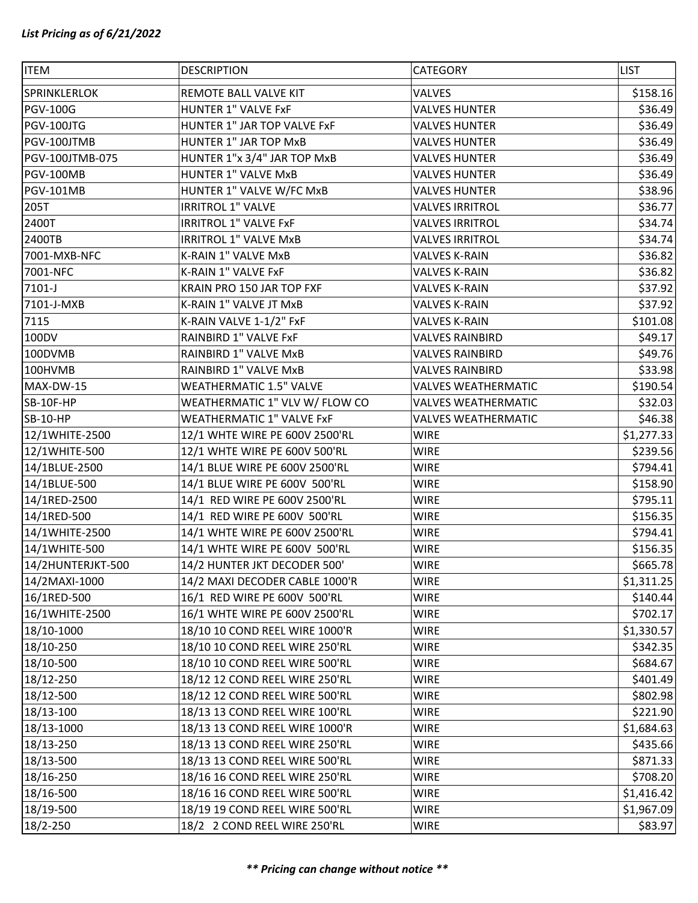| <b>ITEM</b>       | <b>DESCRIPTION</b>               | CATEGORY                   | <b>LIST</b> |
|-------------------|----------------------------------|----------------------------|-------------|
| SPRINKLERLOK      | REMOTE BALL VALVE KIT            | <b>VALVES</b>              | \$158.16    |
| <b>PGV-100G</b>   | <b>HUNTER 1" VALVE FxF</b>       | <b>VALVES HUNTER</b>       | \$36.49     |
| PGV-100JTG        | HUNTER 1" JAR TOP VALVE FxF      | <b>VALVES HUNTER</b>       | \$36.49     |
| PGV-100JTMB       | HUNTER 1" JAR TOP MxB            | <b>VALVES HUNTER</b>       | \$36.49     |
| PGV-100JTMB-075   | HUNTER 1"x 3/4" JAR TOP MxB      | <b>VALVES HUNTER</b>       | \$36.49     |
| PGV-100MB         | <b>HUNTER 1" VALVE MxB</b>       | <b>VALVES HUNTER</b>       | \$36.49     |
| <b>PGV-101MB</b>  | HUNTER 1" VALVE W/FC MxB         | <b>VALVES HUNTER</b>       | \$38.96     |
| 205T              | <b>IRRITROL 1" VALVE</b>         | <b>VALVES IRRITROL</b>     | \$36.77     |
| 2400T             | <b>IRRITROL 1" VALVE FxF</b>     | <b>VALVES IRRITROL</b>     | \$34.74     |
| 2400TB            | <b>IRRITROL 1" VALVE MxB</b>     | <b>VALVES IRRITROL</b>     | \$34.74     |
| 7001-MXB-NFC      | K-RAIN 1" VALVE MxB              | <b>VALVES K-RAIN</b>       | \$36.82     |
| 7001-NFC          | K-RAIN 1" VALVE FxF              | <b>VALVES K-RAIN</b>       | \$36.82     |
| 7101-J            | KRAIN PRO 150 JAR TOP FXF        | <b>VALVES K-RAIN</b>       | \$37.92     |
| 7101-J-MXB        | K-RAIN 1" VALVE JT MxB           | <b>VALVES K-RAIN</b>       | \$37.92     |
| 7115              | K-RAIN VALVE 1-1/2" FxF          | <b>VALVES K-RAIN</b>       | \$101.08    |
| 100DV             | RAINBIRD 1" VALVE FxF            | <b>VALVES RAINBIRD</b>     | \$49.17     |
| 100DVMB           | RAINBIRD 1" VALVE MxB            | <b>VALVES RAINBIRD</b>     | \$49.76     |
| 100HVMB           | RAINBIRD 1" VALVE MxB            | <b>VALVES RAINBIRD</b>     | \$33.98     |
| MAX-DW-15         | <b>WEATHERMATIC 1.5" VALVE</b>   | <b>VALVES WEATHERMATIC</b> | \$190.54    |
| SB-10F-HP         | WEATHERMATIC 1" VLV W/ FLOW CO   | <b>VALVES WEATHERMATIC</b> | \$32.03     |
| <b>SB-10-HP</b>   | <b>WEATHERMATIC 1" VALVE FxF</b> | <b>VALVES WEATHERMATIC</b> | \$46.38     |
| 12/1WHITE-2500    | 12/1 WHTE WIRE PE 600V 2500'RL   | <b>WIRE</b>                | \$1,277.33  |
| 12/1WHITE-500     | 12/1 WHTE WIRE PE 600V 500'RL    | <b>WIRE</b>                | \$239.56    |
| 14/1BLUE-2500     | 14/1 BLUE WIRE PE 600V 2500'RL   | <b>WIRE</b>                | \$794.41    |
| 14/1BLUE-500      | 14/1 BLUE WIRE PE 600V 500'RL    | <b>WIRE</b>                | \$158.90    |
| 14/1RED-2500      | 14/1 RED WIRE PE 600V 2500'RL    | <b>WIRE</b>                | \$795.11    |
| 14/1RED-500       | 14/1 RED WIRE PE 600V 500'RL     | <b>WIRE</b>                | \$156.35    |
| 14/1WHITE-2500    | 14/1 WHTE WIRE PE 600V 2500'RL   | <b>WIRE</b>                | \$794.41    |
| 14/1WHITE-500     | 14/1 WHTE WIRE PE 600V 500'RL    | <b>WIRE</b>                | \$156.35    |
| 14/2HUNTERJKT-500 | 14/2 HUNTER JKT DECODER 500'     | <b>WIRE</b>                | \$665.78    |
| 14/2MAXI-1000     | 14/2 MAXI DECODER CABLE 1000'R   | <b>WIRE</b>                | \$1,311.25  |
| 16/1RED-500       | 16/1 RED WIRE PE 600V 500'RL     | <b>WIRE</b>                | \$140.44    |
| 16/1WHITE-2500    | 16/1 WHTE WIRE PE 600V 2500'RL   | <b>WIRE</b>                | \$702.17    |
| 18/10-1000        | 18/10 10 COND REEL WIRE 1000'R   | <b>WIRE</b>                | \$1,330.57  |
| 18/10-250         | 18/10 10 COND REEL WIRE 250'RL   | <b>WIRE</b>                | \$342.35    |
| 18/10-500         | 18/10 10 COND REEL WIRE 500'RL   | <b>WIRE</b>                | \$684.67    |
| 18/12-250         | 18/12 12 COND REEL WIRE 250'RL   | <b>WIRE</b>                | \$401.49    |
| 18/12-500         | 18/12 12 COND REEL WIRE 500'RL   | <b>WIRE</b>                | \$802.98    |
| 18/13-100         | 18/13 13 COND REEL WIRE 100'RL   | <b>WIRE</b>                | \$221.90    |
| 18/13-1000        | 18/13 13 COND REEL WIRE 1000'R   | <b>WIRE</b>                | \$1,684.63  |
| 18/13-250         | 18/13 13 COND REEL WIRE 250'RL   | <b>WIRE</b>                | \$435.66    |
| 18/13-500         | 18/13 13 COND REEL WIRE 500'RL   | <b>WIRE</b>                | \$871.33    |
| 18/16-250         | 18/16 16 COND REEL WIRE 250'RL   | <b>WIRE</b>                | \$708.20    |
| 18/16-500         | 18/16 16 COND REEL WIRE 500'RL   | <b>WIRE</b>                | \$1,416.42  |
| 18/19-500         | 18/19 19 COND REEL WIRE 500'RL   | <b>WIRE</b>                | \$1,967.09  |
| 18/2-250          | 18/2 2 COND REEL WIRE 250'RL     | <b>WIRE</b>                | \$83.97     |